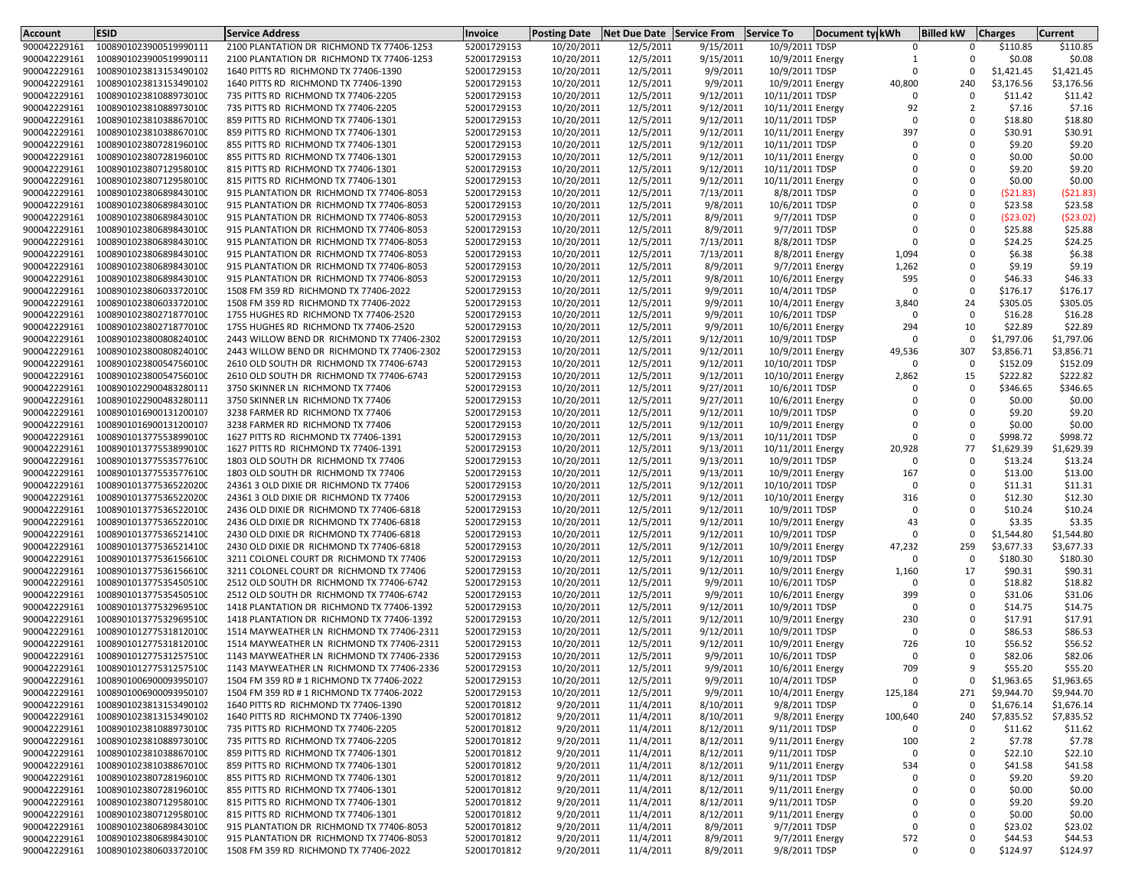| Account                      | <b>ESID</b>                                      | <b>Service Address</b>                                                         | Invoice                    | <b>Posting Date</b>      | <b>Net Due Date</b>    | <b>Service From</b>   | <b>Service To</b>                  | Document ty kWh | <b>Billed kW</b>                       | <b>Charges</b>       | Current              |
|------------------------------|--------------------------------------------------|--------------------------------------------------------------------------------|----------------------------|--------------------------|------------------------|-----------------------|------------------------------------|-----------------|----------------------------------------|----------------------|----------------------|
| 900042229161                 | 1008901023900519990111                           | 2100 PLANTATION DR RICHMOND TX 77406-1253                                      | 52001729153                | 10/20/2011               | 12/5/2011              | 9/15/2011             | 10/9/2011 TDSP                     |                 | $\Omega$<br>$\Omega$                   | \$110.85             | \$110.85             |
| 900042229161                 | 1008901023900519990111                           | 2100 PLANTATION DR RICHMOND TX 77406-1253                                      | 52001729153                | 10/20/2011               | 12/5/2011              | 9/15/2011             | 10/9/2011 Energy                   |                 | $\Omega$<br>1                          | \$0.08               | \$0.08               |
| 900042229161                 | 1008901023813153490102                           | 1640 PITTS RD RICHMOND TX 77406-1390                                           | 52001729153                | 10/20/2011               | 12/5/2011              | 9/9/2011              | 10/9/2011 TDSP                     |                 | $\mathbf 0$<br>$\Omega$                | \$1,421.45           | \$1,421.45           |
| 900042229161                 | 1008901023813153490102                           | 1640 PITTS RD RICHMOND TX 77406-1390                                           | 52001729153                | 10/20/2011               | 12/5/2011              | 9/9/2011              | 10/9/2011 Energy                   | 40,800          | 240                                    | \$3,176.56           | \$3,176.56           |
| 900042229161                 | 1008901023810889730100                           | 735 PITTS RD RICHMOND TX 77406-2205                                            | 52001729153                | 10/20/2011               | 12/5/2011              | 9/12/2011             | 10/11/2011 TDSP                    |                 | $\mathbf 0$<br>$\Omega$                | \$11.42              | \$11.42              |
| 900042229161                 | 1008901023810889730100                           | 735 PITTS RD RICHMOND TX 77406-2205                                            | 52001729153                | 10/20/2011               | 12/5/2011              | 9/12/2011             | 10/11/2011 Energy                  |                 | 92<br>$\overline{2}$                   | \$7.16               | \$7.16               |
| 900042229161                 | 1008901023810388670100                           | 859 PITTS RD RICHMOND TX 77406-1301                                            | 52001729153                | 10/20/2011               | 12/5/2011              | 9/12/2011             | 10/11/2011 TDSP                    |                 | $\Omega$<br>$\Omega$                   | \$18.80              | \$18.80              |
| 900042229161                 | 1008901023810388670100                           | 859 PITTS RD RICHMOND TX 77406-1301                                            | 52001729153                | 10/20/2011               | 12/5/2011              | 9/12/2011             | 10/11/2011 Energy                  | 397             | $\Omega$                               | \$30.91              | \$30.91              |
| 900042229161                 | 1008901023807281960100                           | 855 PITTS RD RICHMOND TX 77406-1301                                            | 52001729153                | 10/20/2011               | 12/5/2011              | 9/12/2011             | 10/11/2011 TDSP                    |                 | $\Omega$<br>$\Omega$                   | \$9.20               | \$9.20               |
| 900042229161                 | 1008901023807281960100                           | 855 PITTS RD RICHMOND TX 77406-1301                                            | 52001729153                | 10/20/2011               | 12/5/2011              | 9/12/2011             | 10/11/2011 Energy                  |                 | $\Omega$<br>$\Omega$                   | \$0.00               | \$0.00               |
| 900042229161                 | 1008901023807129580100                           | 815 PITTS RD RICHMOND TX 77406-1301                                            | 52001729153                | 10/20/2011               | 12/5/2011              | 9/12/2011             | 10/11/2011 TDSP                    |                 | $\Omega$<br>$\Omega$                   | \$9.20               | \$9.20               |
| 900042229161                 | 1008901023807129580100                           | 815 PITTS RD RICHMOND TX 77406-1301                                            | 52001729153                | 10/20/2011               | 12/5/2011              | 9/12/2011             | 10/11/2011 Energy                  |                 | $\Omega$<br>$\Omega$                   | \$0.00               | \$0.00               |
| 900042229161                 | 1008901023806898430100                           | 915 PLANTATION DR RICHMOND TX 77406-8053                                       | 52001729153                | 10/20/2011               | 12/5/2011              | 7/13/2011             | 8/8/2011 TDSP                      |                 | $\Omega$<br>$\Omega$                   | (521.83)             | (521.83)             |
| 900042229161                 | 1008901023806898430100                           | 915 PLANTATION DR RICHMOND TX 77406-8053                                       | 52001729153                | 10/20/2011               | 12/5/2011              | 9/8/2011              | 10/6/2011 TDSP                     |                 | $\Omega$<br>$\Omega$                   | \$23.58              | \$23.58              |
| 900042229161                 | 1008901023806898430100                           | 915 PLANTATION DR RICHMOND TX 77406-8053                                       | 52001729153                | 10/20/2011               | 12/5/2011              | 8/9/2011              | 9/7/2011 TDSP                      |                 | $\Omega$<br>$\Omega$                   | (523.02)             | (523.02)             |
| 900042229161                 | 1008901023806898430100                           | 915 PLANTATION DR RICHMOND TX 77406-8053                                       | 52001729153                | 10/20/2011               | 12/5/2011              | 8/9/2011              | 9/7/2011 TDSP                      |                 | $\Omega$<br>$\Omega$<br>$\Omega$       | \$25.88              | \$25.88              |
| 900042229161                 | 1008901023806898430100                           | 915 PLANTATION DR RICHMOND TX 77406-8053                                       | 52001729153                | 10/20/2011               | 12/5/2011              | 7/13/2011             | 8/8/2011 TDSP                      |                 | $\Omega$                               | \$24.25              | \$24.25              |
| 900042229161                 | 1008901023806898430100                           | 915 PLANTATION DR RICHMOND TX 77406-8053                                       | 52001729153                | 10/20/2011               | 12/5/2011              | 7/13/2011             | 8/8/2011 Energy                    | 1,094           | $\Omega$<br>$\Omega$                   | \$6.38               | \$6.38               |
| 900042229161                 | 1008901023806898430100                           | 915 PLANTATION DR RICHMOND TX 77406-8053                                       | 52001729153                | 10/20/2011               | 12/5/2011              | 8/9/2011              | 9/7/2011 Energy                    | 1,262<br>595    | $\Omega$                               | \$9.19               | \$9.19               |
| 900042229161                 | 1008901023806898430100                           | 915 PLANTATION DR RICHMOND TX 77406-8053                                       | 52001729153<br>52001729153 | 10/20/2011               | 12/5/2011              | 9/8/2011              | 10/6/2011 Energy                   |                 | $\Omega$<br>$\Omega$                   | \$46.33              | \$46.33              |
| 900042229161<br>900042229161 | 1008901023806033720100<br>1008901023806033720100 | 1508 FM 359 RD RICHMOND TX 77406-2022<br>1508 FM 359 RD RICHMOND TX 77406-2022 | 52001729153                | 10/20/2011               | 12/5/2011<br>12/5/2011 | 9/9/2011<br>9/9/2011  | 10/4/2011 TDSP<br>10/4/2011 Energy | 3,840           | 24                                     | \$176.17<br>\$305.05 | \$176.17<br>\$305.05 |
| 900042229161                 |                                                  | 1755 HUGHES RD RICHMOND TX 77406-2520                                          | 52001729153                | 10/20/2011<br>10/20/2011 | 12/5/2011              | 9/9/2011              | 10/6/2011 TDSP                     |                 | $\Omega$<br>$\Omega$                   | \$16.28              | \$16.28              |
| 900042229161                 | 1008901023802718770100<br>1008901023802718770100 | 1755 HUGHES RD RICHMOND TX 77406-2520                                          | 52001729153                |                          |                        |                       | 10/6/2011 Energy                   | 294             | 10                                     | \$22.89              | \$22.89              |
| 900042229161                 | 1008901023800808240100                           | 2443 WILLOW BEND DR RICHMOND TX 77406-2302                                     | 52001729153                | 10/20/2011<br>10/20/2011 | 12/5/2011<br>12/5/2011 | 9/9/2011<br>9/12/2011 | 10/9/2011 TDSP                     |                 | $\Omega$<br>$\Omega$                   | \$1,797.06           | \$1,797.06           |
| 900042229161                 | 1008901023800808240100                           | 2443 WILLOW BEND DR RICHMOND TX 77406-2302                                     | 52001729153                | 10/20/2011               | 12/5/2011              | 9/12/2011             | 10/9/2011 Energy                   | 49,536          | 307                                    | \$3,856.71           | \$3,856.71           |
| 900042229161                 | 1008901023800547560100                           | 2610 OLD SOUTH DR RICHMOND TX 77406-6743                                       | 52001729153                | 10/20/2011               | 12/5/2011              | 9/12/2011             | 10/10/2011 TDSP                    |                 | $\Omega$<br>$\Omega$                   | \$152.09             | \$152.09             |
| 900042229161                 | 1008901023800547560100                           | 2610 OLD SOUTH DR RICHMOND TX 77406-6743                                       | 52001729153                | 10/20/2011               | 12/5/2011              | 9/12/2011             | 10/10/2011 Energy                  | 2,862           | 15                                     | \$222.82             | \$222.82             |
| 900042229161                 | 1008901022900483280111                           | 3750 SKINNER LN RICHMOND TX 77406                                              | 52001729153                | 10/20/2011               | 12/5/2011              | 9/27/2011             | 10/6/2011 TDSP                     |                 | $\Omega$                               | \$346.65             | \$346.65             |
| 900042229161                 | 1008901022900483280111                           | 3750 SKINNER LN RICHMOND TX 77406                                              | 52001729153                | 10/20/2011               | 12/5/2011              | 9/27/2011             | 10/6/2011 Energy                   |                 | $\Omega$                               | \$0.00               | \$0.00               |
| 900042229161                 | 1008901016900131200107                           | 3238 FARMER RD RICHMOND TX 77406                                               | 52001729153                | 10/20/2011               | 12/5/2011              | 9/12/2011             | 10/9/2011 TDSP                     |                 | $\Omega$<br>$\Omega$                   | \$9.20               | \$9.20               |
| 900042229161                 | 1008901016900131200107                           | 3238 FARMER RD RICHMOND TX 77406                                               | 52001729153                | 10/20/2011               | 12/5/2011              | 9/12/2011             | 10/9/2011 Energy                   |                 | $\Omega$<br>$\Omega$                   | \$0.00               | \$0.00               |
| 900042229161                 | 1008901013775538990100                           | 1627 PITTS RD RICHMOND TX 77406-1391                                           | 52001729153                | 10/20/2011               | 12/5/2011              | 9/13/2011             | 10/11/2011 TDSP                    |                 | $\Omega$<br>$\Omega$                   | \$998.72             | \$998.72             |
| 900042229161                 | 1008901013775538990100                           | 1627 PITTS RD RICHMOND TX 77406-1391                                           | 52001729153                | 10/20/2011               | 12/5/2011              | 9/13/2011             | 10/11/2011 Energy                  | 20,928          | 77                                     | \$1,629.39           | \$1,629.39           |
| 900042229161                 | 1008901013775535776100                           | 1803 OLD SOUTH DR RICHMOND TX 77406                                            | 52001729153                | 10/20/2011               | 12/5/2011              | 9/13/2011             | 10/9/2011 TDSP                     |                 | $\Omega$<br>$\Omega$                   | \$13.24              | \$13.24              |
| 900042229161                 | 1008901013775535776100                           | 1803 OLD SOUTH DR RICHMOND TX 77406                                            | 52001729153                | 10/20/2011               | 12/5/2011              | 9/13/2011             | 10/9/2011 Energy                   | 167             | $\Omega$                               | \$13.00              | \$13.00              |
| 900042229161                 | 1008901013775365220200                           | 24361 3 OLD DIXIE DR RICHMOND TX 77406                                         | 52001729153                | 10/20/2011               | 12/5/2011              | 9/12/2011             | 10/10/2011 TDSP                    |                 | $\Omega$<br>$\Omega$                   | \$11.31              | \$11.31              |
| 900042229161                 | 1008901013775365220200                           | 24361 3 OLD DIXIE DR RICHMOND TX 77406                                         | 52001729153                | 10/20/2011               | 12/5/2011              | 9/12/2011             | 10/10/2011 Energy                  | 316             | $\Omega$                               | \$12.30              | \$12.30              |
| 900042229161                 | 1008901013775365220100                           | 2436 OLD DIXIE DR RICHMOND TX 77406-6818                                       | 52001729153                | 10/20/2011               | 12/5/2011              | 9/12/2011             | 10/9/2011 TDSP                     |                 | $\Omega$<br>$\Omega$                   | \$10.24              | \$10.24              |
| 900042229161                 | 1008901013775365220100                           | 2436 OLD DIXIE DR RICHMOND TX 77406-6818                                       | 52001729153                | 10/20/2011               | 12/5/2011              | 9/12/2011             | 10/9/2011 Energy                   |                 | 43<br>$\Omega$                         | \$3.35               | \$3.35               |
| 900042229161                 | 1008901013775365214100                           | 2430 OLD DIXIE DR RICHMOND TX 77406-6818                                       | 52001729153                | 10/20/2011               | 12/5/2011              | 9/12/2011             | 10/9/2011 TDSP                     |                 | $\Omega$<br>$\Omega$                   | \$1,544.80           | \$1,544.80           |
| 900042229161                 | 1008901013775365214100                           | 2430 OLD DIXIE DR RICHMOND TX 77406-6818                                       | 52001729153                | 10/20/2011               | 12/5/2011              | 9/12/2011             | 10/9/2011 Energy                   | 47,232          | 259                                    | \$3,677.33           | \$3,677.33           |
| 900042229161                 | 1008901013775361566100                           | 3211 COLONEL COURT DR RICHMOND TX 77406                                        | 52001729153                | 10/20/2011               | 12/5/2011              | 9/12/2011             | 10/9/2011 TDSP                     |                 | $\Omega$<br>$\Omega$                   | \$180.30             | \$180.30             |
| 900042229161                 | 1008901013775361566100                           | 3211 COLONEL COURT DR RICHMOND TX 77406                                        | 52001729153                | 10/20/2011               | 12/5/2011              | 9/12/2011             | 10/9/2011 Energy                   | 1,160           | 17                                     | \$90.31              | \$90.31              |
| 900042229161                 | 1008901013775354505100                           | 2512 OLD SOUTH DR RICHMOND TX 77406-6742                                       | 52001729153                | 10/20/2011               | 12/5/2011              | 9/9/2011              | 10/6/2011 TDSP                     |                 | $\Omega$<br>$\Omega$                   | \$18.82              | \$18.82              |
| 900042229161                 | 1008901013775354505100                           | 2512 OLD SOUTH DR RICHMOND TX 77406-6742                                       | 52001729153                | 10/20/2011               | 12/5/2011              | 9/9/2011              | 10/6/2011 Energy                   | 399             | $\Omega$                               | \$31.06              | \$31.06              |
| 900042229161                 | 1008901013775329695100                           | 1418 PLANTATION DR RICHMOND TX 77406-1392                                      | 52001729153                | 10/20/2011               | 12/5/2011              | 9/12/2011             | 10/9/2011 TDSP                     |                 | $\Omega$<br>$\Omega$                   | \$14.75              | \$14.75              |
| 900042229161                 | 1008901013775329695100                           | 1418 PLANTATION DR RICHMOND TX 77406-1392                                      | 52001729153                | 10/20/2011               | 12/5/2011              | 9/12/2011             | 10/9/2011 Energy                   | 230             | $\Omega$                               | \$17.91              | \$17.91              |
| 900042229161                 | 1008901012775318120100                           | 1514 MAYWEATHER LN RICHMOND TX 77406-2311                                      | 52001729153                | 10/20/2011               | 12/5/2011              | 9/12/2011             | 10/9/2011 TDSP                     |                 | $\Omega$<br>$\Omega$                   | \$86.53              | \$86.53              |
| 900042229161                 | 1008901012775318120100                           | 1514 MAYWEATHER LN RICHMOND TX 77406-2311                                      | 52001729153                | 10/20/2011               | 12/5/2011              | 9/12/2011             | 10/9/2011 Energy                   | 726             | 10                                     | \$56.52              | \$56.52              |
| 900042229161                 | 1008901012775312575100                           | 1143 MAYWEATHER LN RICHMOND TX 77406-2336                                      | 52001729153                | 10/20/2011               | 12/5/2011              | 9/9/2011              | 10/6/2011 TDSP                     |                 | $\Omega$<br>$\Omega$                   | \$82.06              | \$82.06              |
| 900042229161                 | 1008901012775312575100                           | 1143 MAYWEATHER LN RICHMOND TX 77406-2336                                      | 52001729153                | 10/20/2011               | 12/5/2011              | 9/9/2011              | 10/6/2011 Energy                   | 709             | 9                                      | \$55.20              | \$55.20              |
| 900042229161                 | 1008901006900093950107                           | 1504 FM 359 RD # 1 RICHMOND TX 77406-2022                                      | 52001729153                | 10/20/2011               | 12/5/2011              | 9/9/2011              | 10/4/2011 TDSP                     |                 | 0                                      | \$1,963.65           | \$1,963.65           |
| 900042229161                 | 1008901006900093950107                           | 1504 FM 359 RD # 1 RICHMOND TX 77406-2022                                      | 52001729153                | 10/20/2011               | 12/5/2011              | 9/9/2011              | 10/4/2011 Energy                   | 125,184         | 271                                    | \$9,944.70           | \$9,944.70           |
| 900042229161                 | 1008901023813153490102                           | 1640 PITTS RD RICHMOND TX 77406-1390                                           | 52001701812                | 9/20/2011                | 11/4/2011              | 8/10/2011             | 9/8/2011 TDSP                      |                 | $\Omega$<br>$\mathbf 0$                | \$1,676.14           | \$1,676.14           |
| 900042229161                 | 1008901023813153490102                           | 1640 PITTS RD RICHMOND TX 77406-1390                                           | 52001701812                | 9/20/2011                | 11/4/2011              | 8/10/2011             | 9/8/2011 Energy                    | 100,640         | 240                                    | \$7,835.52           | \$7,835.52           |
| 900042229161                 | 1008901023810889730100                           | 735 PITTS RD RICHMOND TX 77406-2205                                            | 52001701812                | 9/20/2011                | 11/4/2011              | 8/12/2011             | 9/11/2011 TDSP                     |                 | $\mathbf 0$<br>$\mathbf 0$             | \$11.62              | \$11.62              |
| 900042229161                 | 1008901023810889730100                           | 735 PITTS RD RICHMOND TX 77406-2205                                            | 52001701812                | 9/20/2011                | 11/4/2011              | 8/12/2011             | 9/11/2011 Energy                   | 100             | $\overline{2}$                         | \$7.78               | \$7.78               |
| 900042229161                 | 1008901023810388670100                           | 859 PITTS RD RICHMOND TX 77406-1301                                            | 52001701812                | 9/20/2011                | 11/4/2011              | 8/12/2011             | 9/11/2011 TDSP                     |                 | $\mathbf 0$<br>$\mathbf 0$             | \$22.10              | \$22.10              |
| 900042229161                 | 1008901023810388670100                           | 859 PITTS RD RICHMOND TX 77406-1301                                            | 52001701812                | 9/20/2011                | 11/4/2011              | 8/12/2011             | 9/11/2011 Energy                   | 534             | $\mathbf 0$                            | \$41.58              | \$41.58              |
| 900042229161                 | 1008901023807281960100                           | 855 PITTS RD RICHMOND TX 77406-1301                                            | 52001701812                | 9/20/2011                | 11/4/2011              | 8/12/2011             | 9/11/2011 TDSP                     |                 | $\mathbf 0$<br>$\mathbf 0$             | \$9.20               | \$9.20               |
| 900042229161                 | 1008901023807281960100                           | 855 PITTS RD RICHMOND TX 77406-1301                                            | 52001701812                | 9/20/2011                | 11/4/2011              | 8/12/2011             | 9/11/2011 Energy                   |                 | $\Omega$<br>$\mathbf 0$                | \$0.00               | \$0.00               |
| 900042229161                 | 1008901023807129580100                           | 815 PITTS RD RICHMOND TX 77406-1301                                            | 52001701812                | 9/20/2011                | 11/4/2011              | 8/12/2011             | 9/11/2011 TDSP                     |                 | $\mathbf 0$<br>$\mathbf 0$             | \$9.20               | \$9.20               |
| 900042229161                 | 1008901023807129580100                           | 815 PITTS RD RICHMOND TX 77406-1301                                            | 52001701812                | 9/20/2011                | 11/4/2011              | 8/12/2011             | 9/11/2011 Energy                   |                 | $\mathbf 0$<br>$\mathbf 0$<br>$\Omega$ | \$0.00               | \$0.00               |
| 900042229161                 | 1008901023806898430100                           | 915 PLANTATION DR RICHMOND TX 77406-8053                                       | 52001701812                | 9/20/2011                | 11/4/2011              | 8/9/2011              | 9/7/2011 TDSP                      |                 | 0                                      | \$23.02              | \$23.02              |
| 900042229161<br>900042229161 | 1008901023806898430100<br>1008901023806033720100 | 915 PLANTATION DR RICHMOND TX 77406-8053                                       | 52001701812                | 9/20/2011                | 11/4/2011              | 8/9/2011              | 9/7/2011 Energy                    | 572             | 0<br>0                                 | \$44.53              | \$44.53              |
|                              |                                                  | 1508 FM 359 RD RICHMOND TX 77406-2022                                          | 52001701812                | 9/20/2011                | 11/4/2011              | 8/9/2011              | 9/8/2011 TDSP                      |                 | $\pmb{0}$                              | \$124.97             | \$124.97             |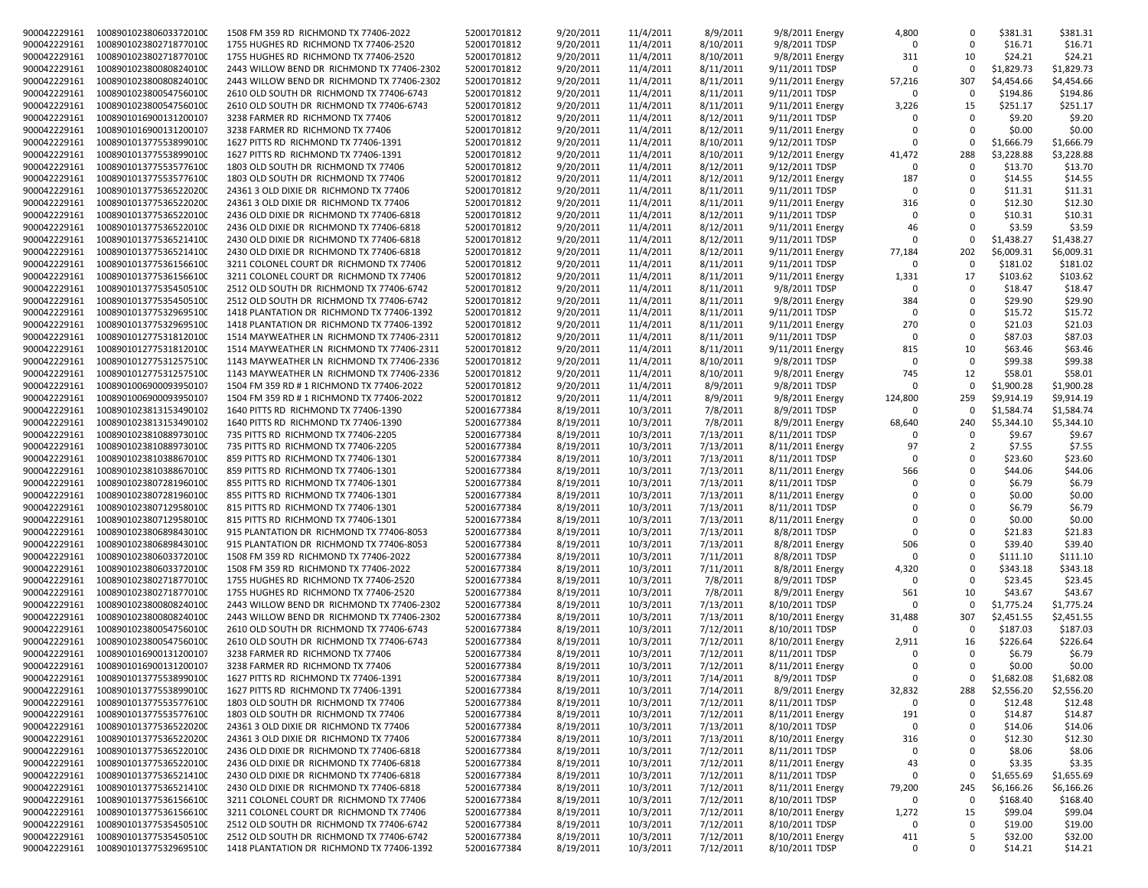| 900042229161 | 1008901023806033720100              | 1508 FM 359 RD RICHMOND TX 77406-2022      | 52001701812 | 9/20/2011 | 11/4/2011 | 8/9/2011  | 9/8/2011 Energy  | 4,800       | 0        | \$381.31   | \$381.31   |
|--------------|-------------------------------------|--------------------------------------------|-------------|-----------|-----------|-----------|------------------|-------------|----------|------------|------------|
| 900042229161 | 1008901023802718770100              | 1755 HUGHES RD RICHMOND TX 77406-2520      | 52001701812 | 9/20/2011 | 11/4/2011 | 8/10/2011 | 9/8/2011 TDSP    | $\Omega$    | $\Omega$ | \$16.71    | \$16.71    |
| 900042229161 | 1008901023802718770100              | 1755 HUGHES RD RICHMOND TX 77406-2520      | 52001701812 | 9/20/2011 | 11/4/2011 | 8/10/2011 | 9/8/2011 Energy  | 311         | 10       | \$24.21    | \$24.21    |
| 900042229161 | 1008901023800808240100              | 2443 WILLOW BEND DR RICHMOND TX 77406-2302 | 52001701812 | 9/20/2011 | 11/4/2011 | 8/11/2011 | 9/11/2011 TDSP   | $\Omega$    | 0        | \$1,829.73 | \$1,829.73 |
| 900042229161 | 1008901023800808240100              | 2443 WILLOW BEND DR RICHMOND TX 77406-2302 | 52001701812 | 9/20/2011 | 11/4/2011 | 8/11/2011 | 9/11/2011 Energy | 57,216      | 307      | \$4,454.66 | \$4,454.66 |
| 900042229161 | 1008901023800547560100              | 2610 OLD SOUTH DR RICHMOND TX 77406-6743   | 52001701812 | 9/20/2011 | 11/4/2011 | 8/11/2011 | 9/11/2011 TDSP   | $\Omega$    | 0        | \$194.86   | \$194.86   |
| 900042229161 | 1008901023800547560100              |                                            | 52001701812 | 9/20/2011 | 11/4/2011 | 8/11/2011 | 9/11/2011 Energy | 3,226       | 15       | \$251.17   | \$251.17   |
|              |                                     | 2610 OLD SOUTH DR RICHMOND TX 77406-6743   |             |           |           |           |                  |             |          |            |            |
| 900042229161 | 1008901016900131200107              | 3238 FARMER RD RICHMOND TX 77406           | 52001701812 | 9/20/2011 | 11/4/2011 | 8/12/2011 | 9/11/2011 TDSP   |             | $\Omega$ | \$9.20     | \$9.20     |
| 900042229161 | 1008901016900131200107              | 3238 FARMER RD RICHMOND TX 77406           | 52001701812 | 9/20/2011 | 11/4/2011 | 8/12/2011 | 9/11/2011 Energy | $\Omega$    | $\Omega$ | \$0.00     | \$0.00     |
| 900042229161 | 1008901013775538990100              | 1627 PITTS RD RICHMOND TX 77406-1391       | 52001701812 | 9/20/2011 | 11/4/2011 | 8/10/2011 | 9/12/2011 TDSP   | $\Omega$    | $\Omega$ | \$1,666.79 | \$1,666.79 |
| 900042229161 | 1008901013775538990100              | 1627 PITTS RD RICHMOND TX 77406-1391       | 52001701812 | 9/20/2011 | 11/4/2011 | 8/10/2011 | 9/12/2011 Energy | 41,472      | 288      | \$3,228.88 | \$3,228.88 |
| 900042229161 | 1008901013775535776100              | 1803 OLD SOUTH DR RICHMOND TX 77406        | 52001701812 | 9/20/2011 | 11/4/2011 | 8/12/2011 | 9/12/2011 TDSP   | $\Omega$    | $\Omega$ | \$13.70    | \$13.70    |
| 900042229161 | 1008901013775535776100              | 1803 OLD SOUTH DR RICHMOND TX 77406        | 52001701812 | 9/20/2011 | 11/4/2011 | 8/12/2011 | 9/12/2011 Energy | 187         | $\Omega$ | \$14.55    | \$14.55    |
| 900042229161 | 1008901013775365220200              | 24361 3 OLD DIXIE DR RICHMOND TX 77406     | 52001701812 | 9/20/2011 | 11/4/2011 | 8/11/2011 | 9/11/2011 TDSP   | $\Omega$    | 0        | \$11.31    | \$11.31    |
| 900042229161 | 1008901013775365220200              |                                            |             |           | 11/4/2011 | 8/11/2011 |                  |             | 0        | \$12.30    | \$12.30    |
|              |                                     | 24361 3 OLD DIXIE DR RICHMOND TX 77406     | 52001701812 | 9/20/2011 |           |           | 9/11/2011 Energy | 316         |          |            |            |
| 900042229161 | 1008901013775365220100              | 2436 OLD DIXIE DR RICHMOND TX 77406-6818   | 52001701812 | 9/20/2011 | 11/4/2011 | 8/12/2011 | 9/11/2011 TDSP   | $\Omega$    | $\Omega$ | \$10.31    | \$10.31    |
| 900042229161 | 1008901013775365220100              | 2436 OLD DIXIE DR RICHMOND TX 77406-6818   | 52001701812 | 9/20/2011 | 11/4/2011 | 8/12/2011 | 9/11/2011 Energy | 46          | $\Omega$ | \$3.59     | \$3.59     |
| 900042229161 | 1008901013775365214100              | 2430 OLD DIXIE DR RICHMOND TX 77406-6818   | 52001701812 | 9/20/2011 | 11/4/2011 | 8/12/2011 | 9/11/2011 TDSP   | $\Omega$    | 0        | \$1,438.27 | \$1,438.27 |
| 900042229161 | 1008901013775365214100              | 2430 OLD DIXIE DR RICHMOND TX 77406-6818   | 52001701812 | 9/20/2011 | 11/4/2011 | 8/12/2011 | 9/11/2011 Energy | 77,184      | 202      | \$6,009.31 | \$6,009.31 |
| 900042229161 | 1008901013775361566100              | 3211 COLONEL COURT DR RICHMOND TX 77406    | 52001701812 | 9/20/2011 | 11/4/2011 | 8/11/2011 | 9/11/2011 TDSP   | $\Omega$    | $\Omega$ | \$181.02   | \$181.02   |
| 900042229161 | 1008901013775361566100              | 3211 COLONEL COURT DR RICHMOND TX 77406    | 52001701812 | 9/20/2011 | 11/4/2011 | 8/11/2011 | 9/11/2011 Energy | 1,331       | 17       | \$103.62   | \$103.62   |
| 900042229161 | 1008901013775354505100              | 2512 OLD SOUTH DR RICHMOND TX 77406-6742   | 52001701812 | 9/20/2011 | 11/4/2011 | 8/11/2011 | 9/8/2011 TDSP    | $\Omega$    | $\Omega$ | \$18.47    | \$18.47    |
| 900042229161 | 1008901013775354505100              | 2512 OLD SOUTH DR RICHMOND TX 77406-6742   | 52001701812 | 9/20/2011 | 11/4/2011 | 8/11/2011 | 9/8/2011 Energy  | 384         | $\Omega$ | \$29.90    | \$29.90    |
|              |                                     |                                            |             |           |           |           |                  | $\Omega$    | 0        |            |            |
| 900042229161 | 1008901013775329695100              | 1418 PLANTATION DR RICHMOND TX 77406-1392  | 52001701812 | 9/20/2011 | 11/4/2011 | 8/11/2011 | 9/11/2011 TDSP   |             |          | \$15.72    | \$15.72    |
| 900042229161 | 1008901013775329695100              | 1418 PLANTATION DR RICHMOND TX 77406-1392  | 52001701812 | 9/20/2011 | 11/4/2011 | 8/11/2011 | 9/11/2011 Energy | 270         | 0        | \$21.03    | \$21.03    |
| 900042229161 | 1008901012775318120100              | 1514 MAYWEATHER LN RICHMOND TX 77406-2311  | 52001701812 | 9/20/2011 | 11/4/2011 | 8/11/2011 | 9/11/2011 TDSP   | $\Omega$    | 0        | \$87.03    | \$87.03    |
| 900042229161 | 1008901012775318120100              | 1514 MAYWEATHER LN RICHMOND TX 77406-2311  | 52001701812 | 9/20/2011 | 11/4/2011 | 8/11/2011 | 9/11/2011 Energy | 815         | 10       | \$63.46    | \$63.46    |
| 900042229161 | 1008901012775312575100              | 1143 MAYWEATHER LN RICHMOND TX 77406-2336  | 52001701812 | 9/20/2011 | 11/4/2011 | 8/10/2011 | 9/8/2011 TDSP    | $\Omega$    | 0        | \$99.38    | \$99.38    |
| 900042229161 | 1008901012775312575100              | 1143 MAYWEATHER LN RICHMOND TX 77406-2336  | 52001701812 | 9/20/2011 | 11/4/2011 | 8/10/2011 | 9/8/2011 Energy  | 745         | 12       | \$58.01    | \$58.01    |
| 900042229161 | 1008901006900093950107              | 1504 FM 359 RD # 1 RICHMOND TX 77406-2022  | 52001701812 | 9/20/2011 | 11/4/2011 | 8/9/2011  | 9/8/2011 TDSP    | $\Omega$    | $\Omega$ | \$1,900.28 | \$1,900.28 |
| 900042229161 | 1008901006900093950107              | 1504 FM 359 RD # 1 RICHMOND TX 77406-2022  | 52001701812 | 9/20/2011 | 11/4/2011 | 8/9/2011  | 9/8/2011 Energy  | 124,800     | 259      | \$9,914.19 | \$9,914.19 |
| 900042229161 | 1008901023813153490102              | 1640 PITTS RD RICHMOND TX 77406-1390       | 52001677384 | 8/19/2011 | 10/3/2011 | 7/8/2011  | 8/9/2011 TDSP    | $\Omega$    | $\Omega$ | \$1,584.74 | \$1,584.74 |
|              |                                     |                                            |             |           |           |           |                  |             |          |            |            |
| 900042229161 | 1008901023813153490102              | 1640 PITTS RD RICHMOND TX 77406-1390       | 52001677384 | 8/19/2011 | 10/3/2011 | 7/8/2011  | 8/9/2011 Energy  | 68,640      | 240      | \$5,344.10 | \$5,344.10 |
| 900042229161 | 1008901023810889730100              | 735 PITTS RD RICHMOND TX 77406-2205        | 52001677384 | 8/19/2011 | 10/3/2011 | 7/13/2011 | 8/11/2011 TDSP   | $\Omega$    | 0        | \$9.67     | \$9.67     |
| 900042229161 | 1008901023810889730100              | 735 PITTS RD RICHMOND TX 77406-2205        | 52001677384 | 8/19/2011 | 10/3/2011 | 7/13/2011 | 8/11/2011 Energy | 97          | 2        | \$7.55     | \$7.55     |
| 900042229161 | 1008901023810388670100              | 859 PITTS RD RICHMOND TX 77406-1301        | 52001677384 | 8/19/2011 | 10/3/2011 | 7/13/2011 | 8/11/2011 TDSP   | $\Omega$    | $\Omega$ | \$23.60    | \$23.60    |
| 900042229161 | 1008901023810388670100              | 859 PITTS RD RICHMOND TX 77406-1301        | 52001677384 | 8/19/2011 | 10/3/2011 | 7/13/2011 | 8/11/2011 Energy | 566         | $\Omega$ | \$44.06    | \$44.06    |
| 900042229161 | 1008901023807281960100              | 855 PITTS RD RICHMOND TX 77406-1301        | 52001677384 | 8/19/2011 | 10/3/2011 | 7/13/2011 | 8/11/2011 TDSP   | $\Omega$    | $\Omega$ | \$6.79     | \$6.79     |
| 900042229161 | 1008901023807281960100              | 855 PITTS RD RICHMOND TX 77406-1301        | 52001677384 | 8/19/2011 | 10/3/2011 | 7/13/2011 | 8/11/2011 Energy | $\Omega$    | $\Omega$ | \$0.00     | \$0.00     |
| 900042229161 | 1008901023807129580100              | 815 PITTS RD RICHMOND TX 77406-1301        | 52001677384 | 8/19/2011 | 10/3/2011 | 7/13/2011 | 8/11/2011 TDSP   | $\Omega$    | $\Omega$ | \$6.79     | \$6.79     |
| 900042229161 | 1008901023807129580100              | 815 PITTS RD RICHMOND TX 77406-1301        | 52001677384 | 8/19/2011 | 10/3/2011 | 7/13/2011 |                  | $\Omega$    | 0        | \$0.00     | \$0.00     |
|              |                                     |                                            |             |           |           |           | 8/11/2011 Energy |             |          |            |            |
| 900042229161 | 1008901023806898430100              | 915 PLANTATION DR RICHMOND TX 77406-8053   | 52001677384 | 8/19/2011 | 10/3/2011 | 7/13/2011 | 8/8/2011 TDSP    | $\Omega$    | $\Omega$ | \$21.83    | \$21.83    |
| 900042229161 | 1008901023806898430100              | 915 PLANTATION DR RICHMOND TX 77406-8053   | 52001677384 | 8/19/2011 | 10/3/2011 | 7/13/2011 | 8/8/2011 Energy  | 506         | $\Omega$ | \$39.40    | \$39.40    |
| 900042229161 | 1008901023806033720100              | 1508 FM 359 RD RICHMOND TX 77406-2022      | 52001677384 | 8/19/2011 | 10/3/2011 | 7/11/2011 | 8/8/2011 TDSP    | $\Omega$    | 0        | \$111.10   | \$111.10   |
| 900042229161 | 1008901023806033720100              | 1508 FM 359 RD RICHMOND TX 77406-2022      | 52001677384 | 8/19/2011 | 10/3/2011 | 7/11/2011 | 8/8/2011 Energy  | 4,320       | 0        | \$343.18   | \$343.18   |
| 900042229161 | 1008901023802718770100              | 1755 HUGHES RD RICHMOND TX 77406-2520      | 52001677384 | 8/19/2011 | 10/3/2011 | 7/8/2011  | 8/9/2011 TDSP    | $\Omega$    | 0        | \$23.45    | \$23.45    |
| 900042229161 | 1008901023802718770100              | 1755 HUGHES RD RICHMOND TX 77406-2520      | 52001677384 | 8/19/2011 | 10/3/2011 | 7/8/2011  | 8/9/2011 Energy  | 561         | 10       | \$43.67    | \$43.67    |
| 900042229161 | 1008901023800808240100              | 2443 WILLOW BEND DR RICHMOND TX 77406-2302 | 52001677384 | 8/19/2011 | 10/3/2011 | 7/13/2011 | 8/10/2011 TDSP   | $\Omega$    | 0        | \$1,775.24 | \$1,775.24 |
| 900042229161 | 1008901023800808240100              | 2443 WILLOW BEND DR RICHMOND TX 77406-2302 | 52001677384 | 8/19/2011 | 10/3/2011 | 7/13/2011 | 8/10/2011 Energy | 31,488      | 307      | \$2,451.55 | \$2,451.55 |
| 900042229161 | 1008901023800547560100              |                                            |             |           |           | 7/12/2011 | 8/10/2011 TDSP   | $\Omega$    | $\Omega$ | \$187.03   | \$187.03   |
|              |                                     | 2610 OLD SOUTH DR RICHMOND TX 77406-6743   | 52001677384 | 8/19/2011 | 10/3/2011 |           |                  |             |          |            |            |
| 900042229161 | 1008901023800547560100              | 2610 OLD SOUTH DR RICHMOND TX 77406-6743   | 52001677384 | 8/19/2011 | 10/3/2011 | 7/12/2011 | 8/10/2011 Energy | 2,911       | 16       | \$226.64   | \$226.64   |
| 900042229161 | 1008901016900131200107              | 3238 FARMER RD RICHMOND TX 77406           | 52001677384 | 8/19/2011 | 10/3/2011 | 7/12/2011 | 8/11/2011 TDSP   | $\Omega$    | $\Omega$ | \$6.79     | \$6.79     |
| 900042229161 | 1008901016900131200107              | 3238 FARMER RD RICHMOND TX 77406           | 52001677384 | 8/19/2011 | 10/3/2011 | 7/12/2011 | 8/11/2011 Energy | $\Omega$    | $\Omega$ | \$0.00     | \$0.00     |
| 900042229161 | 1008901013775538990100              | 1627 PITTS RD RICHMOND TX 77406-1391       | 52001677384 | 8/19/2011 | 10/3/2011 | 7/14/2011 | 8/9/2011 TDSP    | $\mathbf 0$ | 0        | \$1,682.08 | \$1,682.08 |
|              | 900042229161 1008901013775538990100 | 1627 PITTS RD RICHMOND TX 77406-1391       | 52001677384 | 8/19/2011 | 10/3/2011 | 7/14/2011 | 8/9/2011 Energy  | 32,832      | 288      | \$2,556.20 | \$2,556.20 |
| 900042229161 | 1008901013775535776100              | 1803 OLD SOUTH DR RICHMOND TX 77406        | 52001677384 | 8/19/2011 | 10/3/2011 | 7/12/2011 | 8/11/2011 TDSP   | $\Omega$    | 0        | \$12.48    | \$12.48    |
| 900042229161 | 1008901013775535776100              | 1803 OLD SOUTH DR RICHMOND TX 77406        | 52001677384 | 8/19/2011 | 10/3/2011 | 7/12/2011 | 8/11/2011 Energy | 191         | 0        | \$14.87    | \$14.87    |
| 900042229161 | 1008901013775365220200              | 24361 3 OLD DIXIE DR RICHMOND TX 77406     | 52001677384 | 8/19/2011 | 10/3/2011 | 7/13/2011 | 8/10/2011 TDSP   | 0           | 0        | \$14.06    | \$14.06    |
| 900042229161 | 1008901013775365220200              | 24361 3 OLD DIXIE DR RICHMOND TX 77406     | 52001677384 | 8/19/2011 | 10/3/2011 | 7/13/2011 | 8/10/2011 Energy |             | 0        | \$12.30    | \$12.30    |
|              |                                     |                                            |             |           |           |           |                  | 316         |          |            |            |
|              | 900042229161 1008901013775365220100 | 2436 OLD DIXIE DR RICHMOND TX 77406-6818   | 52001677384 | 8/19/2011 | 10/3/2011 | 7/12/2011 | 8/11/2011 TDSP   | 0           | 0        | \$8.06     | \$8.06     |
| 900042229161 | 1008901013775365220100              | 2436 OLD DIXIE DR RICHMOND TX 77406-6818   | 52001677384 | 8/19/2011 | 10/3/2011 | 7/12/2011 | 8/11/2011 Energy | 43          | 0        | \$3.35     | \$3.35     |
|              | 900042229161 1008901013775365214100 | 2430 OLD DIXIE DR RICHMOND TX 77406-6818   | 52001677384 | 8/19/2011 | 10/3/2011 | 7/12/2011 | 8/11/2011 TDSP   | $\Omega$    | 0        | \$1,655.69 | \$1,655.69 |
| 900042229161 | 1008901013775365214100              | 2430 OLD DIXIE DR RICHMOND TX 77406-6818   | 52001677384 | 8/19/2011 | 10/3/2011 | 7/12/2011 | 8/11/2011 Energy | 79,200      | 245      | \$6,166.26 | \$6,166.26 |
| 900042229161 | 1008901013775361566100              | 3211 COLONEL COURT DR RICHMOND TX 77406    | 52001677384 | 8/19/2011 | 10/3/2011 | 7/12/2011 | 8/10/2011 TDSP   | 0           | 0        | \$168.40   | \$168.40   |
| 900042229161 | 1008901013775361566100              | 3211 COLONEL COURT DR RICHMOND TX 77406    | 52001677384 | 8/19/2011 | 10/3/2011 | 7/12/2011 | 8/10/2011 Energy | 1,272       | 15       | \$99.04    | \$99.04    |
| 900042229161 | 1008901013775354505100              | 2512 OLD SOUTH DR RICHMOND TX 77406-6742   | 52001677384 | 8/19/2011 | 10/3/2011 | 7/12/2011 | 8/10/2011 TDSP   | $\Omega$    | 0        | \$19.00    | \$19.00    |
| 900042229161 | 1008901013775354505100              | 2512 OLD SOUTH DR RICHMOND TX 77406-6742   | 52001677384 | 8/19/2011 | 10/3/2011 | 7/12/2011 | 8/10/2011 Energy | 411         | 5        | \$32.00    | \$32.00    |
| 900042229161 | 1008901013775329695100              | 1418 PLANTATION DR RICHMOND TX 77406-1392  | 52001677384 | 8/19/2011 | 10/3/2011 | 7/12/2011 | 8/10/2011 TDSP   | 0           | 0        | \$14.21    | \$14.21    |
|              |                                     |                                            |             |           |           |           |                  |             |          |            |            |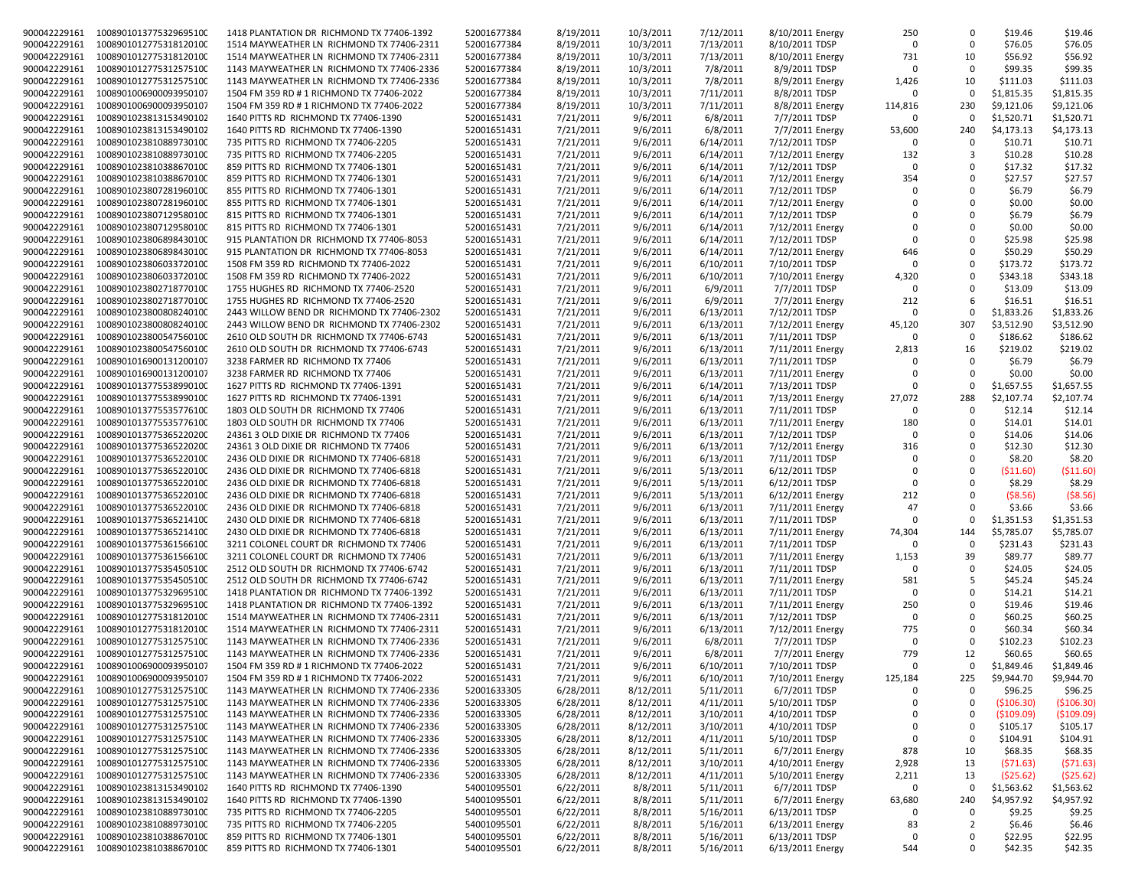| 900042229161                 | 1008901013775329695100                           | 1418 PLANTATION DR RICHMOND TX 77406-1392                                  | 52001677384                | 8/19/2011              | 10/3/2011            | 7/12/2011              | 8/10/2011 Energy                   | 250         | 0              | \$19.46            | \$19.46            |
|------------------------------|--------------------------------------------------|----------------------------------------------------------------------------|----------------------------|------------------------|----------------------|------------------------|------------------------------------|-------------|----------------|--------------------|--------------------|
| 900042229161                 | 1008901012775318120100                           | 1514 MAYWEATHER LN RICHMOND TX 77406-2311                                  | 52001677384                | 8/19/2011              | 10/3/2011            | 7/13/2011              | 8/10/2011 TDSP                     | $\Omega$    | $\Omega$       | \$76.05            | \$76.05            |
| 900042229161                 | 1008901012775318120100                           | 1514 MAYWEATHER LN RICHMOND TX 77406-2311                                  | 52001677384                | 8/19/2011              | 10/3/2011            | 7/13/2011              | 8/10/2011 Energy                   | 731         | 10             | \$56.92            | \$56.92            |
|                              |                                                  |                                                                            |                            |                        |                      |                        |                                    |             |                |                    |                    |
| 900042229161                 | 1008901012775312575100                           | 1143 MAYWEATHER LN RICHMOND TX 77406-2336                                  | 52001677384                | 8/19/2011              | 10/3/2011            | 7/8/2011               | 8/9/2011 TDSP                      | $\Omega$    | 0              | \$99.35            | \$99.35            |
| 900042229161                 | 1008901012775312575100                           | 1143 MAYWEATHER LN RICHMOND TX 77406-2336                                  | 52001677384                | 8/19/2011              | 10/3/2011            | 7/8/2011               | 8/9/2011 Energy                    | 1,426       | 10             | \$111.03           | \$111.03           |
| 900042229161                 | 1008901006900093950107                           | 1504 FM 359 RD # 1 RICHMOND TX 77406-2022                                  | 52001677384                | 8/19/2011              | 10/3/2011            | 7/11/2011              | 8/8/2011 TDSP                      | $\Omega$    | 0              | \$1,815.35         | \$1,815.35         |
|                              |                                                  |                                                                            |                            |                        |                      |                        |                                    |             |                |                    |                    |
| 900042229161                 | 1008901006900093950107                           | 1504 FM 359 RD # 1 RICHMOND TX 77406-2022                                  | 52001677384                | 8/19/2011              | 10/3/2011            | 7/11/2011              | 8/8/2011 Energy                    | 114,816     | 230            | \$9,121.06         | \$9,121.06         |
| 900042229161                 | 1008901023813153490102                           | 1640 PITTS RD RICHMOND TX 77406-1390                                       | 52001651431                | 7/21/2011              | 9/6/2011             | 6/8/2011               | 7/7/2011 TDSP                      | $\Omega$    | $\Omega$       | \$1,520.71         | \$1,520.71         |
| 900042229161                 | 1008901023813153490102                           | 1640 PITTS RD RICHMOND TX 77406-1390                                       | 52001651431                | 7/21/2011              | 9/6/2011             | 6/8/2011               | 7/7/2011 Energy                    | 53,600      | 240            | \$4,173.13         | \$4,173.13         |
|                              |                                                  |                                                                            |                            |                        |                      |                        |                                    |             | $\Omega$       |                    |                    |
| 900042229161                 | 1008901023810889730100                           | 735 PITTS RD RICHMOND TX 77406-2205                                        | 52001651431                | 7/21/2011              | 9/6/2011             | 6/14/2011              | 7/12/2011 TDSP                     | 0           |                | \$10.71            | \$10.71            |
| 900042229161                 | 1008901023810889730100                           | 735 PITTS RD RICHMOND TX 77406-2205                                        | 52001651431                | 7/21/2011              | 9/6/2011             | 6/14/2011              | 7/12/2011 Energy                   | 132         | 3              | \$10.28            | \$10.28            |
| 900042229161                 | 1008901023810388670100                           | 859 PITTS RD RICHMOND TX 77406-1301                                        | 52001651431                | 7/21/2011              | 9/6/2011             | 6/14/2011              | 7/12/2011 TDSP                     | $\Omega$    | $\Omega$       | \$17.32            | \$17.32            |
| 900042229161                 | 1008901023810388670100                           | 859 PITTS RD RICHMOND TX 77406-1301                                        | 52001651431                | 7/21/2011              |                      |                        |                                    | 354         | $\Omega$       | \$27.57            | \$27.57            |
|                              |                                                  |                                                                            |                            |                        | 9/6/2011             | 6/14/2011              | 7/12/2011 Energy                   |             |                |                    |                    |
| 900042229161                 | 1008901023807281960100                           | 855 PITTS RD RICHMOND TX 77406-1301                                        | 52001651431                | 7/21/2011              | 9/6/2011             | 6/14/2011              | 7/12/2011 TDSP                     | $\Omega$    | 0              | \$6.79             | \$6.79             |
| 900042229161                 | 1008901023807281960100                           | 855 PITTS RD RICHMOND TX 77406-1301                                        | 52001651431                | 7/21/2011              | 9/6/2011             | 6/14/2011              | 7/12/2011 Energy                   | $\Omega$    | $\Omega$       | \$0.00             | \$0.00             |
| 900042229161                 | 1008901023807129580100                           | 815 PITTS RD RICHMOND TX 77406-1301                                        | 52001651431                | 7/21/2011              | 9/6/2011             | 6/14/2011              | 7/12/2011 TDSP                     | $\Omega$    | $\Omega$       | \$6.79             | \$6.79             |
|                              |                                                  |                                                                            |                            |                        |                      |                        |                                    |             |                |                    |                    |
| 900042229161                 | 1008901023807129580100                           | 815 PITTS RD RICHMOND TX 77406-1301                                        | 52001651431                | 7/21/2011              | 9/6/2011             | 6/14/2011              | 7/12/2011 Energy                   | 0           | $\Omega$       | \$0.00             | \$0.00             |
| 900042229161                 | 1008901023806898430100                           | 915 PLANTATION DR RICHMOND TX 77406-8053                                   | 52001651431                | 7/21/2011              | 9/6/2011             | 6/14/2011              | 7/12/2011 TDSP                     | $\mathbf 0$ | $\Omega$       | \$25.98            | \$25.98            |
| 900042229161                 | 1008901023806898430100                           | 915 PLANTATION DR RICHMOND TX 77406-8053                                   | 52001651431                | 7/21/2011              | 9/6/2011             | 6/14/2011              | 7/12/2011 Energy                   | 646         | 0              | \$50.29            | \$50.29            |
|                              |                                                  |                                                                            |                            |                        |                      |                        |                                    |             |                |                    |                    |
| 900042229161                 | 1008901023806033720100                           | 1508 FM 359 RD RICHMOND TX 77406-2022                                      | 52001651431                | 7/21/2011              | 9/6/2011             | 6/10/2011              | 7/10/2011 TDSP                     | $\Omega$    | $\Omega$       | \$173.72           | \$173.72           |
| 900042229161                 | 1008901023806033720100                           | 1508 FM 359 RD RICHMOND TX 77406-2022                                      | 52001651431                | 7/21/2011              | 9/6/2011             | 6/10/2011              | 7/10/2011 Energy                   | 4,320       | 0              | \$343.18           | \$343.18           |
| 900042229161                 | 1008901023802718770100                           | 1755 HUGHES RD RICHMOND TX 77406-2520                                      | 52001651431                | 7/21/2011              | 9/6/2011             | 6/9/2011               | 7/7/2011 TDSP                      | $\Omega$    | $\Omega$       | \$13.09            | \$13.09            |
| 900042229161                 |                                                  |                                                                            |                            | 7/21/2011              |                      |                        |                                    | 212         | 6              | \$16.51            | \$16.51            |
|                              | 1008901023802718770100                           | 1755 HUGHES RD RICHMOND TX 77406-2520                                      | 52001651431                |                        | 9/6/2011             | 6/9/2011               | 7/7/2011 Energy                    |             |                |                    |                    |
| 900042229161                 | 1008901023800808240100                           | 2443 WILLOW BEND DR RICHMOND TX 77406-2302                                 | 52001651431                | 7/21/2011              | 9/6/2011             | 6/13/2011              | 7/12/2011 TDSP                     | $\Omega$    | 0              | \$1,833.26         | \$1,833.26         |
| 900042229161                 | 1008901023800808240100                           | 2443 WILLOW BEND DR RICHMOND TX 77406-2302                                 | 52001651431                | 7/21/2011              | 9/6/2011             | 6/13/2011              | 7/12/2011 Energy                   | 45,120      | 307            | \$3,512.90         | \$3,512.90         |
| 900042229161                 | 1008901023800547560100                           | 2610 OLD SOUTH DR RICHMOND TX 77406-6743                                   | 52001651431                | 7/21/2011              | 9/6/2011             | 6/13/2011              | 7/11/2011 TDSP                     | $\Omega$    | $\Omega$       | \$186.62           | \$186.62           |
|                              |                                                  |                                                                            |                            |                        |                      |                        |                                    |             |                |                    |                    |
| 900042229161                 | 1008901023800547560100                           | 2610 OLD SOUTH DR RICHMOND TX 77406-6743                                   | 52001651431                | 7/21/2011              | 9/6/2011             | 6/13/2011              | 7/11/2011 Energy                   | 2,813       | 16             | \$219.02           | \$219.02           |
| 900042229161                 | 1008901016900131200107                           | 3238 FARMER RD RICHMOND TX 77406                                           | 52001651431                | 7/21/2011              | 9/6/2011             | 6/13/2011              | 7/11/2011 TDSP                     | $\Omega$    | $\Omega$       | \$6.79             | \$6.79             |
| 900042229161                 | 1008901016900131200107                           | 3238 FARMER RD RICHMOND TX 77406                                           | 52001651431                | 7/21/2011              | 9/6/2011             | 6/13/2011              | 7/11/2011 Energy                   | $\Omega$    | 0              | \$0.00             | \$0.00             |
|                              |                                                  |                                                                            |                            |                        |                      |                        |                                    |             |                |                    |                    |
| 900042229161                 | 1008901013775538990100                           | 1627 PITTS RD RICHMOND TX 77406-1391                                       | 52001651431                | 7/21/2011              | 9/6/2011             | 6/14/2011              | 7/13/2011 TDSP                     | 0           | $\Omega$       | \$1,657.55         | \$1,657.55         |
| 900042229161                 | 1008901013775538990100                           | 1627 PITTS RD RICHMOND TX 77406-1391                                       | 52001651431                | 7/21/2011              | 9/6/2011             | 6/14/2011              | 7/13/2011 Energy                   | 27,072      | 288            | \$2,107.74         | \$2,107.74         |
| 900042229161                 | 1008901013775535776100                           | 1803 OLD SOUTH DR RICHMOND TX 77406                                        | 52001651431                | 7/21/2011              | 9/6/2011             | 6/13/2011              | 7/11/2011 TDSP                     | $\Omega$    | $\Omega$       | \$12.14            | \$12.14            |
|                              |                                                  |                                                                            |                            |                        |                      |                        |                                    |             |                |                    |                    |
| 900042229161                 | 1008901013775535776100                           | 1803 OLD SOUTH DR RICHMOND TX 77406                                        | 52001651431                | 7/21/2011              | 9/6/2011             | 6/13/2011              | 7/11/2011 Energy                   | 180         | $\Omega$       | \$14.01            | \$14.01            |
| 900042229161                 | 1008901013775365220200                           | 24361 3 OLD DIXIE DR RICHMOND TX 77406                                     | 52001651431                | 7/21/2011              | 9/6/2011             | 6/13/2011              | 7/12/2011 TDSP                     | 0           | 0              | \$14.06            | \$14.06            |
| 900042229161                 | 1008901013775365220200                           | 24361 3 OLD DIXIE DR RICHMOND TX 77406                                     | 52001651431                | 7/21/2011              | 9/6/2011             | 6/13/2011              | 7/12/2011 Energy                   | 316         | $\Omega$       | \$12.30            | \$12.30            |
| 900042229161                 | 1008901013775365220100                           | 2436 OLD DIXIE DR RICHMOND TX 77406-6818                                   | 52001651431                | 7/21/2011              | 9/6/2011             | 6/13/2011              | 7/11/2011 TDSP                     | $\Omega$    | $\Omega$       | \$8.20             | \$8.20             |
|                              |                                                  |                                                                            |                            |                        |                      |                        |                                    |             |                |                    |                    |
| 900042229161                 | 1008901013775365220100                           | 2436 OLD DIXIE DR RICHMOND TX 77406-6818                                   | 52001651431                | 7/21/2011              | 9/6/2011             | 5/13/2011              | 6/12/2011 TDSP                     | $\Omega$    | $\Omega$       | ( \$11.60)         | ( \$11.60]         |
| 900042229161                 | 1008901013775365220100                           | 2436 OLD DIXIE DR RICHMOND TX 77406-6818                                   | 52001651431                | 7/21/2011              | 9/6/2011             | 5/13/2011              | 6/12/2011 TDSP                     | $\mathbf 0$ | $\Omega$       | \$8.29             | \$8.29             |
| 900042229161                 | 1008901013775365220100                           | 2436 OLD DIXIE DR RICHMOND TX 77406-6818                                   | 52001651431                | 7/21/2011              | 9/6/2011             | 5/13/2011              | 6/12/2011 Energy                   | 212         | 0              | ( \$8.56)          | ( \$8.56]          |
|                              |                                                  |                                                                            |                            |                        |                      |                        |                                    |             |                |                    |                    |
| 900042229161                 | 1008901013775365220100                           | 2436 OLD DIXIE DR RICHMOND TX 77406-6818                                   | 52001651431                | 7/21/2011              | 9/6/2011             | 6/13/2011              | 7/11/2011 Energy                   | 47          | $\Omega$       | \$3.66             | \$3.66             |
| 900042229161                 | 1008901013775365214100                           | 2430 OLD DIXIE DR RICHMOND TX 77406-6818                                   | 52001651431                | 7/21/2011              | 9/6/2011             | 6/13/2011              | 7/11/2011 TDSP                     | 0           | 0              | \$1,351.53         | \$1,351.53         |
| 900042229161                 | 1008901013775365214100                           | 2430 OLD DIXIE DR RICHMOND TX 77406-6818                                   | 52001651431                | 7/21/2011              | 9/6/2011             | 6/13/2011              | 7/11/2011 Energy                   | 74,304      | 144            | \$5,785.07         | \$5,785.07         |
|                              |                                                  |                                                                            |                            |                        |                      |                        |                                    |             | $\Omega$       |                    |                    |
| 900042229161                 | 1008901013775361566100                           | 3211 COLONEL COURT DR RICHMOND TX 77406                                    | 52001651431                | 7/21/2011              | 9/6/2011             | 6/13/2011              | 7/11/2011 TDSP                     | $\Omega$    |                | \$231.43           | \$231.43           |
| 900042229161                 | 1008901013775361566100                           | 3211 COLONEL COURT DR RICHMOND TX 77406                                    | 52001651431                | 7/21/2011              | 9/6/2011             | 6/13/2011              | 7/11/2011 Energy                   | 1,153       | 39             | \$89.77            | \$89.77            |
| 900042229161                 | 1008901013775354505100                           | 2512 OLD SOUTH DR RICHMOND TX 77406-6742                                   | 52001651431                | 7/21/2011              | 9/6/2011             | 6/13/2011              | 7/11/2011 TDSP                     | 0           | $\Omega$       | \$24.05            | \$24.05            |
| 900042229161                 |                                                  |                                                                            |                            | 7/21/2011              | 9/6/2011             | 6/13/2011              |                                    | 581         | 5              | \$45.24            | \$45.24            |
|                              | 1008901013775354505100                           | 2512 OLD SOUTH DR RICHMOND TX 77406-6742                                   | 52001651431                |                        |                      |                        | 7/11/2011 Energy                   |             |                |                    |                    |
| 900042229161                 | 1008901013775329695100                           | 1418 PLANTATION DR RICHMOND TX 77406-1392                                  | 52001651431                | 7/21/2011              | 9/6/2011             | 6/13/2011              | 7/11/2011 TDSP                     | $\Omega$    | $\Omega$       | \$14.21            | \$14.21            |
| 900042229161                 | 1008901013775329695100                           | 1418 PLANTATION DR RICHMOND TX 77406-1392                                  | 52001651431                | 7/21/2011              | 9/6/2011             | 6/13/2011              | 7/11/2011 Energy                   | 250         | $\Omega$       | \$19.46            | \$19.46            |
| 900042229161                 | 1008901012775318120100                           | 1514 MAYWEATHER LN RICHMOND TX 77406-2311                                  | 52001651431                | 7/21/2011              | 9/6/2011             | 6/13/2011              | 7/12/2011 TDSP                     | 0           | 0              | \$60.25            | \$60.25            |
|                              |                                                  |                                                                            |                            |                        |                      |                        |                                    |             |                |                    |                    |
| 900042229161                 | 1008901012775318120100                           | 1514 MAYWEATHER LN RICHMOND TX 77406-2311                                  | 52001651431                | 7/21/2011              | 9/6/2011             | 6/13/2011              | 7/12/2011 Energy                   | 775         | 0              | \$60.34            | \$60.34            |
| 900042229161                 | 1008901012775312575100                           | 1143 MAYWEATHER LN RICHMOND TX 77406-2336                                  | 52001651431                | 7/21/2011              | 9/6/2011             | 6/8/2011               | 7/7/2011 TDSP                      | $\Omega$    | 0              | \$102.23           | \$102.23           |
| 900042229161                 | 1008901012775312575100                           | 1143 MAYWEATHER LN RICHMOND TX 77406-2336                                  | 52001651431                | 7/21/2011              | 9/6/2011             | 6/8/2011               | 7/7/2011 Energy                    | 779         | 12             | \$60.65            | \$60.65            |
|                              |                                                  |                                                                            |                            |                        |                      |                        |                                    | $\Omega$    | $\Omega$       |                    |                    |
| 900042229161                 | 1008901006900093950107                           | 1504 FM 359 RD # 1 RICHMOND TX 77406-2022                                  | 52001651431                | 7/21/2011              | 9/6/2011             | 6/10/2011              | 7/10/2011 TDSP                     |             |                | \$1,849.46         | \$1,849.46         |
| 900042229161                 | 1008901006900093950107                           | 1504 FM 359 RD # 1 RICHMOND TX 77406-2022                                  | 52001651431                | 7/21/2011              | 9/6/2011             | 6/10/2011              | 7/10/2011 Energy                   | 125,184     | 225            | \$9,944.70         | \$9,944.70         |
| 900042229161                 | 1008901012775312575100                           | 1143 MAYWEATHER LN RICHMOND TX 77406-2336                                  | 52001633305                | 6/28/2011              | 8/12/2011            | 5/11/2011              | 6/7/2011 TDSP                      | 0           | 0              | \$96.25            | \$96.25            |
| 900042229161                 | 1008901012775312575100                           | 1143 MAYWEATHER LN RICHMOND TX 77406-2336                                  | 52001633305                | 6/28/2011              | 8/12/2011            | 4/11/2011              | 5/10/2011 TDSP                     | 0           | 0              | ( \$106.30)        | (\$106.30)         |
|                              |                                                  |                                                                            |                            |                        |                      |                        |                                    |             |                |                    |                    |
| 900042229161                 | 1008901012775312575100                           | 1143 MAYWEATHER LN RICHMOND TX 77406-2336                                  | 52001633305                | 6/28/2011              | 8/12/2011            | 3/10/2011              | 4/10/2011 TDSP                     | 0           | 0              | ( \$109.09)        | ( \$109.09)        |
| 900042229161                 | 1008901012775312575100                           | 1143 MAYWEATHER LN RICHMOND TX 77406-2336                                  | 52001633305                | 6/28/2011              | 8/12/2011            | 3/10/2011              | 4/10/2011 TDSP                     | 0           | 0              | \$105.17           | \$105.17           |
| 900042229161                 |                                                  | 1143 MAYWEATHER LN RICHMOND TX 77406-2336                                  | 52001633305                | 6/28/2011              | 8/12/2011            | 4/11/2011              | 5/10/2011 TDSP                     | 0           | 0              | \$104.91           | \$104.91           |
|                              |                                                  |                                                                            |                            |                        |                      | 5/11/2011              | 6/7/2011 Energy                    |             | 10             | \$68.35            | \$68.35            |
|                              | 1008901012775312575100                           |                                                                            |                            |                        |                      |                        |                                    | 878         |                |                    |                    |
| 900042229161                 | 1008901012775312575100                           | 1143 MAYWEATHER LN RICHMOND TX 77406-2336                                  | 52001633305                | 6/28/2011              | 8/12/2011            |                        |                                    |             |                |                    |                    |
| 900042229161                 | 1008901012775312575100                           | 1143 MAYWEATHER LN RICHMOND TX 77406-2336                                  | 52001633305                | 6/28/2011              | 8/12/2011            | 3/10/2011              | 4/10/2011 Energy                   | 2,928       | 13             | (571.63)           | (571.63)           |
|                              |                                                  | 1143 MAYWEATHER LN RICHMOND TX 77406-2336                                  | 52001633305                |                        |                      |                        |                                    |             |                |                    |                    |
|                              | 900042229161 1008901012775312575100              |                                                                            |                            | 6/28/2011              | 8/12/2011            | 4/11/2011              | 5/10/2011 Energy                   | 2,211       | 13             | (525.62)           | ( \$25.62)         |
| 900042229161                 | 1008901023813153490102                           | 1640 PITTS RD RICHMOND TX 77406-1390                                       | 54001095501                | 6/22/2011              | 8/8/2011             | 5/11/2011              | 6/7/2011 TDSP                      | 0           | 0              | \$1,563.62         | \$1,563.62         |
| 900042229161                 | 1008901023813153490102                           | 1640 PITTS RD RICHMOND TX 77406-1390                                       | 54001095501                | 6/22/2011              | 8/8/2011             | 5/11/2011              | 6/7/2011 Energy                    | 63,680      | 240            | \$4,957.92         | \$4,957.92         |
| 900042229161                 | 1008901023810889730100                           | 735 PITTS RD RICHMOND TX 77406-2205                                        | 54001095501                | 6/22/2011              | 8/8/2011             | 5/16/2011              | 6/13/2011 TDSP                     | 0           | 0              | \$9.25             | \$9.25             |
|                              |                                                  |                                                                            |                            |                        |                      |                        |                                    |             |                |                    |                    |
| 900042229161                 | 1008901023810889730100                           | 735 PITTS RD RICHMOND TX 77406-2205                                        | 54001095501                | 6/22/2011              | 8/8/2011             | 5/16/2011              | 6/13/2011 Energy                   | 83          | $\overline{2}$ | \$6.46             | \$6.46             |
| 900042229161<br>900042229161 | 1008901023810388670100<br>1008901023810388670100 | 859 PITTS RD RICHMOND TX 77406-1301<br>859 PITTS RD RICHMOND TX 77406-1301 | 54001095501<br>54001095501 | 6/22/2011<br>6/22/2011 | 8/8/2011<br>8/8/2011 | 5/16/2011<br>5/16/2011 | 6/13/2011 TDSP<br>6/13/2011 Energy | 0<br>544    | 0<br>0         | \$22.95<br>\$42.35 | \$22.95<br>\$42.35 |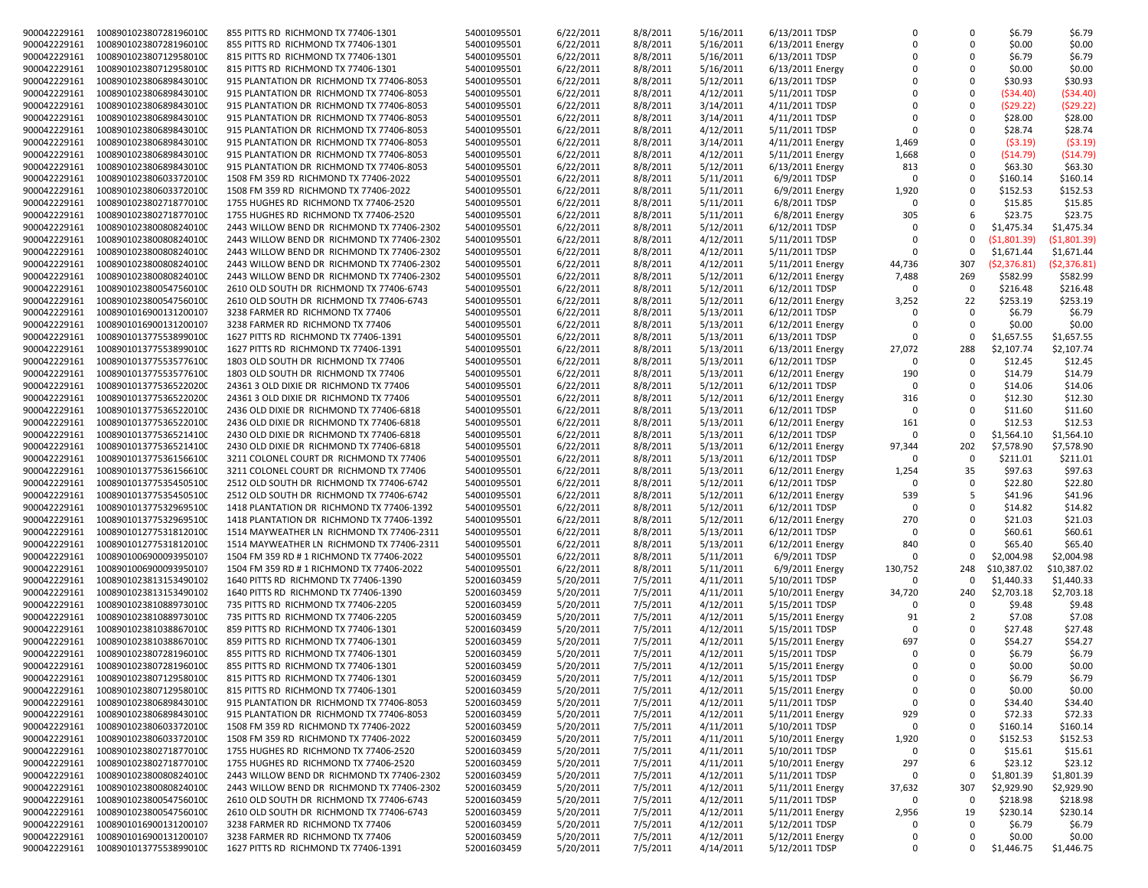| 900042229161 | 1008901023807281960100 | 855 PITTS RD RICHMOND TX 77406-1301        | 54001095501 | 6/22/2011 | 8/8/2011 | 5/16/2011 | 6/13/2011 TDSP   |             | 0              | \$6.79       | \$6.79      |
|--------------|------------------------|--------------------------------------------|-------------|-----------|----------|-----------|------------------|-------------|----------------|--------------|-------------|
| 900042229161 | 1008901023807281960100 | 855 PITTS RD RICHMOND TX 77406-1301        | 54001095501 | 6/22/2011 | 8/8/2011 | 5/16/2011 | 6/13/2011 Energy | $\Omega$    | $\Omega$       | \$0.00       | \$0.00      |
| 900042229161 | 1008901023807129580100 | 815 PITTS RD RICHMOND TX 77406-1301        | 54001095501 | 6/22/2011 | 8/8/2011 | 5/16/2011 | 6/13/2011 TDSP   |             | $\Omega$       | \$6.79       | \$6.79      |
|              |                        |                                            |             |           |          |           |                  | $\Omega$    | $\mathbf 0$    |              |             |
| 900042229161 | 1008901023807129580100 | 815 PITTS RD RICHMOND TX 77406-1301        | 54001095501 | 6/22/2011 | 8/8/2011 | 5/16/2011 | 6/13/2011 Energy |             |                | \$0.00       | \$0.00      |
| 900042229161 | 1008901023806898430100 | 915 PLANTATION DR RICHMOND TX 77406-8053   | 54001095501 | 6/22/2011 | 8/8/2011 | 5/12/2011 | 6/13/2011 TDSP   | $\Omega$    | $\mathbf 0$    | \$30.93      | \$30.93     |
| 900042229161 | 1008901023806898430100 | 915 PLANTATION DR RICHMOND TX 77406-8053   | 54001095501 | 6/22/2011 | 8/8/2011 | 4/12/2011 | 5/11/2011 TDSP   | $\Omega$    | $\mathbf 0$    | (\$34.40)    | (\$34.40)   |
| 900042229161 | 1008901023806898430100 | 915 PLANTATION DR RICHMOND TX 77406-8053   | 54001095501 | 6/22/2011 | 8/8/2011 | 3/14/2011 | 4/11/2011 TDSP   | $\Omega$    | $\Omega$       | (\$29.22)    |             |
|              |                        |                                            |             |           |          |           |                  |             |                |              | (\$29.22)   |
| 900042229161 | 1008901023806898430100 | 915 PLANTATION DR RICHMOND TX 77406-8053   | 54001095501 | 6/22/2011 | 8/8/2011 | 3/14/2011 | 4/11/2011 TDSP   | $\Omega$    | $\Omega$       | \$28.00      | \$28.00     |
| 900042229161 | 1008901023806898430100 | 915 PLANTATION DR RICHMOND TX 77406-8053   | 54001095501 | 6/22/2011 | 8/8/2011 | 4/12/2011 | 5/11/2011 TDSP   | $\Omega$    | $\mathbf 0$    | \$28.74      | \$28.74     |
| 900042229161 | 1008901023806898430100 | 915 PLANTATION DR RICHMOND TX 77406-8053   | 54001095501 | 6/22/2011 | 8/8/2011 | 3/14/2011 | 4/11/2011 Energy | 1,469       | 0              | (53.19)      | (53.19)     |
|              |                        |                                            |             |           |          |           |                  |             |                |              |             |
| 900042229161 | 1008901023806898430100 | 915 PLANTATION DR RICHMOND TX 77406-8053   | 54001095501 | 6/22/2011 | 8/8/2011 | 4/12/2011 | 5/11/2011 Energy | 1,668       | $\mathbf 0$    | ( \$14.79)   | (\$14.79)   |
| 900042229161 | 1008901023806898430100 | 915 PLANTATION DR RICHMOND TX 77406-8053   | 54001095501 | 6/22/2011 | 8/8/2011 | 5/12/2011 | 6/13/2011 Energy | 813         | $\Omega$       | \$63.30      | \$63.30     |
| 900042229161 | 1008901023806033720100 | 1508 FM 359 RD RICHMOND TX 77406-2022      | 54001095501 | 6/22/2011 | 8/8/2011 | 5/11/2011 | 6/9/2011 TDSP    | $\Omega$    | $\Omega$       | \$160.14     | \$160.14    |
|              |                        |                                            |             |           |          |           |                  |             |                |              |             |
| 900042229161 | 1008901023806033720100 | 1508 FM 359 RD RICHMOND TX 77406-2022      | 54001095501 | 6/22/2011 | 8/8/2011 | 5/11/2011 | 6/9/2011 Energy  | 1,920       | $\mathbf 0$    | \$152.53     | \$152.53    |
| 900042229161 | 1008901023802718770100 | 1755 HUGHES RD RICHMOND TX 77406-2520      | 54001095501 | 6/22/2011 | 8/8/2011 | 5/11/2011 | 6/8/2011 TDSP    | $\Omega$    | $\Omega$       | \$15.85      | \$15.85     |
| 900042229161 | 1008901023802718770100 | 1755 HUGHES RD RICHMOND TX 77406-2520      | 54001095501 | 6/22/2011 | 8/8/2011 | 5/11/2011 | 6/8/2011 Energy  | 305         | 6              | \$23.75      | \$23.75     |
| 900042229161 | 1008901023800808240100 | 2443 WILLOW BEND DR RICHMOND TX 77406-2302 | 54001095501 | 6/22/2011 | 8/8/2011 | 5/12/2011 | 6/12/2011 TDSP   | $\Omega$    | $\Omega$       | \$1,475.34   | \$1,475.34  |
|              |                        |                                            |             |           |          |           |                  |             |                |              |             |
| 900042229161 | 1008901023800808240100 | 2443 WILLOW BEND DR RICHMOND TX 77406-2302 | 54001095501 | 6/22/2011 | 8/8/2011 | 4/12/2011 | 5/11/2011 TDSP   | $\Omega$    | $\Omega$       | (\$1,801.39) | (51,801.39) |
| 900042229161 | 1008901023800808240100 | 2443 WILLOW BEND DR RICHMOND TX 77406-2302 | 54001095501 | 6/22/2011 | 8/8/2011 | 4/12/2011 | 5/11/2011 TDSP   | $\Omega$    | $\Omega$       | \$1,671.44   | \$1,671.44  |
| 900042229161 | 1008901023800808240100 | 2443 WILLOW BEND DR RICHMOND TX 77406-2302 | 54001095501 | 6/22/2011 | 8/8/2011 | 4/12/2011 | 5/11/2011 Energy | 44,736      | 307            | (\$2,376.81) | (\$2,376.81 |
|              |                        |                                            |             |           |          |           |                  |             |                |              |             |
| 900042229161 | 1008901023800808240100 | 2443 WILLOW BEND DR RICHMOND TX 77406-2302 | 54001095501 | 6/22/2011 | 8/8/2011 | 5/12/2011 | 6/12/2011 Energy | 7,488       | 269            | \$582.99     | \$582.99    |
| 900042229161 | 1008901023800547560100 | 2610 OLD SOUTH DR RICHMOND TX 77406-6743   | 54001095501 | 6/22/2011 | 8/8/2011 | 5/12/2011 | 6/12/2011 TDSP   | $\Omega$    | $\Omega$       | \$216.48     | \$216.48    |
| 900042229161 | 1008901023800547560100 | 2610 OLD SOUTH DR RICHMOND TX 77406-6743   | 54001095501 | 6/22/2011 | 8/8/2011 | 5/12/2011 | 6/12/2011 Energy | 3,252       | 22             | \$253.19     | \$253.19    |
|              |                        |                                            |             |           |          |           |                  | $\Omega$    |                |              |             |
| 900042229161 | 1008901016900131200107 | 3238 FARMER RD RICHMOND TX 77406           | 54001095501 | 6/22/2011 | 8/8/2011 | 5/13/2011 | 6/12/2011 TDSP   |             | $\mathbf 0$    | \$6.79       | \$6.79      |
| 900042229161 | 1008901016900131200107 | 3238 FARMER RD RICHMOND TX 77406           | 54001095501 | 6/22/2011 | 8/8/2011 | 5/13/2011 | 6/12/2011 Energy | $\Omega$    | $\Omega$       | \$0.00       | \$0.00      |
| 900042229161 | 1008901013775538990100 | 1627 PITTS RD RICHMOND TX 77406-1391       | 54001095501 | 6/22/2011 | 8/8/2011 | 5/13/2011 | 6/13/2011 TDSP   | $\Omega$    | $\mathbf 0$    | \$1,657.55   | \$1,657.55  |
| 900042229161 | 1008901013775538990100 |                                            | 54001095501 | 6/22/2011 | 8/8/2011 | 5/13/2011 | 6/13/2011 Energy | 27,072      | 288            | \$2,107.74   | \$2,107.74  |
|              |                        | 1627 PITTS RD RICHMOND TX 77406-1391       |             |           |          |           |                  |             |                |              |             |
| 900042229161 | 1008901013775535776100 | 1803 OLD SOUTH DR RICHMOND TX 77406        | 54001095501 | 6/22/2011 | 8/8/2011 | 5/13/2011 | 6/12/2011 TDSP   | $\Omega$    | $\Omega$       | \$12.45      | \$12.45     |
| 900042229161 | 1008901013775535776100 | 1803 OLD SOUTH DR RICHMOND TX 77406        | 54001095501 | 6/22/2011 | 8/8/2011 | 5/13/2011 | 6/12/2011 Energy | 190         | $\mathbf 0$    | \$14.79      | \$14.79     |
| 900042229161 | 1008901013775365220200 | 24361 3 OLD DIXIE DR RICHMOND TX 77406     | 54001095501 | 6/22/2011 | 8/8/2011 | 5/12/2011 | 6/12/2011 TDSP   | $\Omega$    | $\Omega$       | \$14.06      | \$14.06     |
|              |                        |                                            |             |           |          |           |                  |             |                |              |             |
| 900042229161 | 1008901013775365220200 | 24361 3 OLD DIXIE DR RICHMOND TX 77406     | 54001095501 | 6/22/2011 | 8/8/2011 | 5/12/2011 | 6/12/2011 Energy | 316         | $\mathbf 0$    | \$12.30      | \$12.30     |
| 900042229161 | 1008901013775365220100 | 2436 OLD DIXIE DR RICHMOND TX 77406-6818   | 54001095501 | 6/22/2011 | 8/8/2011 | 5/13/2011 | 6/12/2011 TDSP   | $\Omega$    | $\Omega$       | \$11.60      | \$11.60     |
| 900042229161 | 1008901013775365220100 | 2436 OLD DIXIE DR RICHMOND TX 77406-6818   | 54001095501 | 6/22/2011 | 8/8/2011 | 5/13/2011 | 6/12/2011 Energy | 161         | $\Omega$       | \$12.53      | \$12.53     |
| 900042229161 | 1008901013775365214100 | 2430 OLD DIXIE DR RICHMOND TX 77406-6818   | 54001095501 | 6/22/2011 | 8/8/2011 | 5/13/2011 | 6/12/2011 TDSP   | $\Omega$    | $\mathbf 0$    | \$1,564.10   | \$1,564.10  |
|              |                        |                                            |             |           |          |           |                  |             |                |              |             |
| 900042229161 | 1008901013775365214100 | 2430 OLD DIXIE DR RICHMOND TX 77406-6818   | 54001095501 | 6/22/2011 | 8/8/2011 | 5/13/2011 | 6/12/2011 Energy | 97,344      | 202            | \$7,578.90   | \$7,578.90  |
| 900042229161 | 1008901013775361566100 | 3211 COLONEL COURT DR RICHMOND TX 77406    | 54001095501 | 6/22/2011 | 8/8/2011 | 5/13/2011 | 6/12/2011 TDSP   | $\Omega$    | 0              | \$211.01     | \$211.01    |
| 900042229161 | 1008901013775361566100 | 3211 COLONEL COURT DR RICHMOND TX 77406    | 54001095501 | 6/22/2011 | 8/8/2011 | 5/13/2011 | 6/12/2011 Energy | 1,254       | 35             | \$97.63      | \$97.63     |
|              |                        |                                            |             |           |          |           |                  |             |                |              |             |
| 900042229161 | 1008901013775354505100 | 2512 OLD SOUTH DR RICHMOND TX 77406-6742   | 54001095501 | 6/22/2011 | 8/8/2011 | 5/12/2011 | 6/12/2011 TDSP   | $\Omega$    | $\Omega$       | \$22.80      | \$22.80     |
| 900042229161 | 1008901013775354505100 | 2512 OLD SOUTH DR RICHMOND TX 77406-6742   | 54001095501 | 6/22/2011 | 8/8/2011 | 5/12/2011 | 6/12/2011 Energy | 539         | 5              | \$41.96      | \$41.96     |
| 900042229161 | 1008901013775329695100 | 1418 PLANTATION DR RICHMOND TX 77406-1392  | 54001095501 | 6/22/2011 | 8/8/2011 | 5/12/2011 | 6/12/2011 TDSP   | $\Omega$    | 0              | \$14.82      | \$14.82     |
|              |                        |                                            |             |           |          |           |                  |             |                |              |             |
| 900042229161 | 1008901013775329695100 | 1418 PLANTATION DR RICHMOND TX 77406-1392  | 54001095501 | 6/22/2011 | 8/8/2011 | 5/12/2011 | 6/12/2011 Energy | 270         | $\mathbf 0$    | \$21.03      | \$21.03     |
| 900042229161 | 1008901012775318120100 | 1514 MAYWEATHER LN RICHMOND TX 77406-2311  | 54001095501 | 6/22/2011 | 8/8/2011 | 5/13/2011 | 6/12/2011 TDSP   | $\Omega$    | $\Omega$       | \$60.61      | \$60.61     |
| 900042229161 | 1008901012775318120100 | 1514 MAYWEATHER LN RICHMOND TX 77406-2311  | 54001095501 | 6/22/2011 | 8/8/2011 | 5/13/2011 | 6/12/2011 Energy | 840         | $\Omega$       | \$65.40      | \$65.40     |
| 900042229161 | 1008901006900093950107 |                                            |             |           | 8/8/2011 |           | 6/9/2011 TDSP    | $\Omega$    | $\Omega$       | \$2,004.98   | \$2,004.98  |
|              |                        | 1504 FM 359 RD # 1 RICHMOND TX 77406-2022  | 54001095501 | 6/22/2011 |          | 5/11/2011 |                  |             |                |              |             |
| 900042229161 | 1008901006900093950107 | 1504 FM 359 RD # 1 RICHMOND TX 77406-2022  | 54001095501 | 6/22/2011 | 8/8/2011 | 5/11/2011 | 6/9/2011 Energy  | 130,752     | 248            | \$10,387.02  | \$10,387.02 |
| 900042229161 | 1008901023813153490102 | 1640 PITTS RD RICHMOND TX 77406-1390       | 52001603459 | 5/20/2011 | 7/5/2011 | 4/11/2011 | 5/10/2011 TDSP   | $\Omega$    | 0              | \$1,440.33   | \$1,440.33  |
| 900042229161 | 1008901023813153490102 | 1640 PITTS RD RICHMOND TX 77406-1390       | 52001603459 | 5/20/2011 | 7/5/2011 | 4/11/2011 | 5/10/2011 Energy | 34,720      | 240            | \$2,703.18   | \$2,703.18  |
|              |                        |                                            |             |           |          |           |                  |             |                |              |             |
| 900042229161 | 1008901023810889730100 | 735 PITTS RD RICHMOND TX 77406-2205        | 52001603459 | 5/20/2011 | 7/5/2011 | 4/12/2011 | 5/15/2011 TDSP   | $\Omega$    | $\Omega$       | \$9.48       | \$9.48      |
| 900042229161 | 1008901023810889730100 | 735 PITTS RD RICHMOND TX 77406-2205        | 52001603459 | 5/20/2011 | 7/5/2011 | 4/12/2011 | 5/15/2011 Energy | 91          | $\overline{2}$ | \$7.08       | \$7.08      |
| 900042229161 | 1008901023810388670100 | 859 PITTS RD RICHMOND TX 77406-1301        | 52001603459 | 5/20/2011 | 7/5/2011 | 4/12/2011 | 5/15/2011 TDSP   | $\Omega$    | 0              | \$27.48      | \$27.48     |
| 900042229161 | 1008901023810388670100 | 859 PITTS RD RICHMOND TX 77406-1301        | 52001603459 | 5/20/2011 | 7/5/2011 |           |                  | 697         | $\mathbf 0$    | \$54.27      | \$54.27     |
|              |                        |                                            |             |           |          | 4/12/2011 | 5/15/2011 Energy |             |                |              |             |
| 900042229161 | 1008901023807281960100 | 855 PITTS RD RICHMOND TX 77406-1301        | 52001603459 | 5/20/2011 | 7/5/2011 | 4/12/2011 | 5/15/2011 TDSP   | $\Omega$    | $\Omega$       | \$6.79       | \$6.79      |
| 900042229161 | 1008901023807281960100 | 855 PITTS RD RICHMOND TX 77406-1301        | 52001603459 | 5/20/2011 | 7/5/2011 | 4/12/2011 | 5/15/2011 Energy | $\Omega$    | $\Omega$       | \$0.00       | \$0.00      |
| 900042229161 | 1008901023807129580100 | 815 PITTS RD RICHMOND TX 77406-1301        | 52001603459 | 5/20/2011 | 7/5/2011 | 4/12/2011 | 5/15/2011 TDSP   | $\mathbf 0$ | 0              | \$6.79       | \$6.79      |
|              |                        |                                            |             |           |          |           |                  |             |                |              |             |
| 900042229161 | 1008901023807129580100 | 815 PITTS RD RICHMOND TX 77406-1301        | 52001603459 | 5/20/2011 | 7/5/2011 | 4/12/2011 | 5/15/2011 Energy | $\mathbf 0$ | 0              | \$0.00       | \$0.00      |
| 900042229161 | 1008901023806898430100 | 915 PLANTATION DR RICHMOND TX 77406-8053   | 52001603459 | 5/20/2011 | 7/5/2011 | 4/12/2011 | 5/11/2011 TDSP   | $\mathbf 0$ | $\pmb{0}$      | \$34.40      | \$34.40     |
| 900042229161 | 1008901023806898430100 | 915 PLANTATION DR RICHMOND TX 77406-8053   | 52001603459 | 5/20/2011 | 7/5/2011 | 4/12/2011 | 5/11/2011 Energy | 929         | 0              | \$72.33      | \$72.33     |
| 900042229161 | 1008901023806033720100 |                                            |             |           |          |           |                  | $\Omega$    | 0              |              |             |
|              |                        | 1508 FM 359 RD RICHMOND TX 77406-2022      | 52001603459 | 5/20/2011 | 7/5/2011 | 4/11/2011 | 5/10/2011 TDSP   |             |                | \$160.14     | \$160.14    |
| 900042229161 | 1008901023806033720100 | 1508 FM 359 RD RICHMOND TX 77406-2022      | 52001603459 | 5/20/2011 | 7/5/2011 | 4/11/2011 | 5/10/2011 Energy | 1,920       | 0              | \$152.53     | \$152.53    |
| 900042229161 | 1008901023802718770100 | 1755 HUGHES RD RICHMOND TX 77406-2520      | 52001603459 | 5/20/2011 | 7/5/2011 | 4/11/2011 | 5/10/2011 TDSP   | $\Omega$    | 0              | \$15.61      | \$15.61     |
| 900042229161 | 1008901023802718770100 | 1755 HUGHES RD RICHMOND TX 77406-2520      | 52001603459 | 5/20/2011 | 7/5/2011 | 4/11/2011 | 5/10/2011 Energy | 297         | 6              | \$23.12      | \$23.12     |
|              |                        |                                            |             |           |          |           |                  |             |                |              |             |
| 900042229161 | 1008901023800808240100 | 2443 WILLOW BEND DR RICHMOND TX 77406-2302 | 52001603459 | 5/20/2011 | 7/5/2011 | 4/12/2011 | 5/11/2011 TDSP   | $\Omega$    | $\mathbf 0$    | \$1,801.39   | \$1,801.39  |
| 900042229161 | 1008901023800808240100 | 2443 WILLOW BEND DR RICHMOND TX 77406-2302 | 52001603459 | 5/20/2011 | 7/5/2011 | 4/12/2011 | 5/11/2011 Energy | 37,632      | 307            | \$2,929.90   | \$2,929.90  |
| 900042229161 | 1008901023800547560100 | 2610 OLD SOUTH DR RICHMOND TX 77406-6743   | 52001603459 | 5/20/2011 | 7/5/2011 | 4/12/2011 | 5/11/2011 TDSP   | $\Omega$    | 0              | \$218.98     | \$218.98    |
| 900042229161 | 1008901023800547560100 | 2610 OLD SOUTH DR RICHMOND TX 77406-6743   | 52001603459 | 5/20/2011 | 7/5/2011 | 4/12/2011 | 5/11/2011 Energy | 2,956       | 19             | \$230.14     | \$230.14    |
|              |                        |                                            |             |           |          |           |                  |             |                |              |             |
| 900042229161 | 1008901016900131200107 | 3238 FARMER RD RICHMOND TX 77406           | 52001603459 | 5/20/2011 | 7/5/2011 | 4/12/2011 | 5/12/2011 TDSP   | $\Omega$    | 0              | \$6.79       | \$6.79      |
| 900042229161 | 1008901016900131200107 | 3238 FARMER RD RICHMOND TX 77406           | 52001603459 | 5/20/2011 | 7/5/2011 | 4/12/2011 | 5/12/2011 Energy | 0           | $\mathbf 0$    | \$0.00       | \$0.00      |
| 900042229161 | 1008901013775538990100 | 1627 PITTS RD RICHMOND TX 77406-1391       | 52001603459 | 5/20/2011 | 7/5/2011 | 4/14/2011 | 5/12/2011 TDSP   | 0           | 0              | \$1,446.75   | \$1,446.75  |
|              |                        |                                            |             |           |          |           |                  |             |                |              |             |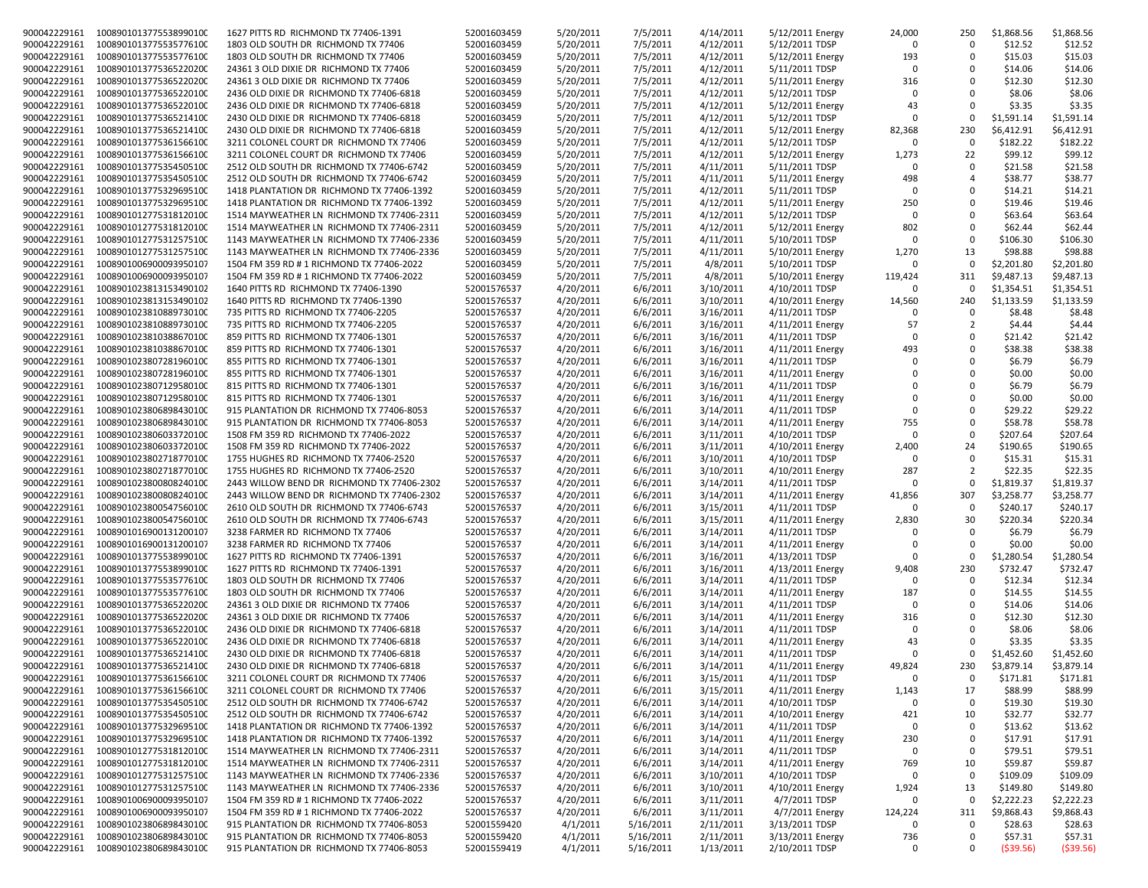| 900042229161 | 1008901013775538990100              | 1627 PITTS RD RICHMOND TX 77406-1391       | 52001603459 | 5/20/2011 | 7/5/2011  | 4/14/2011 | 5/12/2011 Energy | 24,000       | 250            | \$1,868.56 | \$1,868.56 |
|--------------|-------------------------------------|--------------------------------------------|-------------|-----------|-----------|-----------|------------------|--------------|----------------|------------|------------|
|              |                                     |                                            |             |           |           |           |                  | $\Omega$     | $\Omega$       |            |            |
| 900042229161 | 1008901013775535776100              | 1803 OLD SOUTH DR RICHMOND TX 77406        | 52001603459 | 5/20/2011 | 7/5/2011  | 4/12/2011 | 5/12/2011 TDSP   |              |                | \$12.52    | \$12.52    |
| 900042229161 | 1008901013775535776100              | 1803 OLD SOUTH DR RICHMOND TX 77406        | 52001603459 | 5/20/2011 | 7/5/2011  | 4/12/2011 | 5/12/2011 Energy | 193          | $\Omega$       | \$15.03    | \$15.03    |
| 900042229161 | 1008901013775365220200              | 24361 3 OLD DIXIE DR RICHMOND TX 77406     | 52001603459 | 5/20/2011 | 7/5/2011  | 4/12/2011 | 5/11/2011 TDSP   | $\Omega$     | 0              | \$14.06    | \$14.06    |
| 900042229161 | 1008901013775365220200              | 24361 3 OLD DIXIE DR RICHMOND TX 77406     | 52001603459 | 5/20/2011 | 7/5/2011  | 4/12/2011 | 5/11/2011 Energy | 316          | $\Omega$       | \$12.30    | \$12.30    |
| 900042229161 | 1008901013775365220100              | 2436 OLD DIXIE DR RICHMOND TX 77406-6818   | 52001603459 | 5/20/2011 | 7/5/2011  | 4/12/2011 | 5/12/2011 TDSP   | $\Omega$     | $\Omega$       | \$8.06     | \$8.06     |
| 900042229161 | 1008901013775365220100              | 2436 OLD DIXIE DR RICHMOND TX 77406-6818   | 52001603459 | 5/20/2011 | 7/5/2011  | 4/12/2011 | 5/12/2011 Energy | 43           | $\Omega$       | \$3.35     | \$3.35     |
| 900042229161 | 1008901013775365214100              | 2430 OLD DIXIE DR RICHMOND TX 77406-6818   | 52001603459 | 5/20/2011 | 7/5/2011  | 4/12/2011 | 5/12/2011 TDSP   | $\Omega$     | $\mathbf 0$    | \$1,591.14 | \$1,591.14 |
| 900042229161 | 1008901013775365214100              | 2430 OLD DIXIE DR RICHMOND TX 77406-6818   | 52001603459 | 5/20/2011 | 7/5/2011  | 4/12/2011 | 5/12/2011 Energy | 82,368       | 230            | \$6,412.91 | \$6,412.91 |
| 900042229161 | 1008901013775361566100              | 3211 COLONEL COURT DR RICHMOND TX 77406    | 52001603459 | 5/20/2011 | 7/5/2011  | 4/12/2011 | 5/12/2011 TDSP   | $\Omega$     | $\Omega$       | \$182.22   | \$182.22   |
| 900042229161 | 1008901013775361566100              | 3211 COLONEL COURT DR RICHMOND TX 77406    | 52001603459 | 5/20/2011 | 7/5/2011  | 4/12/2011 | 5/12/2011 Energy | 1,273        | 22             | \$99.12    | \$99.12    |
| 900042229161 | 1008901013775354505100              | 2512 OLD SOUTH DR RICHMOND TX 77406-6742   | 52001603459 | 5/20/2011 | 7/5/2011  | 4/11/2011 | 5/11/2011 TDSP   | $\Omega$     | $\Omega$       | \$21.58    | \$21.58    |
| 900042229161 | 1008901013775354505100              | 2512 OLD SOUTH DR RICHMOND TX 77406-6742   |             | 5/20/2011 | 7/5/2011  |           |                  | 498          | $\overline{4}$ | \$38.77    | \$38.77    |
|              |                                     |                                            | 52001603459 |           |           | 4/11/2011 | 5/11/2011 Energy | $\Omega$     | $\mathbf 0$    |            |            |
| 900042229161 | 1008901013775329695100              | 1418 PLANTATION DR RICHMOND TX 77406-1392  | 52001603459 | 5/20/2011 | 7/5/2011  | 4/12/2011 | 5/11/2011 TDSP   |              |                | \$14.21    | \$14.21    |
| 900042229161 | 1008901013775329695100              | 1418 PLANTATION DR RICHMOND TX 77406-1392  | 52001603459 | 5/20/2011 | 7/5/2011  | 4/12/2011 | 5/11/2011 Energy | 250          | 0              | \$19.46    | \$19.46    |
| 900042229161 | 1008901012775318120100              | 1514 MAYWEATHER LN RICHMOND TX 77406-2311  | 52001603459 | 5/20/2011 | 7/5/2011  | 4/12/2011 | 5/12/2011 TDSP   | $\Omega$     | $\mathbf 0$    | \$63.64    | \$63.64    |
| 900042229161 | 1008901012775318120100              | 1514 MAYWEATHER LN RICHMOND TX 77406-2311  | 52001603459 | 5/20/2011 | 7/5/2011  | 4/12/2011 | 5/12/2011 Energy | 802          | $\Omega$       | \$62.44    | \$62.44    |
| 900042229161 | 1008901012775312575100              | 1143 MAYWEATHER LN RICHMOND TX 77406-2336  | 52001603459 | 5/20/2011 | 7/5/2011  | 4/11/2011 | 5/10/2011 TDSP   | $\Omega$     | $\mathbf 0$    | \$106.30   | \$106.30   |
| 900042229161 | 1008901012775312575100              | 1143 MAYWEATHER LN RICHMOND TX 77406-2336  | 52001603459 | 5/20/2011 | 7/5/2011  | 4/11/2011 | 5/10/2011 Energy | 1,270        | 13             | \$98.88    | \$98.88    |
| 900042229161 | 1008901006900093950107              | 1504 FM 359 RD # 1 RICHMOND TX 77406-2022  | 52001603459 | 5/20/2011 | 7/5/2011  | 4/8/2011  | 5/10/2011 TDSP   | $\Omega$     | $\Omega$       | \$2,201.80 | \$2,201.80 |
| 900042229161 | 1008901006900093950107              | 1504 FM 359 RD # 1 RICHMOND TX 77406-2022  | 52001603459 | 5/20/2011 | 7/5/2011  | 4/8/2011  | 5/10/2011 Energy | 119,424      | 311            | \$9,487.13 | \$9,487.13 |
| 900042229161 | 1008901023813153490102              | 1640 PITTS RD RICHMOND TX 77406-1390       | 52001576537 | 4/20/2011 | 6/6/2011  | 3/10/2011 | 4/10/2011 TDSP   | $\Omega$     | $\Omega$       | \$1,354.51 | \$1,354.51 |
| 900042229161 | 1008901023813153490102              | 1640 PITTS RD RICHMOND TX 77406-1390       | 52001576537 | 4/20/2011 | 6/6/2011  | 3/10/2011 | 4/10/2011 Energy | 14,560       | 240            | \$1,133.59 | \$1,133.59 |
| 900042229161 | 1008901023810889730100              | 735 PITTS RD RICHMOND TX 77406-2205        | 52001576537 | 4/20/2011 | 6/6/2011  |           | 4/11/2011 TDSP   | <sup>0</sup> | 0              | \$8.48     | \$8.48     |
|              |                                     |                                            |             |           |           | 3/16/2011 |                  |              |                |            |            |
| 900042229161 | 1008901023810889730100              | 735 PITTS RD RICHMOND TX 77406-2205        | 52001576537 | 4/20/2011 | 6/6/2011  | 3/16/2011 | 4/11/2011 Energy | 57           | $\overline{2}$ | \$4.44     | \$4.44     |
| 900042229161 | 1008901023810388670100              | 859 PITTS RD RICHMOND TX 77406-1301        | 52001576537 | 4/20/2011 | 6/6/2011  | 3/16/2011 | 4/11/2011 TDSP   | $\Omega$     | $\mathbf 0$    | \$21.42    | \$21.42    |
| 900042229161 | 1008901023810388670100              | 859 PITTS RD RICHMOND TX 77406-1301        | 52001576537 | 4/20/2011 | 6/6/2011  | 3/16/2011 | 4/11/2011 Energy | 493          | $\Omega$       | \$38.38    | \$38.38    |
| 900042229161 | 1008901023807281960100              | 855 PITTS RD RICHMOND TX 77406-1301        | 52001576537 | 4/20/2011 | 6/6/2011  | 3/16/2011 | 4/11/2011 TDSP   |              | $\Omega$       | \$6.79     | \$6.79     |
| 900042229161 | 1008901023807281960100              | 855 PITTS RD RICHMOND TX 77406-1301        | 52001576537 | 4/20/2011 | 6/6/2011  | 3/16/2011 | 4/11/2011 Energy | $\Omega$     | $\Omega$       | \$0.00     | \$0.00     |
| 900042229161 | 1008901023807129580100              | 815 PITTS RD RICHMOND TX 77406-1301        | 52001576537 | 4/20/2011 | 6/6/2011  | 3/16/2011 | 4/11/2011 TDSP   | $\Omega$     | $\Omega$       | \$6.79     | \$6.79     |
| 900042229161 | 1008901023807129580100              | 815 PITTS RD RICHMOND TX 77406-1301        | 52001576537 | 4/20/2011 | 6/6/2011  | 3/16/2011 | 4/11/2011 Energy | $\Omega$     | $\mathbf 0$    | \$0.00     | \$0.00     |
| 900042229161 | 1008901023806898430100              | 915 PLANTATION DR RICHMOND TX 77406-8053   | 52001576537 | 4/20/2011 | 6/6/2011  | 3/14/2011 | 4/11/2011 TDSP   | $\Omega$     | $\Omega$       | \$29.22    | \$29.22    |
| 900042229161 | 1008901023806898430100              | 915 PLANTATION DR RICHMOND TX 77406-8053   | 52001576537 | 4/20/2011 | 6/6/2011  | 3/14/2011 | 4/11/2011 Energy | 755          | $\mathbf 0$    | \$58.78    | \$58.78    |
| 900042229161 | 1008901023806033720100              | 1508 FM 359 RD RICHMOND TX 77406-2022      | 52001576537 | 4/20/2011 | 6/6/2011  | 3/11/2011 | 4/10/2011 TDSP   | $\Omega$     | $\mathbf 0$    | \$207.64   | \$207.64   |
| 900042229161 | 1008901023806033720100              | 1508 FM 359 RD RICHMOND TX 77406-2022      | 52001576537 | 4/20/2011 | 6/6/2011  | 3/11/2011 | 4/10/2011 Energy | 2,400        | 24             | \$190.65   | \$190.65   |
| 900042229161 | 1008901023802718770100              |                                            |             | 4/20/2011 | 6/6/2011  | 3/10/2011 | 4/10/2011 TDSP   | $\Omega$     | $\Omega$       | \$15.31    | \$15.31    |
|              |                                     | 1755 HUGHES RD RICHMOND TX 77406-2520      | 52001576537 |           |           |           |                  |              |                |            |            |
| 900042229161 | 1008901023802718770100              | 1755 HUGHES RD RICHMOND TX 77406-2520      | 52001576537 | 4/20/2011 | 6/6/2011  | 3/10/2011 | 4/10/2011 Energy | 287          | $\overline{2}$ | \$22.35    | \$22.35    |
| 900042229161 | 1008901023800808240100              | 2443 WILLOW BEND DR RICHMOND TX 77406-2302 | 52001576537 | 4/20/2011 | 6/6/2011  | 3/14/2011 | 4/11/2011 TDSP   | $\Omega$     | $\mathbf 0$    | \$1,819.37 | \$1,819.37 |
| 900042229161 | 1008901023800808240100              | 2443 WILLOW BEND DR RICHMOND TX 77406-2302 | 52001576537 | 4/20/2011 | 6/6/2011  | 3/14/2011 | 4/11/2011 Energy | 41,856       | 307            | \$3,258.77 | \$3,258.77 |
| 900042229161 | 1008901023800547560100              | 2610 OLD SOUTH DR RICHMOND TX 77406-6743   | 52001576537 | 4/20/2011 | 6/6/2011  | 3/15/2011 | 4/11/2011 TDSP   | $\Omega$     | $\Omega$       | \$240.17   | \$240.17   |
| 900042229161 | 1008901023800547560100              | 2610 OLD SOUTH DR RICHMOND TX 77406-6743   | 52001576537 | 4/20/2011 | 6/6/2011  | 3/15/2011 | 4/11/2011 Energy | 2,830        | 30             | \$220.34   | \$220.34   |
| 900042229161 | 1008901016900131200107              | 3238 FARMER RD RICHMOND TX 77406           | 52001576537 | 4/20/2011 | 6/6/2011  | 3/14/2011 | 4/11/2011 TDSP   |              | $\Omega$       | \$6.79     | \$6.79     |
| 900042229161 | 1008901016900131200107              | 3238 FARMER RD RICHMOND TX 77406           | 52001576537 | 4/20/2011 | 6/6/2011  | 3/14/2011 | 4/11/2011 Energy | $\Omega$     | $\Omega$       | \$0.00     | \$0.00     |
| 900042229161 | 1008901013775538990100              | 1627 PITTS RD RICHMOND TX 77406-1391       | 52001576537 | 4/20/2011 | 6/6/2011  | 3/16/2011 | 4/13/2011 TDSP   | $\Omega$     | 0              | \$1,280.54 | \$1,280.54 |
| 900042229161 | 1008901013775538990100              | 1627 PITTS RD RICHMOND TX 77406-1391       | 52001576537 | 4/20/2011 | 6/6/2011  | 3/16/2011 | 4/13/2011 Energy | 9,408        | 230            | \$732.47   | \$732.47   |
| 900042229161 | 1008901013775535776100              | 1803 OLD SOUTH DR RICHMOND TX 77406        | 52001576537 | 4/20/2011 | 6/6/2011  | 3/14/2011 | 4/11/2011 TDSP   | $\Omega$     | 0              | \$12.34    | \$12.34    |
| 900042229161 | 1008901013775535776100              | 1803 OLD SOUTH DR RICHMOND TX 77406        | 52001576537 | 4/20/2011 | 6/6/2011  | 3/14/2011 | 4/11/2011 Energy | 187          | $\Omega$       | \$14.55    | \$14.55    |
| 900042229161 | 1008901013775365220200              | 24361 3 OLD DIXIE DR RICHMOND TX 77406     | 52001576537 | 4/20/2011 | 6/6/2011  | 3/14/2011 | 4/11/2011 TDSP   | $\Omega$     | $\Omega$       | \$14.06    | \$14.06    |
| 900042229161 | 1008901013775365220200              | 24361 3 OLD DIXIE DR RICHMOND TX 77406     | 52001576537 | 4/20/2011 | 6/6/2011  | 3/14/2011 | 4/11/2011 Energy | 316          | 0              | \$12.30    | \$12.30    |
| 900042229161 |                                     |                                            | 52001576537 | 4/20/2011 |           |           | 4/11/2011 TDSP   | $\Omega$     | $\Omega$       | \$8.06     | \$8.06     |
|              | 1008901013775365220100              | 2436 OLD DIXIE DR RICHMOND TX 77406-6818   |             |           | 6/6/2011  | 3/14/2011 |                  |              | $\Omega$       |            |            |
| 900042229161 | 1008901013775365220100              | 2436 OLD DIXIE DR RICHMOND TX 77406-6818   | 52001576537 | 4/20/2011 | 6/6/2011  | 3/14/2011 | 4/11/2011 Energy | 43           |                | \$3.35     | \$3.35     |
| 900042229161 | 1008901013775365214100              | 2430 OLD DIXIE DR RICHMOND TX 77406-6818   | 52001576537 | 4/20/2011 | 6/6/2011  | 3/14/2011 | 4/11/2011 TDSP   | $\Omega$     | $\Omega$       | \$1,452.60 | \$1,452.60 |
| 900042229161 | 1008901013775365214100              | 2430 OLD DIXIE DR RICHMOND TX 77406-6818   | 52001576537 | 4/20/2011 | 6/6/2011  | 3/14/2011 | 4/11/2011 Energy | 49,824       | 230            | \$3,879.14 | \$3,879.14 |
| 900042229161 | 1008901013775361566100              | 3211 COLONEL COURT DR RICHMOND TX 77406    | 52001576537 | 4/20/2011 | 6/6/2011  | 3/15/2011 | 4/11/2011 TDSP   | $\mathbf 0$  | 0              | \$171.81   | \$171.81   |
|              | 900042229161 1008901013775361566100 | 3211 COLONEL COURT DR RICHMOND TX 77406    | 52001576537 | 4/20/2011 | 6/6/2011  | 3/15/2011 | 4/11/2011 Energy | 1,143        | 17             | \$88.99    | \$88.99    |
| 900042229161 | 1008901013775354505100              | 2512 OLD SOUTH DR RICHMOND TX 77406-6742   | 52001576537 | 4/20/2011 | 6/6/2011  | 3/14/2011 | 4/10/2011 TDSP   | $\Omega$     | 0              | \$19.30    | \$19.30    |
| 900042229161 | 1008901013775354505100              | 2512 OLD SOUTH DR RICHMOND TX 77406-6742   | 52001576537 | 4/20/2011 | 6/6/2011  | 3/14/2011 | 4/10/2011 Energy | 421          | 10             | \$32.77    | \$32.77    |
| 900042229161 | 1008901013775329695100              | 1418 PLANTATION DR RICHMOND TX 77406-1392  | 52001576537 | 4/20/2011 | 6/6/2011  | 3/14/2011 | 4/11/2011 TDSP   | $\Omega$     | 0              | \$13.62    | \$13.62    |
| 900042229161 | 1008901013775329695100              | 1418 PLANTATION DR RICHMOND TX 77406-1392  | 52001576537 | 4/20/2011 | 6/6/2011  | 3/14/2011 | 4/11/2011 Energy | 230          | 0              | \$17.91    | \$17.91    |
|              | 900042229161 1008901012775318120100 | 1514 MAYWEATHER LN RICHMOND TX 77406-2311  | 52001576537 | 4/20/2011 | 6/6/2011  | 3/14/2011 | 4/11/2011 TDSP   | $\Omega$     | 0              | \$79.51    | \$79.51    |
| 900042229161 | 1008901012775318120100              | 1514 MAYWEATHER LN RICHMOND TX 77406-2311  | 52001576537 | 4/20/2011 | 6/6/2011  | 3/14/2011 | 4/11/2011 Energy | 769          | 10             | \$59.87    | \$59.87    |
| 900042229161 | 1008901012775312575100              | 1143 MAYWEATHER LN RICHMOND TX 77406-2336  | 52001576537 | 4/20/2011 | 6/6/2011  | 3/10/2011 | 4/10/2011 TDSP   | $\Omega$     | 0              | \$109.09   | \$109.09   |
| 900042229161 | 1008901012775312575100              |                                            |             |           |           |           |                  |              |                |            |            |
|              |                                     | 1143 MAYWEATHER LN RICHMOND TX 77406-2336  | 52001576537 | 4/20/2011 | 6/6/2011  | 3/10/2011 | 4/10/2011 Energy | 1,924        | 13             | \$149.80   | \$149.80   |
| 900042229161 | 1008901006900093950107              | 1504 FM 359 RD # 1 RICHMOND TX 77406-2022  | 52001576537 | 4/20/2011 | 6/6/2011  | 3/11/2011 | 4/7/2011 TDSP    | $\Omega$     | 0              | \$2,222.23 | \$2,222.23 |
| 900042229161 | 1008901006900093950107              | 1504 FM 359 RD # 1 RICHMOND TX 77406-2022  | 52001576537 | 4/20/2011 | 6/6/2011  | 3/11/2011 | 4/7/2011 Energy  | 124,224      | 311            | \$9,868.43 | \$9,868.43 |
| 900042229161 | 1008901023806898430100              | 915 PLANTATION DR RICHMOND TX 77406-8053   | 52001559420 | 4/1/2011  | 5/16/2011 | 2/11/2011 | 3/13/2011 TDSP   | $\Omega$     | 0              | \$28.63    | \$28.63    |
| 900042229161 | 1008901023806898430100              | 915 PLANTATION DR RICHMOND TX 77406-8053   | 52001559420 | 4/1/2011  | 5/16/2011 | 2/11/2011 | 3/13/2011 Energy | 736          | 0              | \$57.31    | \$57.31    |
| 900042229161 | 1008901023806898430100              | 915 PLANTATION DR RICHMOND TX 77406-8053   | 52001559419 | 4/1/2011  | 5/16/2011 | 1/13/2011 | 2/10/2011 TDSP   | 0            | 0              | (539.56)   | ( \$39.56) |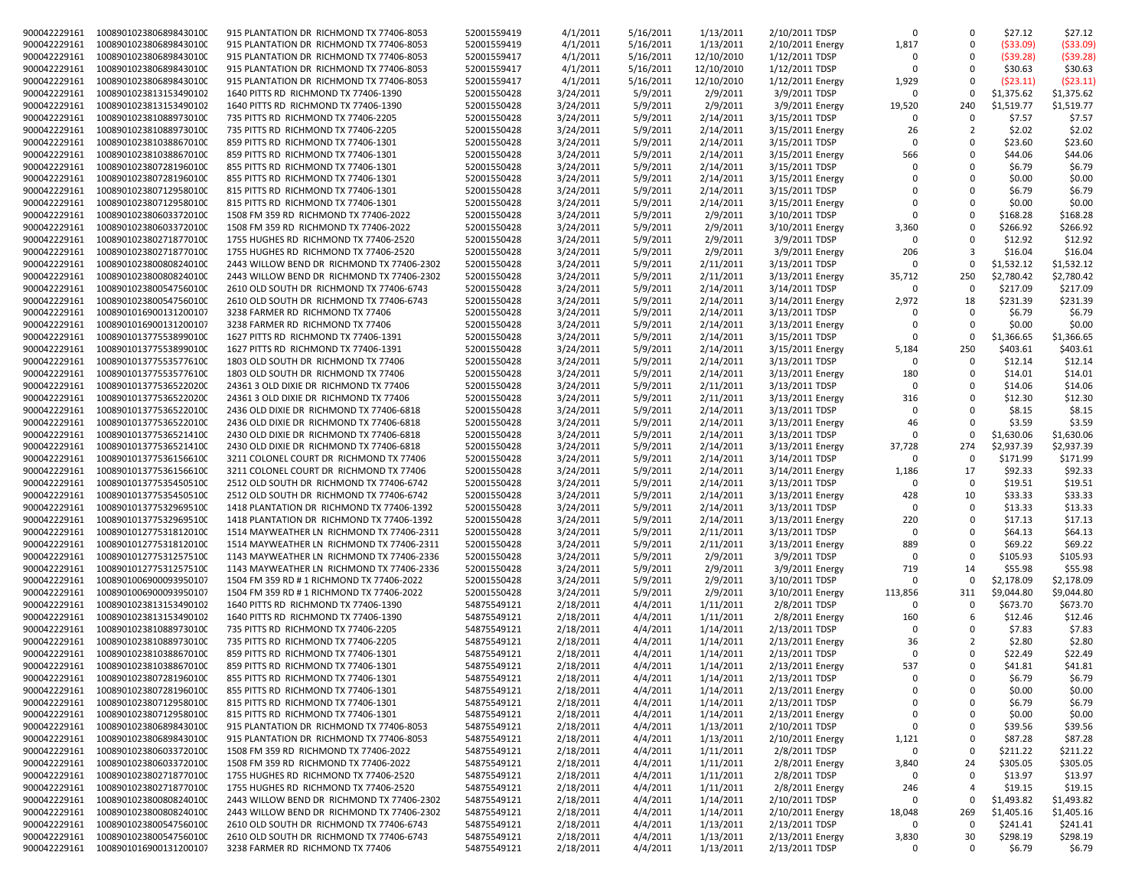| 900042229161 | 1008901023806898430100 | 915 PLANTATION DR RICHMOND TX 77406-8053   | 52001559419 | 4/1/2011  | 5/16/2011 | 1/13/2011  | 2/10/2011 TDSP   | $\Omega$    | 0              | \$27.12      | \$27.12    |
|--------------|------------------------|--------------------------------------------|-------------|-----------|-----------|------------|------------------|-------------|----------------|--------------|------------|
| 900042229161 | 1008901023806898430100 | 915 PLANTATION DR RICHMOND TX 77406-8053   | 52001559419 | 4/1/2011  | 5/16/2011 | 1/13/2011  | 2/10/2011 Energy | 1,817       | $\Omega$       | ( \$33.09)   | (\$33.09)  |
| 900042229161 | 1008901023806898430100 | 915 PLANTATION DR RICHMOND TX 77406-8053   | 52001559417 | 4/1/2011  | 5/16/2011 | 12/10/2010 | 1/12/2011 TDSP   | $\Omega$    | $\Omega$       | $($ \$39.28) | (\$39.28)  |
|              |                        |                                            |             |           |           |            |                  | $\Omega$    |                |              |            |
| 900042229161 | 1008901023806898430100 | 915 PLANTATION DR RICHMOND TX 77406-8053   | 52001559417 | 4/1/2011  | 5/16/2011 | 12/10/2010 | 1/12/2011 TDSP   |             | $\mathbf 0$    | \$30.63      | \$30.63    |
| 900042229161 | 1008901023806898430100 | 915 PLANTATION DR RICHMOND TX 77406-8053   | 52001559417 | 4/1/2011  | 5/16/2011 | 12/10/2010 | 1/12/2011 Energy | 1,929       | $\mathbf 0$    | (523.11)     | (523.11)   |
| 900042229161 | 1008901023813153490102 | 1640 PITTS RD RICHMOND TX 77406-1390       | 52001550428 | 3/24/2011 | 5/9/2011  | 2/9/2011   | 3/9/2011 TDSP    | $\Omega$    | $\mathbf 0$    | \$1,375.62   | \$1,375.62 |
|              |                        |                                            |             |           |           |            |                  |             |                |              |            |
| 900042229161 | 1008901023813153490102 | 1640 PITTS RD RICHMOND TX 77406-1390       | 52001550428 | 3/24/2011 | 5/9/2011  | 2/9/2011   | 3/9/2011 Energy  | 19,520      | 240            | \$1,519.77   | \$1,519.77 |
| 900042229161 | 1008901023810889730100 | 735 PITTS RD RICHMOND TX 77406-2205        | 52001550428 | 3/24/2011 | 5/9/2011  | 2/14/2011  | 3/15/2011 TDSP   | $\Omega$    | $\Omega$       | \$7.57       | \$7.57     |
| 900042229161 | 1008901023810889730100 | 735 PITTS RD RICHMOND TX 77406-2205        | 52001550428 | 3/24/2011 | 5/9/2011  | 2/14/2011  | 3/15/2011 Energy | 26          | $\overline{2}$ | \$2.02       | \$2.02     |
|              |                        |                                            |             |           |           |            |                  |             |                |              |            |
| 900042229161 | 1008901023810388670100 | 859 PITTS RD RICHMOND TX 77406-1301        | 52001550428 | 3/24/2011 | 5/9/2011  | 2/14/2011  | 3/15/2011 TDSP   | $\Omega$    | $\Omega$       | \$23.60      | \$23.60    |
| 900042229161 | 1008901023810388670100 | 859 PITTS RD RICHMOND TX 77406-1301        | 52001550428 | 3/24/2011 | 5/9/2011  | 2/14/2011  | 3/15/2011 Energy | 566         | $\mathbf 0$    | \$44.06      | \$44.06    |
| 900042229161 | 1008901023807281960100 | 855 PITTS RD RICHMOND TX 77406-1301        | 52001550428 | 3/24/2011 | 5/9/2011  | 2/14/2011  | 3/15/2011 TDSP   | $\Omega$    | $\Omega$       | \$6.79       | \$6.79     |
|              |                        |                                            |             |           |           |            |                  |             |                |              |            |
| 900042229161 | 1008901023807281960100 | 855 PITTS RD RICHMOND TX 77406-1301        | 52001550428 | 3/24/2011 | 5/9/2011  | 2/14/2011  | 3/15/2011 Energy |             | $\Omega$       | \$0.00       | \$0.00     |
| 900042229161 | 1008901023807129580100 | 815 PITTS RD RICHMOND TX 77406-1301        | 52001550428 | 3/24/2011 | 5/9/2011  | 2/14/2011  | 3/15/2011 TDSP   | $\Omega$    | $\Omega$       | \$6.79       | \$6.79     |
| 900042229161 | 1008901023807129580100 | 815 PITTS RD RICHMOND TX 77406-1301        | 52001550428 | 3/24/2011 | 5/9/2011  | 2/14/2011  | 3/15/2011 Energy | $\Omega$    | $\Omega$       | \$0.00       | \$0.00     |
|              | 1008901023806033720100 |                                            |             |           |           |            | 3/10/2011 TDSP   | $\Omega$    | $\mathbf 0$    |              |            |
| 900042229161 |                        | 1508 FM 359 RD RICHMOND TX 77406-2022      | 52001550428 | 3/24/2011 | 5/9/2011  | 2/9/2011   |                  |             |                | \$168.28     | \$168.28   |
| 900042229161 | 1008901023806033720100 | 1508 FM 359 RD RICHMOND TX 77406-2022      | 52001550428 | 3/24/2011 | 5/9/2011  | 2/9/2011   | 3/10/2011 Energy | 3,360       | $\Omega$       | \$266.92     | \$266.92   |
| 900042229161 | 1008901023802718770100 | 1755 HUGHES RD RICHMOND TX 77406-2520      | 52001550428 | 3/24/2011 | 5/9/2011  | 2/9/2011   | 3/9/2011 TDSP    | $\Omega$    | $\Omega$       | \$12.92      | \$12.92    |
| 900042229161 | 1008901023802718770100 | 1755 HUGHES RD RICHMOND TX 77406-2520      | 52001550428 | 3/24/2011 | 5/9/2011  | 2/9/2011   | 3/9/2011 Energy  | 206         | 3              | \$16.04      | \$16.04    |
|              |                        |                                            |             |           |           |            |                  |             |                |              |            |
| 900042229161 | 1008901023800808240100 | 2443 WILLOW BEND DR RICHMOND TX 77406-2302 | 52001550428 | 3/24/2011 | 5/9/2011  | 2/11/2011  | 3/13/2011 TDSP   | $\Omega$    | 0              | \$1,532.12   | \$1,532.12 |
| 900042229161 | 1008901023800808240100 | 2443 WILLOW BEND DR RICHMOND TX 77406-2302 | 52001550428 | 3/24/2011 | 5/9/2011  | 2/11/2011  | 3/13/2011 Energy | 35,712      | 250            | \$2,780.42   | \$2,780.42 |
| 900042229161 | 1008901023800547560100 | 2610 OLD SOUTH DR RICHMOND TX 77406-6743   | 52001550428 | 3/24/2011 | 5/9/2011  | 2/14/2011  | 3/14/2011 TDSP   | $\Omega$    | $\Omega$       | \$217.09     | \$217.09   |
|              |                        |                                            |             |           |           |            |                  |             |                |              |            |
| 900042229161 | 1008901023800547560100 | 2610 OLD SOUTH DR RICHMOND TX 77406-6743   | 52001550428 | 3/24/2011 | 5/9/2011  | 2/14/2011  | 3/14/2011 Energy | 2,972       | 18             | \$231.39     | \$231.39   |
| 900042229161 | 1008901016900131200107 | 3238 FARMER RD RICHMOND TX 77406           | 52001550428 | 3/24/2011 | 5/9/2011  | 2/14/2011  | 3/13/2011 TDSP   | $\Omega$    | $\mathbf 0$    | \$6.79       | \$6.79     |
|              |                        |                                            |             |           |           |            |                  | $\Omega$    | 0              |              |            |
| 900042229161 | 1008901016900131200107 | 3238 FARMER RD RICHMOND TX 77406           | 52001550428 | 3/24/2011 | 5/9/2011  | 2/14/2011  | 3/13/2011 Energy |             |                | \$0.00       | \$0.00     |
| 900042229161 | 1008901013775538990100 | 1627 PITTS RD RICHMOND TX 77406-1391       | 52001550428 | 3/24/2011 | 5/9/2011  | 2/14/2011  | 3/15/2011 TDSP   | $\Omega$    | $\mathbf 0$    | \$1,366.65   | \$1,366.65 |
| 900042229161 | 1008901013775538990100 | 1627 PITTS RD RICHMOND TX 77406-1391       | 52001550428 | 3/24/2011 | 5/9/2011  | 2/14/2011  | 3/15/2011 Energy | 5,184       | 250            | \$403.61     | \$403.61   |
|              |                        |                                            | 52001550428 |           |           |            |                  | $\Omega$    | $\Omega$       |              |            |
| 900042229161 | 1008901013775535776100 | 1803 OLD SOUTH DR RICHMOND TX 77406        |             | 3/24/2011 | 5/9/2011  | 2/14/2011  | 3/13/2011 TDSP   |             |                | \$12.14      | \$12.14    |
| 900042229161 | 1008901013775535776100 | 1803 OLD SOUTH DR RICHMOND TX 77406        | 52001550428 | 3/24/2011 | 5/9/2011  | 2/14/2011  | 3/13/2011 Energy | 180         | $\mathbf 0$    | \$14.01      | \$14.01    |
| 900042229161 | 1008901013775365220200 | 24361 3 OLD DIXIE DR RICHMOND TX 77406     | 52001550428 | 3/24/2011 | 5/9/2011  | 2/11/2011  | 3/13/2011 TDSP   | $\Omega$    | $\Omega$       | \$14.06      | \$14.06    |
| 900042229161 | 1008901013775365220200 | 24361 3 OLD DIXIE DR RICHMOND TX 77406     | 52001550428 | 3/24/2011 | 5/9/2011  | 2/11/2011  | 3/13/2011 Energy | 316         | $\mathbf 0$    | \$12.30      | \$12.30    |
|              |                        |                                            |             |           |           |            |                  |             |                |              |            |
| 900042229161 | 1008901013775365220100 | 2436 OLD DIXIE DR RICHMOND TX 77406-6818   | 52001550428 | 3/24/2011 | 5/9/2011  | 2/14/2011  | 3/13/2011 TDSP   | $\Omega$    | $\Omega$       | \$8.15       | \$8.15     |
| 900042229161 | 1008901013775365220100 | 2436 OLD DIXIE DR RICHMOND TX 77406-6818   | 52001550428 | 3/24/2011 | 5/9/2011  | 2/14/2011  | 3/13/2011 Energy | 46          | $\Omega$       | \$3.59       | \$3.59     |
| 900042229161 | 1008901013775365214100 | 2430 OLD DIXIE DR RICHMOND TX 77406-6818   | 52001550428 | 3/24/2011 | 5/9/2011  | 2/14/2011  | 3/13/2011 TDSP   | $\Omega$    | 0              | \$1,630.06   | \$1,630.06 |
|              |                        |                                            |             |           |           |            |                  |             |                |              |            |
| 900042229161 | 1008901013775365214100 | 2430 OLD DIXIE DR RICHMOND TX 77406-6818   | 52001550428 | 3/24/2011 | 5/9/2011  | 2/14/2011  | 3/13/2011 Energy | 37,728      | 274            | \$2,937.39   | \$2,937.39 |
| 900042229161 | 1008901013775361566100 | 3211 COLONEL COURT DR RICHMOND TX 77406    | 52001550428 | 3/24/2011 | 5/9/2011  | 2/14/2011  | 3/14/2011 TDSP   | $\Omega$    | $\mathbf 0$    | \$171.99     | \$171.99   |
| 900042229161 | 1008901013775361566100 | 3211 COLONEL COURT DR RICHMOND TX 77406    | 52001550428 | 3/24/2011 | 5/9/2011  | 2/14/2011  | 3/14/2011 Energy | 1,186       | 17             | \$92.33      | \$92.33    |
|              |                        |                                            |             |           |           |            |                  |             |                |              |            |
| 900042229161 | 1008901013775354505100 | 2512 OLD SOUTH DR RICHMOND TX 77406-6742   | 52001550428 | 3/24/2011 | 5/9/2011  | 2/14/2011  | 3/13/2011 TDSP   | $\Omega$    | $\Omega$       | \$19.51      | \$19.51    |
| 900042229161 | 1008901013775354505100 | 2512 OLD SOUTH DR RICHMOND TX 77406-6742   | 52001550428 | 3/24/2011 | 5/9/2011  | 2/14/2011  | 3/13/2011 Energy | 428         | 10             | \$33.33      | \$33.33    |
| 900042229161 | 1008901013775329695100 | 1418 PLANTATION DR RICHMOND TX 77406-1392  | 52001550428 | 3/24/2011 | 5/9/2011  | 2/14/2011  | 3/13/2011 TDSP   | $\Omega$    | 0              | \$13.33      | \$13.33    |
|              |                        |                                            |             |           |           |            |                  | 220         | $\mathbf 0$    |              |            |
| 900042229161 | 1008901013775329695100 | 1418 PLANTATION DR RICHMOND TX 77406-1392  | 52001550428 | 3/24/2011 | 5/9/2011  | 2/14/2011  | 3/13/2011 Energy |             |                | \$17.13      | \$17.13    |
| 900042229161 | 1008901012775318120100 | 1514 MAYWEATHER LN RICHMOND TX 77406-2311  | 52001550428 | 3/24/2011 | 5/9/2011  | 2/11/2011  | 3/13/2011 TDSP   | $\Omega$    | $\Omega$       | \$64.13      | \$64.13    |
| 900042229161 | 1008901012775318120100 | 1514 MAYWEATHER LN RICHMOND TX 77406-2311  | 52001550428 | 3/24/2011 | 5/9/2011  | 2/11/2011  | 3/13/2011 Energy | 889         | $\Omega$       | \$69.22      | \$69.22    |
| 900042229161 | 1008901012775312575100 | 1143 MAYWEATHER LN RICHMOND TX 77406-2336  | 52001550428 | 3/24/2011 | 5/9/2011  | 2/9/2011   | 3/9/2011 TDSP    | $\Omega$    | $\mathbf 0$    | \$105.93     | \$105.93   |
|              |                        |                                            |             |           |           |            |                  |             |                |              |            |
| 900042229161 | 1008901012775312575100 | 1143 MAYWEATHER LN RICHMOND TX 77406-2336  | 52001550428 | 3/24/2011 | 5/9/2011  | 2/9/2011   | 3/9/2011 Energy  | 719         | 14             | \$55.98      | \$55.98    |
| 900042229161 | 1008901006900093950107 | 1504 FM 359 RD # 1 RICHMOND TX 77406-2022  | 52001550428 | 3/24/2011 | 5/9/2011  | 2/9/2011   | 3/10/2011 TDSP   | $\Omega$    | 0              | \$2,178.09   | \$2,178.09 |
| 900042229161 | 1008901006900093950107 | 1504 FM 359 RD # 1 RICHMOND TX 77406-2022  | 52001550428 | 3/24/2011 | 5/9/2011  | 2/9/2011   | 3/10/2011 Energy | 113,856     | 311            | \$9,044.80   | \$9,044.80 |
|              |                        |                                            |             |           |           |            |                  |             |                |              |            |
| 900042229161 | 1008901023813153490102 | 1640 PITTS RD RICHMOND TX 77406-1390       | 54875549121 | 2/18/2011 | 4/4/2011  | 1/11/2011  | 2/8/2011 TDSP    | $\Omega$    | 0              | \$673.70     | \$673.70   |
| 900042229161 | 1008901023813153490102 | 1640 PITTS RD RICHMOND TX 77406-1390       | 54875549121 | 2/18/2011 | 4/4/2011  | 1/11/2011  | 2/8/2011 Energy  | 160         | 6              | \$12.46      | \$12.46    |
| 900042229161 | 1008901023810889730100 | 735 PITTS RD RICHMOND TX 77406-2205        | 54875549121 | 2/18/2011 | 4/4/2011  | 1/14/2011  | 2/13/2011 TDSP   | $\Omega$    | $\Omega$       | \$7.83       | \$7.83     |
|              |                        |                                            |             |           |           |            |                  |             |                |              |            |
| 900042229161 | 1008901023810889730100 | 735 PITTS RD RICHMOND TX 77406-2205        | 54875549121 | 2/18/2011 | 4/4/2011  | 1/14/2011  | 2/13/2011 Energy | 36          | 2              | \$2.80       | \$2.80     |
| 900042229161 | 1008901023810388670100 | 859 PITTS RD RICHMOND TX 77406-1301        | 54875549121 | 2/18/2011 | 4/4/2011  | 1/14/2011  | 2/13/2011 TDSP   | $\Omega$    | $\Omega$       | \$22.49      | \$22.49    |
| 900042229161 | 1008901023810388670100 | 859 PITTS RD RICHMOND TX 77406-1301        | 54875549121 | 2/18/2011 | 4/4/2011  | 1/14/2011  | 2/13/2011 Energy | 537         | $\Omega$       | \$41.81      | \$41.81    |
|              |                        |                                            |             |           |           |            |                  |             |                |              |            |
| 900042229161 | 1008901023807281960100 | 855 PITTS RD RICHMOND TX 77406-1301        | 54875549121 | 2/18/2011 | 4/4/2011  | 1/14/2011  | 2/13/2011 TDSP   | $\mathbf 0$ | 0              | \$6.79       | \$6.79     |
| 900042229161 | 1008901023807281960100 | 855 PITTS RD RICHMOND TX 77406-1301        | 54875549121 | 2/18/2011 | 4/4/2011  | 1/14/2011  | 2/13/2011 Energy | $\Omega$    | 0              | \$0.00       | \$0.00     |
| 900042229161 | 1008901023807129580100 | 815 PITTS RD RICHMOND TX 77406-1301        | 54875549121 | 2/18/2011 | 4/4/2011  | 1/14/2011  | 2/13/2011 TDSP   | $\mathbf 0$ | 0              | \$6.79       | \$6.79     |
|              |                        |                                            |             |           |           |            |                  |             |                |              |            |
| 900042229161 | 1008901023807129580100 | 815 PITTS RD RICHMOND TX 77406-1301        | 54875549121 | 2/18/2011 | 4/4/2011  | 1/14/2011  | 2/13/2011 Energy | $\mathbf 0$ | 0              | \$0.00       | \$0.00     |
| 900042229161 | 1008901023806898430100 | 915 PLANTATION DR RICHMOND TX 77406-8053   | 54875549121 | 2/18/2011 | 4/4/2011  | 1/13/2011  | 2/10/2011 TDSP   | $\mathbf 0$ | 0              | \$39.56      | \$39.56    |
| 900042229161 | 1008901023806898430100 | 915 PLANTATION DR RICHMOND TX 77406-8053   | 54875549121 | 2/18/2011 | 4/4/2011  | 1/13/2011  | 2/10/2011 Energy | 1,121       | 0              | \$87.28      | \$87.28    |
| 900042229161 |                        |                                            |             |           |           |            |                  | $\Omega$    |                |              |            |
|              | 1008901023806033720100 | 1508 FM 359 RD RICHMOND TX 77406-2022      | 54875549121 | 2/18/2011 | 4/4/2011  | 1/11/2011  | 2/8/2011 TDSP    |             | 0              | \$211.22     | \$211.22   |
| 900042229161 | 1008901023806033720100 | 1508 FM 359 RD RICHMOND TX 77406-2022      | 54875549121 | 2/18/2011 | 4/4/2011  | 1/11/2011  | 2/8/2011 Energy  | 3,840       | 24             | \$305.05     | \$305.05   |
| 900042229161 | 1008901023802718770100 | 1755 HUGHES RD RICHMOND TX 77406-2520      | 54875549121 | 2/18/2011 | 4/4/2011  | 1/11/2011  | 2/8/2011 TDSP    | $\Omega$    | 0              | \$13.97      | \$13.97    |
| 900042229161 | 1008901023802718770100 | 1755 HUGHES RD RICHMOND TX 77406-2520      | 54875549121 | 2/18/2011 | 4/4/2011  | 1/11/2011  | 2/8/2011 Energy  | 246         | 4              | \$19.15      | \$19.15    |
|              |                        |                                            |             |           |           |            |                  |             |                |              |            |
| 900042229161 | 1008901023800808240100 | 2443 WILLOW BEND DR RICHMOND TX 77406-2302 | 54875549121 | 2/18/2011 | 4/4/2011  | 1/14/2011  | 2/10/2011 TDSP   | $\Omega$    | $\mathbf 0$    | \$1,493.82   | \$1,493.82 |
| 900042229161 | 1008901023800808240100 | 2443 WILLOW BEND DR RICHMOND TX 77406-2302 | 54875549121 | 2/18/2011 | 4/4/2011  | 1/14/2011  | 2/10/2011 Energy | 18,048      | 269            | \$1,405.16   | \$1,405.16 |
| 900042229161 | 1008901023800547560100 | 2610 OLD SOUTH DR RICHMOND TX 77406-6743   | 54875549121 | 2/18/2011 | 4/4/2011  | 1/13/2011  | 2/13/2011 TDSP   | $\Omega$    | 0              | \$241.41     | \$241.41   |
|              |                        |                                            |             |           |           |            |                  |             |                |              |            |
| 900042229161 | 1008901023800547560100 | 2610 OLD SOUTH DR RICHMOND TX 77406-6743   | 54875549121 | 2/18/2011 | 4/4/2011  | 1/13/2011  | 2/13/2011 Energy | 3,830       | 30             | \$298.19     | \$298.19   |
| 900042229161 | 1008901016900131200107 | 3238 FARMER RD RICHMOND TX 77406           | 54875549121 | 2/18/2011 | 4/4/2011  | 1/13/2011  | 2/13/2011 TDSP   | 0           | 0              | \$6.79       | \$6.79     |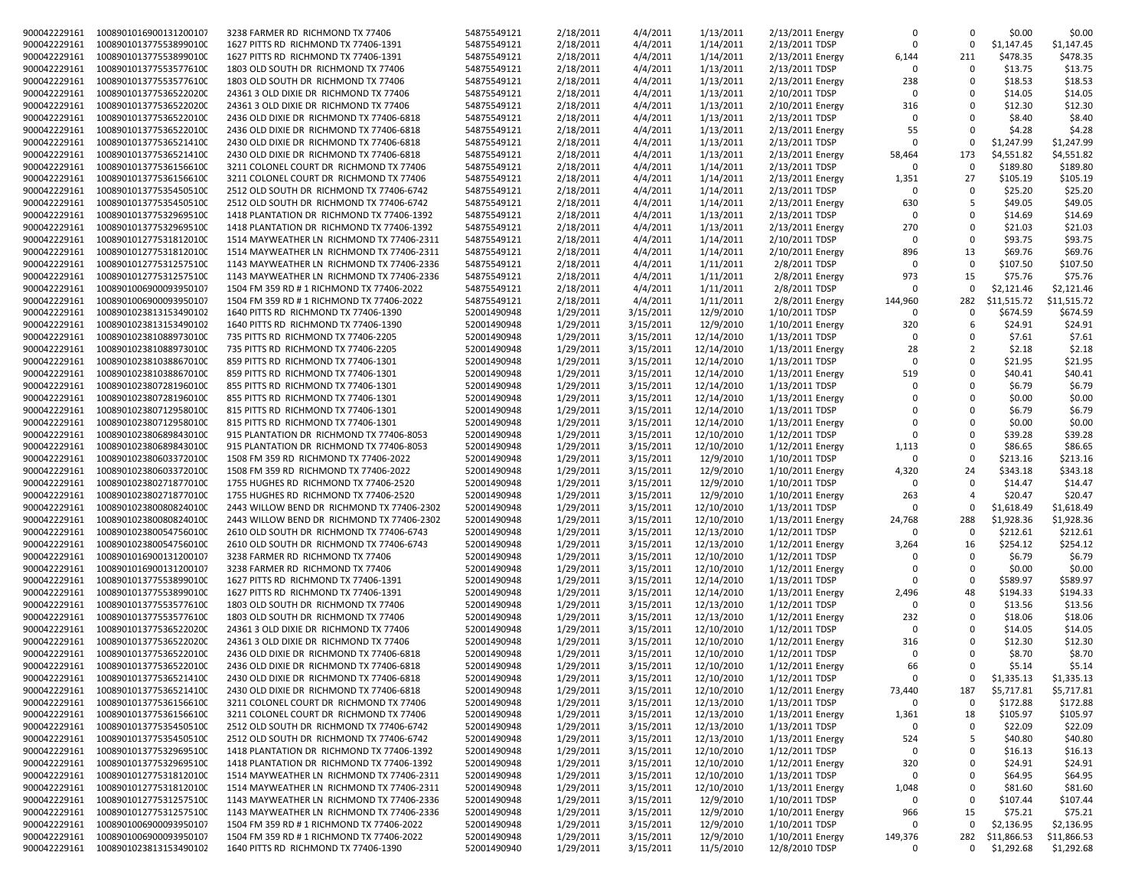| 900042229161 | 1008901016900131200107              | 3238 FARMER RD RICHMOND TX 77406           | 54875549121 | 2/18/2011 | 4/4/2011  | 1/13/2011  | 2/13/2011 Energy | $\mathbf 0$     | $\Omega$       | \$0.00      | \$0.00      |
|--------------|-------------------------------------|--------------------------------------------|-------------|-----------|-----------|------------|------------------|-----------------|----------------|-------------|-------------|
|              | 1008901013775538990100              |                                            |             |           |           |            |                  | $\Omega$        | $\Omega$       |             |             |
| 900042229161 |                                     | 1627 PITTS RD RICHMOND TX 77406-1391       | 54875549121 | 2/18/2011 | 4/4/2011  | 1/14/2011  | 2/13/2011 TDSP   |                 |                | \$1,147.45  | \$1,147.45  |
| 900042229161 | 1008901013775538990100              | 1627 PITTS RD RICHMOND TX 77406-1391       | 54875549121 | 2/18/2011 | 4/4/2011  | 1/14/2011  | 2/13/2011 Energy | 6,144           | 211            | \$478.35    | \$478.35    |
| 900042229161 | 1008901013775535776100              | 1803 OLD SOUTH DR RICHMOND TX 77406        | 54875549121 | 2/18/2011 | 4/4/2011  | 1/13/2011  | 2/13/2011 TDSP   | $\Omega$        | $\Omega$       | \$13.75     | \$13.75     |
| 900042229161 | 1008901013775535776100              | 1803 OLD SOUTH DR RICHMOND TX 77406        | 54875549121 | 2/18/2011 | 4/4/2011  | 1/13/2011  | 2/13/2011 Energy | 238             | $\Omega$       | \$18.53     | \$18.53     |
| 900042229161 | 1008901013775365220200              | 24361 3 OLD DIXIE DR RICHMOND TX 77406     | 54875549121 | 2/18/2011 | 4/4/2011  | 1/13/2011  | 2/10/2011 TDSP   | $\Omega$        | $\Omega$       | \$14.05     | \$14.05     |
| 900042229161 | 1008901013775365220200              | 24361 3 OLD DIXIE DR RICHMOND TX 77406     | 54875549121 | 2/18/2011 | 4/4/2011  | 1/13/2011  | 2/10/2011 Energy | 316             | $\Omega$       | \$12.30     | \$12.30     |
| 900042229161 | 1008901013775365220100              | 2436 OLD DIXIE DR RICHMOND TX 77406-6818   | 54875549121 | 2/18/2011 | 4/4/2011  | 1/13/2011  | 2/13/2011 TDSP   | $\Omega$        | $\Omega$       | \$8.40      | \$8.40      |
| 900042229161 | 1008901013775365220100              | 2436 OLD DIXIE DR RICHMOND TX 77406-6818   | 54875549121 | 2/18/2011 | 4/4/2011  | 1/13/2011  | 2/13/2011 Energy | 55              | $\Omega$       | \$4.28      | \$4.28      |
| 900042229161 | 1008901013775365214100              | 2430 OLD DIXIE DR RICHMOND TX 77406-6818   | 54875549121 | 2/18/2011 | 4/4/2011  | 1/13/2011  | 2/13/2011 TDSP   | $\Omega$        | $\Omega$       | \$1,247.99  | \$1,247.99  |
| 900042229161 | 1008901013775365214100              | 2430 OLD DIXIE DR RICHMOND TX 77406-6818   | 54875549121 | 2/18/2011 | 4/4/2011  | 1/13/2011  | 2/13/2011 Energy | 58,464          | 173            | \$4,551.82  | \$4,551.82  |
| 900042229161 | 1008901013775361566100              | 3211 COLONEL COURT DR RICHMOND TX 77406    | 54875549121 | 2/18/2011 | 4/4/2011  | 1/14/2011  | 2/13/2011 TDSP   | $\Omega$        | $\Omega$       | \$189.80    | \$189.80    |
|              |                                     | 3211 COLONEL COURT DR RICHMOND TX 77406    |             |           |           |            |                  |                 | 27             |             |             |
| 900042229161 | 1008901013775361566100              |                                            | 54875549121 | 2/18/2011 | 4/4/2011  | 1/14/2011  | 2/13/2011 Energy | 1,351           | $\Omega$       | \$105.19    | \$105.19    |
| 900042229161 | 1008901013775354505100              | 2512 OLD SOUTH DR RICHMOND TX 77406-6742   | 54875549121 | 2/18/2011 | 4/4/2011  | 1/14/2011  | 2/13/2011 TDSP   | $\Omega$        |                | \$25.20     | \$25.20     |
| 900042229161 | 1008901013775354505100              | 2512 OLD SOUTH DR RICHMOND TX 77406-6742   | 54875549121 | 2/18/2011 | 4/4/2011  | 1/14/2011  | 2/13/2011 Energy | 630             | 5              | \$49.05     | \$49.05     |
| 900042229161 | 1008901013775329695100              | 1418 PLANTATION DR RICHMOND TX 77406-1392  | 54875549121 | 2/18/2011 | 4/4/2011  | 1/13/2011  | 2/13/2011 TDSP   | $\Omega$        | $\Omega$       | \$14.69     | \$14.69     |
| 900042229161 | 1008901013775329695100              | 1418 PLANTATION DR RICHMOND TX 77406-1392  | 54875549121 | 2/18/2011 | 4/4/2011  | 1/13/2011  | 2/13/2011 Energy | 270             | $\Omega$       | \$21.03     | \$21.03     |
| 900042229161 | 1008901012775318120100              | 1514 MAYWEATHER LN RICHMOND TX 77406-2311  | 54875549121 | 2/18/2011 | 4/4/2011  | 1/14/2011  | 2/10/2011 TDSP   | $\Omega$        | $\Omega$       | \$93.75     | \$93.75     |
| 900042229161 | 1008901012775318120100              | 1514 MAYWEATHER LN RICHMOND TX 77406-2311  | 54875549121 | 2/18/2011 | 4/4/2011  | 1/14/2011  | 2/10/2011 Energy | 896             | 13             | \$69.76     | \$69.76     |
| 900042229161 | 1008901012775312575100              | 1143 MAYWEATHER LN RICHMOND TX 77406-2336  | 54875549121 | 2/18/2011 | 4/4/2011  | 1/11/2011  | 2/8/2011 TDSP    | $\Omega$        | $\Omega$       | \$107.50    | \$107.50    |
| 900042229161 | 1008901012775312575100              | 1143 MAYWEATHER LN RICHMOND TX 77406-2336  | 54875549121 | 2/18/2011 | 4/4/2011  | 1/11/2011  | 2/8/2011 Energy  | 973             | 15             | \$75.76     | \$75.76     |
| 900042229161 | 1008901006900093950107              | 1504 FM 359 RD # 1 RICHMOND TX 77406-2022  | 54875549121 | 2/18/2011 | 4/4/2011  | 1/11/2011  | 2/8/2011 TDSP    | $\Omega$        | $\Omega$       | \$2,121.46  | \$2,121.46  |
| 900042229161 | 1008901006900093950107              | 1504 FM 359 RD # 1 RICHMOND TX 77406-2022  | 54875549121 | 2/18/2011 | 4/4/2011  | 1/11/2011  | 2/8/2011 Energy  | 144,960         | 282            | \$11,515.72 | \$11,515.72 |
| 900042229161 | 1008901023813153490102              | 1640 PITTS RD RICHMOND TX 77406-1390       | 52001490948 | 1/29/2011 | 3/15/2011 | 12/9/2010  | 1/10/2011 TDSP   | $\Omega$        | $\Omega$       | \$674.59    | \$674.59    |
| 900042229161 | 1008901023813153490102              | 1640 PITTS RD RICHMOND TX 77406-1390       |             | 1/29/2011 | 3/15/2011 | 12/9/2010  | 1/10/2011 Energy |                 | 6              | \$24.91     |             |
|              |                                     |                                            | 52001490948 |           |           |            |                  | 320<br>$\Omega$ | $\Omega$       |             | \$24.91     |
| 900042229161 | 1008901023810889730100              | 735 PITTS RD RICHMOND TX 77406-2205        | 52001490948 | 1/29/2011 | 3/15/2011 | 12/14/2010 | 1/13/2011 TDSP   |                 |                | \$7.61      | \$7.61      |
| 900042229161 | 1008901023810889730100              | 735 PITTS RD RICHMOND TX 77406-2205        | 52001490948 | 1/29/2011 | 3/15/2011 | 12/14/2010 | 1/13/2011 Energy | 28              | $\overline{2}$ | \$2.18      | \$2.18      |
| 900042229161 | 1008901023810388670100              | 859 PITTS RD RICHMOND TX 77406-1301        | 52001490948 | 1/29/2011 | 3/15/2011 | 12/14/2010 | 1/13/2011 TDSP   | $\Omega$        | $\Omega$       | \$21.95     | \$21.95     |
| 900042229161 | 1008901023810388670100              | 859 PITTS RD RICHMOND TX 77406-1301        | 52001490948 | 1/29/2011 | 3/15/2011 | 12/14/2010 | 1/13/2011 Energy | 519             | $\Omega$       | \$40.41     | \$40.41     |
| 900042229161 | 1008901023807281960100              | 855 PITTS RD RICHMOND TX 77406-1301        | 52001490948 | 1/29/2011 | 3/15/2011 | 12/14/2010 | 1/13/2011 TDSP   | $\Omega$        | $\Omega$       | \$6.79      | \$6.79      |
| 900042229161 | 1008901023807281960100              | 855 PITTS RD RICHMOND TX 77406-1301        | 52001490948 | 1/29/2011 | 3/15/2011 | 12/14/2010 | 1/13/2011 Energy | $\Omega$        | $\Omega$       | \$0.00      | \$0.00      |
| 900042229161 | 1008901023807129580100              | 815 PITTS RD RICHMOND TX 77406-1301        | 52001490948 | 1/29/2011 | 3/15/2011 | 12/14/2010 | 1/13/2011 TDSP   | $\Omega$        | $\Omega$       | \$6.79      | \$6.79      |
| 900042229161 | 1008901023807129580100              | 815 PITTS RD RICHMOND TX 77406-1301        | 52001490948 | 1/29/2011 | 3/15/2011 | 12/14/2010 | 1/13/2011 Energy | $\Omega$        | $\Omega$       | \$0.00      | \$0.00      |
| 900042229161 | 1008901023806898430100              | 915 PLANTATION DR RICHMOND TX 77406-8053   | 52001490948 | 1/29/2011 | 3/15/2011 | 12/10/2010 | 1/12/2011 TDSP   | $\Omega$        | $\Omega$       | \$39.28     | \$39.28     |
| 900042229161 | 1008901023806898430100              | 915 PLANTATION DR RICHMOND TX 77406-8053   | 52001490948 | 1/29/2011 | 3/15/2011 | 12/10/2010 | 1/12/2011 Energy | 1,113           | $\Omega$       | \$86.65     | \$86.65     |
| 900042229161 | 1008901023806033720100              | 1508 FM 359 RD RICHMOND TX 77406-2022      | 52001490948 | 1/29/2011 | 3/15/2011 | 12/9/2010  | 1/10/2011 TDSP   | $\Omega$        | $\Omega$       | \$213.16    | \$213.16    |
| 900042229161 | 1008901023806033720100              | 1508 FM 359 RD RICHMOND TX 77406-2022      | 52001490948 | 1/29/2011 | 3/15/2011 | 12/9/2010  | 1/10/2011 Energy | 4,320           | 24             | \$343.18    | \$343.18    |
| 900042229161 | 1008901023802718770100              | 1755 HUGHES RD RICHMOND TX 77406-2520      | 52001490948 | 1/29/2011 | 3/15/2011 | 12/9/2010  | 1/10/2011 TDSP   | $\Omega$        | $\Omega$       | \$14.47     | \$14.47     |
| 900042229161 | 1008901023802718770100              | 1755 HUGHES RD RICHMOND TX 77406-2520      | 52001490948 | 1/29/2011 | 3/15/2011 | 12/9/2010  | 1/10/2011 Energy | 263             | $\overline{4}$ | \$20.47     | \$20.47     |
|              |                                     |                                            |             |           |           |            |                  | $\Omega$        | $\Omega$       |             |             |
| 900042229161 | 1008901023800808240100              | 2443 WILLOW BEND DR RICHMOND TX 77406-2302 | 52001490948 | 1/29/2011 | 3/15/2011 | 12/10/2010 | 1/13/2011 TDSP   |                 |                | \$1,618.49  | \$1,618.49  |
| 900042229161 | 1008901023800808240100              | 2443 WILLOW BEND DR RICHMOND TX 77406-2302 | 52001490948 | 1/29/2011 | 3/15/2011 | 12/10/2010 | 1/13/2011 Energy | 24,768          | 288            | \$1,928.36  | \$1,928.36  |
| 900042229161 | 1008901023800547560100              | 2610 OLD SOUTH DR RICHMOND TX 77406-6743   | 52001490948 | 1/29/2011 | 3/15/2011 | 12/13/2010 | 1/12/2011 TDSP   | $\Omega$        | $\Omega$       | \$212.61    | \$212.61    |
| 900042229161 | 1008901023800547560100              | 2610 OLD SOUTH DR RICHMOND TX 77406-6743   | 52001490948 | 1/29/2011 | 3/15/2011 | 12/13/2010 | 1/12/2011 Energy | 3,264           | 16             | \$254.12    | \$254.12    |
| 900042229161 | 1008901016900131200107              | 3238 FARMER RD RICHMOND TX 77406           | 52001490948 | 1/29/2011 | 3/15/2011 | 12/10/2010 | 1/12/2011 TDSP   | $\Omega$        | $\Omega$       | \$6.79      | \$6.79      |
| 900042229161 | 1008901016900131200107              | 3238 FARMER RD RICHMOND TX 77406           | 52001490948 | 1/29/2011 | 3/15/2011 | 12/10/2010 | 1/12/2011 Energy | $\Omega$        | $\Omega$       | \$0.00      | \$0.00      |
| 900042229161 | 1008901013775538990100              | 1627 PITTS RD RICHMOND TX 77406-1391       | 52001490948 | 1/29/2011 | 3/15/2011 | 12/14/2010 | 1/13/2011 TDSP   | $\Omega$        | $\Omega$       | \$589.97    | \$589.97    |
| 900042229161 | 1008901013775538990100              | 1627 PITTS RD RICHMOND TX 77406-1391       | 52001490948 | 1/29/2011 | 3/15/2011 | 12/14/2010 | 1/13/2011 Energy | 2,496           | 48             | \$194.33    | \$194.33    |
| 900042229161 | 1008901013775535776100              | 1803 OLD SOUTH DR RICHMOND TX 77406        | 52001490948 | 1/29/2011 | 3/15/2011 | 12/13/2010 | 1/12/2011 TDSP   | $\Omega$        | $\Omega$       | \$13.56     | \$13.56     |
| 900042229161 | 1008901013775535776100              | 1803 OLD SOUTH DR RICHMOND TX 77406        | 52001490948 | 1/29/2011 | 3/15/2011 | 12/13/2010 | 1/12/2011 Energy | 232             | $\Omega$       | \$18.06     | \$18.06     |
| 900042229161 | 1008901013775365220200              | 24361 3 OLD DIXIE DR RICHMOND TX 77406     | 52001490948 | 1/29/2011 | 3/15/2011 | 12/10/2010 | 1/12/2011 TDSP   | $\Omega$        | $\Omega$       | \$14.05     | \$14.05     |
| 900042229161 | 1008901013775365220200              | 24361 3 OLD DIXIE DR RICHMOND TX 77406     | 52001490948 | 1/29/2011 | 3/15/2011 | 12/10/2010 | 1/12/2011 Energy | 316             | $\Omega$       | \$12.30     | \$12.30     |
| 900042229161 | 1008901013775365220100              | 2436 OLD DIXIE DR RICHMOND TX 77406-6818   | 52001490948 | 1/29/2011 | 3/15/2011 | 12/10/2010 | 1/12/2011 TDSP   | $\Omega$        | $\Omega$       | \$8.70      | \$8.70      |
| 900042229161 | 1008901013775365220100              | 2436 OLD DIXIE DR RICHMOND TX 77406-6818   | 52001490948 | 1/29/2011 | 3/15/2011 | 12/10/2010 | 1/12/2011 Energy | 66              | $\Omega$       | \$5.14      | \$5.14      |
| 900042229161 | 1008901013775365214100              | 2430 OLD DIXIE DR RICHMOND TX 77406-6818   | 52001490948 | 1/29/2011 | 3/15/2011 | 12/10/2010 | 1/12/2011 TDSP   | 0               | 0              | \$1,335.13  | \$1,335.13  |
|              |                                     |                                            |             |           |           |            |                  |                 |                |             |             |
|              | 900042229161 1008901013775365214100 | 2430 OLD DIXIE DR RICHMOND TX 77406-6818   | 52001490948 | 1/29/2011 | 3/15/2011 | 12/10/2010 | 1/12/2011 Energy | 73,440          | 187            | \$5,717.81  | \$5,717.81  |
| 900042229161 | 1008901013775361566100              | 3211 COLONEL COURT DR RICHMOND TX 77406    | 52001490948 | 1/29/2011 | 3/15/2011 | 12/13/2010 | 1/13/2011 TDSP   | 0               | $\mathbf 0$    | \$172.88    | \$172.88    |
| 900042229161 | 1008901013775361566100              | 3211 COLONEL COURT DR RICHMOND TX 77406    | 52001490948 | 1/29/2011 | 3/15/2011 | 12/13/2010 | 1/13/2011 Energy | 1,361           | 18             | \$105.97    | \$105.97    |
| 900042229161 | 1008901013775354505100              | 2512 OLD SOUTH DR RICHMOND TX 77406-6742   | 52001490948 | 1/29/2011 | 3/15/2011 | 12/13/2010 | 1/13/2011 TDSP   | 0               | 0              | \$22.09     | \$22.09     |
| 900042229161 | 1008901013775354505100              | 2512 OLD SOUTH DR RICHMOND TX 77406-6742   | 52001490948 | 1/29/2011 | 3/15/2011 | 12/13/2010 | 1/13/2011 Energy | 524             | 5              | \$40.80     | \$40.80     |
| 900042229161 | 1008901013775329695100              | 1418 PLANTATION DR RICHMOND TX 77406-1392  | 52001490948 | 1/29/2011 | 3/15/2011 | 12/10/2010 | 1/12/2011 TDSP   | 0               | $\mathbf 0$    | \$16.13     | \$16.13     |
| 900042229161 | 1008901013775329695100              | 1418 PLANTATION DR RICHMOND TX 77406-1392  | 52001490948 | 1/29/2011 | 3/15/2011 | 12/10/2010 | 1/12/2011 Energy | 320             | 0              | \$24.91     | \$24.91     |
|              | 900042229161 1008901012775318120100 | 1514 MAYWEATHER LN RICHMOND TX 77406-2311  | 52001490948 | 1/29/2011 | 3/15/2011 | 12/10/2010 | 1/13/2011 TDSP   | $\mathbf 0$     | $\mathbf 0$    | \$64.95     | \$64.95     |
| 900042229161 | 1008901012775318120100              | 1514 MAYWEATHER LN RICHMOND TX 77406-2311  | 52001490948 | 1/29/2011 | 3/15/2011 | 12/10/2010 | 1/13/2011 Energy | 1,048           | 0              | \$81.60     | \$81.60     |
| 900042229161 | 1008901012775312575100              | 1143 MAYWEATHER LN RICHMOND TX 77406-2336  | 52001490948 | 1/29/2011 | 3/15/2011 | 12/9/2010  | 1/10/2011 TDSP   | $\mathbf 0$     | $\mathbf 0$    | \$107.44    | \$107.44    |
| 900042229161 | 1008901012775312575100              | 1143 MAYWEATHER LN RICHMOND TX 77406-2336  | 52001490948 | 1/29/2011 | 3/15/2011 | 12/9/2010  | 1/10/2011 Energy | 966             | 15             | \$75.21     | \$75.21     |
| 900042229161 | 1008901006900093950107              | 1504 FM 359 RD # 1 RICHMOND TX 77406-2022  | 52001490948 | 1/29/2011 | 3/15/2011 | 12/9/2010  | 1/10/2011 TDSP   | 0               | 0              | \$2,136.95  | \$2,136.95  |
| 900042229161 | 1008901006900093950107              | 1504 FM 359 RD # 1 RICHMOND TX 77406-2022  | 52001490948 | 1/29/2011 | 3/15/2011 | 12/9/2010  | 1/10/2011 Energy | 149,376         | 282            | \$11,866.53 | \$11,866.53 |
| 900042229161 | 1008901023813153490102              | 1640 PITTS RD RICHMOND TX 77406-1390       | 52001490940 | 1/29/2011 | 3/15/2011 | 11/5/2010  | 12/8/2010 TDSP   | 0               | 0              | \$1,292.68  | \$1,292.68  |
|              |                                     |                                            |             |           |           |            |                  |                 |                |             |             |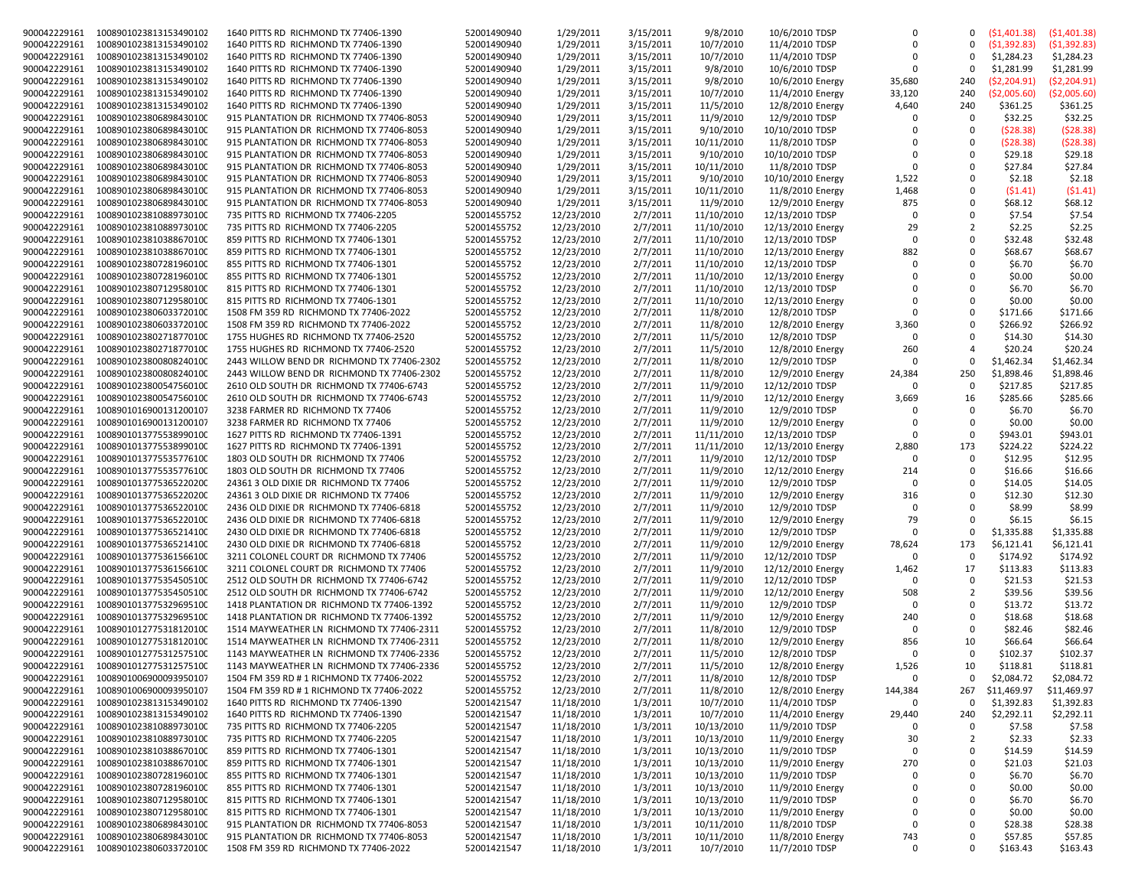| 900042229161 | 1008901023813153490102 | 1640 PITTS RD RICHMOND TX 77406-1390       | 52001490940 | 1/29/2011  | 3/15/2011 | 9/8/2010   | 10/6/2010 TDSP    | $\Omega$     | 0              | (51,401.38)  | (51, 401.38) |
|--------------|------------------------|--------------------------------------------|-------------|------------|-----------|------------|-------------------|--------------|----------------|--------------|--------------|
| 900042229161 | 1008901023813153490102 | 1640 PITTS RD RICHMOND TX 77406-1390       | 52001490940 | 1/29/2011  | 3/15/2011 | 10/7/2010  | 11/4/2010 TDSP    | $\Omega$     | 0              | (51, 392.83) | (51, 392.83) |
| 900042229161 | 1008901023813153490102 | 1640 PITTS RD RICHMOND TX 77406-1390       | 52001490940 | 1/29/2011  | 3/15/2011 | 10/7/2010  | 11/4/2010 TDSP    | $\Omega$     | $\Omega$       | \$1,284.23   | \$1,284.23   |
| 900042229161 | 1008901023813153490102 | 1640 PITTS RD RICHMOND TX 77406-1390       | 52001490940 | 1/29/2011  | 3/15/2011 | 9/8/2010   | 10/6/2010 TDSP    | 0            | 0              | \$1,281.99   | \$1,281.99   |
| 900042229161 | 1008901023813153490102 | 1640 PITTS RD RICHMOND TX 77406-1390       | 52001490940 | 1/29/2011  | 3/15/2011 | 9/8/2010   | 10/6/2010 Energy  | 35,680       | 240            | (\$2,204.91) | (52, 204.91) |
| 900042229161 | 1008901023813153490102 | 1640 PITTS RD RICHMOND TX 77406-1390       | 52001490940 | 1/29/2011  | 3/15/2011 | 10/7/2010  | 11/4/2010 Energy  | 33,120       | 240            | (\$2,005.60) | (\$2,005.60) |
|              |                        |                                            |             |            |           |            |                   |              |                |              |              |
| 900042229161 | 1008901023813153490102 | 1640 PITTS RD RICHMOND TX 77406-1390       | 52001490940 | 1/29/2011  | 3/15/2011 | 11/5/2010  | 12/8/2010 Energy  | 4,640        | 240            | \$361.25     | \$361.25     |
| 900042229161 | 1008901023806898430100 | 915 PLANTATION DR RICHMOND TX 77406-8053   | 52001490940 | 1/29/2011  | 3/15/2011 | 11/9/2010  | 12/9/2010 TDSP    | $\Omega$     | 0              | \$32.25      | \$32.25      |
| 900042229161 | 1008901023806898430100 | 915 PLANTATION DR RICHMOND TX 77406-8053   | 52001490940 | 1/29/2011  | 3/15/2011 | 9/10/2010  | 10/10/2010 TDSP   | $\Omega$     | $\Omega$       | (528.38)     | (\$28.38)    |
| 900042229161 | 1008901023806898430100 | 915 PLANTATION DR RICHMOND TX 77406-8053   | 52001490940 | 1/29/2011  | 3/15/2011 | 10/11/2010 | 11/8/2010 TDSP    | $\Omega$     | $\Omega$       | (\$28.38)    | (\$28.38)    |
| 900042229161 | 1008901023806898430100 | 915 PLANTATION DR RICHMOND TX 77406-8053   | 52001490940 | 1/29/2011  | 3/15/2011 | 9/10/2010  | 10/10/2010 TDSP   | $\Omega$     | 0              | \$29.18      | \$29.18      |
| 900042229161 | 1008901023806898430100 | 915 PLANTATION DR RICHMOND TX 77406-8053   |             | 1/29/2011  | 3/15/2011 | 10/11/2010 | 11/8/2010 TDSP    | $\Omega$     | $\Omega$       | \$27.84      | \$27.84      |
|              |                        |                                            | 52001490940 |            |           |            |                   |              |                |              |              |
| 900042229161 | 1008901023806898430100 | 915 PLANTATION DR RICHMOND TX 77406-8053   | 52001490940 | 1/29/2011  | 3/15/2011 | 9/10/2010  | 10/10/2010 Energy | 1,522        | $\Omega$       | \$2.18       | \$2.18       |
| 900042229161 | 1008901023806898430100 | 915 PLANTATION DR RICHMOND TX 77406-8053   | 52001490940 | 1/29/2011  | 3/15/2011 | 10/11/2010 | 11/8/2010 Energy  | 1,468        | 0              | (51.41)      | (51.41)      |
| 900042229161 | 1008901023806898430100 | 915 PLANTATION DR RICHMOND TX 77406-8053   | 52001490940 | 1/29/2011  | 3/15/2011 | 11/9/2010  | 12/9/2010 Energy  | 875          | 0              | \$68.12      | \$68.12      |
| 900042229161 | 1008901023810889730100 | 735 PITTS RD RICHMOND TX 77406-2205        | 52001455752 | 12/23/2010 | 2/7/2011  | 11/10/2010 | 12/13/2010 TDSP   | $\Omega$     | 0              | \$7.54       | \$7.54       |
| 900042229161 | 1008901023810889730100 | 735 PITTS RD RICHMOND TX 77406-2205        | 52001455752 | 12/23/2010 | 2/7/2011  | 11/10/2010 | 12/13/2010 Energy | 29           | $\overline{2}$ | \$2.25       | \$2.25       |
| 900042229161 | 1008901023810388670100 | 859 PITTS RD RICHMOND TX 77406-1301        | 52001455752 | 12/23/2010 | 2/7/2011  | 11/10/2010 | 12/13/2010 TDSP   | $\Omega$     | $\Omega$       | \$32.48      | \$32.48      |
|              |                        |                                            |             |            |           |            |                   |              |                |              |              |
| 900042229161 | 1008901023810388670100 | 859 PITTS RD RICHMOND TX 77406-1301        | 52001455752 | 12/23/2010 | 2/7/2011  | 11/10/2010 | 12/13/2010 Energy | 882          | 0              | \$68.67      | \$68.67      |
| 900042229161 | 1008901023807281960100 | 855 PITTS RD RICHMOND TX 77406-1301        | 52001455752 | 12/23/2010 | 2/7/2011  | 11/10/2010 | 12/13/2010 TDSP   | $\Omega$     | $\Omega$       | \$6.70       | \$6.70       |
| 900042229161 | 1008901023807281960100 | 855 PITTS RD RICHMOND TX 77406-1301        | 52001455752 | 12/23/2010 | 2/7/2011  | 11/10/2010 | 12/13/2010 Energy | $\Omega$     | 0              | \$0.00       | \$0.00       |
| 900042229161 | 1008901023807129580100 | 815 PITTS RD RICHMOND TX 77406-1301        | 52001455752 | 12/23/2010 | 2/7/2011  | 11/10/2010 | 12/13/2010 TDSP   | $\Omega$     | $\Omega$       | \$6.70       | \$6.70       |
| 900042229161 | 1008901023807129580100 | 815 PITTS RD RICHMOND TX 77406-1301        | 52001455752 | 12/23/2010 | 2/7/2011  | 11/10/2010 | 12/13/2010 Energy | $\Omega$     | $\Omega$       | \$0.00       | \$0.00       |
| 900042229161 | 1008901023806033720100 | 1508 FM 359 RD RICHMOND TX 77406-2022      | 52001455752 | 12/23/2010 | 2/7/2011  | 11/8/2010  | 12/8/2010 TDSP    | 0            | 0              | \$171.66     | \$171.66     |
|              |                        |                                            |             |            |           |            |                   |              |                |              |              |
| 900042229161 | 1008901023806033720100 | 1508 FM 359 RD RICHMOND TX 77406-2022      | 52001455752 | 12/23/2010 | 2/7/2011  | 11/8/2010  | 12/8/2010 Energy  | 3,360        | $\Omega$       | \$266.92     | \$266.92     |
| 900042229161 | 1008901023802718770100 | 1755 HUGHES RD RICHMOND TX 77406-2520      | 52001455752 | 12/23/2010 | 2/7/2011  | 11/5/2010  | 12/8/2010 TDSP    | 0            | 0              | \$14.30      | \$14.30      |
| 900042229161 | 1008901023802718770100 | 1755 HUGHES RD RICHMOND TX 77406-2520      | 52001455752 | 12/23/2010 | 2/7/2011  | 11/5/2010  | 12/8/2010 Energy  | 260          | 4              | \$20.24      | \$20.24      |
| 900042229161 | 1008901023800808240100 | 2443 WILLOW BEND DR RICHMOND TX 77406-2302 | 52001455752 | 12/23/2010 | 2/7/2011  | 11/8/2010  | 12/9/2010 TDSP    | 0            | 0              | \$1,462.34   | \$1,462.34   |
| 900042229161 | 1008901023800808240100 | 2443 WILLOW BEND DR RICHMOND TX 77406-2302 | 52001455752 | 12/23/2010 | 2/7/2011  | 11/8/2010  | 12/9/2010 Energy  | 24,384       | 250            | \$1,898.46   | \$1,898.46   |
| 900042229161 | 1008901023800547560100 | 2610 OLD SOUTH DR RICHMOND TX 77406-6743   | 52001455752 | 12/23/2010 | 2/7/2011  | 11/9/2010  | 12/12/2010 TDSP   | $\Omega$     | $\Omega$       | \$217.85     | \$217.85     |
|              |                        |                                            |             |            |           |            |                   |              |                |              |              |
| 900042229161 | 1008901023800547560100 | 2610 OLD SOUTH DR RICHMOND TX 77406-6743   | 52001455752 | 12/23/2010 | 2/7/2011  | 11/9/2010  | 12/12/2010 Energy | 3,669        | 16             | \$285.66     | \$285.66     |
| 900042229161 | 1008901016900131200107 | 3238 FARMER RD RICHMOND TX 77406           | 52001455752 | 12/23/2010 | 2/7/2011  | 11/9/2010  | 12/9/2010 TDSP    | <sup>0</sup> | $\Omega$       | \$6.70       | \$6.70       |
| 900042229161 | 1008901016900131200107 | 3238 FARMER RD RICHMOND TX 77406           | 52001455752 | 12/23/2010 | 2/7/2011  | 11/9/2010  | 12/9/2010 Energy  | $\Omega$     | $\Omega$       | \$0.00       | \$0.00       |
| 900042229161 | 1008901013775538990100 | 1627 PITTS RD RICHMOND TX 77406-1391       | 52001455752 | 12/23/2010 | 2/7/2011  | 11/11/2010 | 12/13/2010 TDSP   | 0            | 0              | \$943.01     | \$943.01     |
| 900042229161 | 1008901013775538990100 | 1627 PITTS RD RICHMOND TX 77406-1391       | 52001455752 | 12/23/2010 | 2/7/2011  | 11/11/2010 | 12/13/2010 Energy | 2,880        | 173            | \$224.22     | \$224.22     |
| 900042229161 | 1008901013775535776100 | 1803 OLD SOUTH DR RICHMOND TX 77406        | 52001455752 | 12/23/2010 | 2/7/2011  | 11/9/2010  | 12/12/2010 TDSP   | $\Omega$     | $\Omega$       | \$12.95      | \$12.95      |
| 900042229161 | 1008901013775535776100 | 1803 OLD SOUTH DR RICHMOND TX 77406        | 52001455752 | 12/23/2010 | 2/7/2011  | 11/9/2010  | 12/12/2010 Energy | 214          | $\Omega$       | \$16.66      | \$16.66      |
| 900042229161 | 1008901013775365220200 | 24361 3 OLD DIXIE DR RICHMOND TX 77406     | 52001455752 | 12/23/2010 | 2/7/2011  | 11/9/2010  | 12/9/2010 TDSP    | $\Omega$     | 0              | \$14.05      | \$14.05      |
| 900042229161 | 1008901013775365220200 | 24361 3 OLD DIXIE DR RICHMOND TX 77406     | 52001455752 | 12/23/2010 | 2/7/2011  | 11/9/2010  | 12/9/2010 Energy  | 316          | 0              | \$12.30      | \$12.30      |
|              |                        |                                            |             |            |           |            |                   |              |                |              |              |
| 900042229161 | 1008901013775365220100 | 2436 OLD DIXIE DR RICHMOND TX 77406-6818   | 52001455752 | 12/23/2010 | 2/7/2011  | 11/9/2010  | 12/9/2010 TDSP    | 0            | 0              | \$8.99       | \$8.99       |
| 900042229161 | 1008901013775365220100 | 2436 OLD DIXIE DR RICHMOND TX 77406-6818   | 52001455752 | 12/23/2010 | 2/7/2011  | 11/9/2010  | 12/9/2010 Energy  | 79           | $\Omega$       | \$6.15       | \$6.15       |
| 900042229161 | 1008901013775365214100 | 2430 OLD DIXIE DR RICHMOND TX 77406-6818   | 52001455752 | 12/23/2010 | 2/7/2011  | 11/9/2010  | 12/9/2010 TDSP    | $\Omega$     | $\Omega$       | \$1,335.88   | \$1,335.88   |
| 900042229161 | 1008901013775365214100 | 2430 OLD DIXIE DR RICHMOND TX 77406-6818   | 52001455752 | 12/23/2010 | 2/7/2011  | 11/9/2010  | 12/9/2010 Energy  | 78,624       | 173            | \$6,121.41   | \$6,121.41   |
| 900042229161 | 1008901013775361566100 | 3211 COLONEL COURT DR RICHMOND TX 77406    | 52001455752 | 12/23/2010 | 2/7/2011  | 11/9/2010  | 12/12/2010 TDSP   | $\Omega$     | 0              | \$174.92     | \$174.92     |
| 900042229161 | 1008901013775361566100 | 3211 COLONEL COURT DR RICHMOND TX 77406    | 52001455752 | 12/23/2010 | 2/7/2011  | 11/9/2010  | 12/12/2010 Energy | 1,462        | 17             | \$113.83     | \$113.83     |
| 900042229161 | 1008901013775354505100 | 2512 OLD SOUTH DR RICHMOND TX 77406-6742   | 52001455752 | 12/23/2010 | 2/7/2011  | 11/9/2010  | 12/12/2010 TDSP   | $\Omega$     | 0              | \$21.53      | \$21.53      |
|              |                        |                                            |             |            |           |            |                   |              |                |              |              |
| 900042229161 | 1008901013775354505100 | 2512 OLD SOUTH DR RICHMOND TX 77406-6742   | 52001455752 | 12/23/2010 | 2/7/2011  | 11/9/2010  | 12/12/2010 Energy | 508          | $\overline{2}$ | \$39.56      | \$39.56      |
| 900042229161 | 1008901013775329695100 | 1418 PLANTATION DR RICHMOND TX 77406-1392  | 52001455752 | 12/23/2010 | 2/7/2011  | 11/9/2010  | 12/9/2010 TDSP    | $\Omega$     | $\Omega$       | \$13.72      | \$13.72      |
| 900042229161 | 1008901013775329695100 | 1418 PLANTATION DR RICHMOND TX 77406-1392  | 52001455752 | 12/23/2010 | 2/7/2011  | 11/9/2010  | 12/9/2010 Energy  | 240          | 0              | \$18.68      | \$18.68      |
| 900042229161 | 1008901012775318120100 | 1514 MAYWEATHER LN RICHMOND TX 77406-2311  | 52001455752 | 12/23/2010 | 2/7/2011  | 11/8/2010  | 12/9/2010 TDSP    | $\Omega$     | $\Omega$       | \$82.46      | \$82.46      |
| 900042229161 | 1008901012775318120100 | 1514 MAYWEATHER LN RICHMOND TX 77406-2311  | 52001455752 | 12/23/2010 | 2/7/2011  | 11/8/2010  | 12/9/2010 Energy  | 856          | 10             | \$66.64      | \$66.64      |
| 900042229161 | 1008901012775312575100 | 1143 MAYWEATHER LN RICHMOND TX 77406-2336  | 52001455752 | 12/23/2010 | 2/7/2011  | 11/5/2010  | 12/8/2010 TDSP    | $\Omega$     | $\Omega$       | \$102.37     | \$102.37     |
| 900042229161 | 1008901012775312575100 | 1143 MAYWEATHER LN RICHMOND TX 77406-2336  | 52001455752 | 12/23/2010 | 2/7/2011  | 11/5/2010  |                   | 1,526        | 10             | \$118.81     | \$118.81     |
|              |                        |                                            |             |            |           |            | 12/8/2010 Energy  |              |                |              |              |
| 900042229161 | 1008901006900093950107 | 1504 FM 359 RD # 1 RICHMOND TX 77406-2022  | 52001455752 | 12/23/2010 | 2/7/2011  | 11/8/2010  | 12/8/2010 TDSP    | 0            | 0              | \$2,084.72   | \$2,084.72   |
| 900042229161 | 1008901006900093950107 | 1504 FM 359 RD # 1 RICHMOND TX 77406-2022  | 52001455752 | 12/23/2010 | 2/7/2011  | 11/8/2010  | 12/8/2010 Energy  | 144,384      | 267            | \$11,469.97  | \$11,469.97  |
| 900042229161 | 1008901023813153490102 | 1640 PITTS RD RICHMOND TX 77406-1390       | 52001421547 | 11/18/2010 | 1/3/2011  | 10/7/2010  | 11/4/2010 TDSP    | 0            | 0              | \$1,392.83   | \$1,392.83   |
| 900042229161 | 1008901023813153490102 | 1640 PITTS RD RICHMOND TX 77406-1390       | 52001421547 | 11/18/2010 | 1/3/2011  | 10/7/2010  | 11/4/2010 Energy  | 29,440       | 240            | \$2,292.11   | \$2,292.11   |
| 900042229161 | 1008901023810889730100 | 735 PITTS RD RICHMOND TX 77406-2205        | 52001421547 | 11/18/2010 | 1/3/2011  | 10/13/2010 | 11/9/2010 TDSP    | 0            | 0              | \$7.58       | \$7.58       |
| 900042229161 | 1008901023810889730100 | 735 PITTS RD RICHMOND TX 77406-2205        | 52001421547 | 11/18/2010 | 1/3/2011  | 10/13/2010 | 11/9/2010 Energy  | 30           | $\overline{2}$ | \$2.33       | \$2.33       |
|              |                        |                                            |             |            |           |            |                   | 0            | 0              |              |              |
| 900042229161 | 1008901023810388670100 | 859 PITTS RD RICHMOND TX 77406-1301        | 52001421547 | 11/18/2010 | 1/3/2011  | 10/13/2010 | 11/9/2010 TDSP    |              |                | \$14.59      | \$14.59      |
| 900042229161 | 1008901023810388670100 | 859 PITTS RD RICHMOND TX 77406-1301        | 52001421547 | 11/18/2010 | 1/3/2011  | 10/13/2010 | 11/9/2010 Energy  | 270          | 0              | \$21.03      | \$21.03      |
| 900042229161 | 1008901023807281960100 | 855 PITTS RD RICHMOND TX 77406-1301        | 52001421547 | 11/18/2010 | 1/3/2011  | 10/13/2010 | 11/9/2010 TDSP    | 0            | 0              | \$6.70       | \$6.70       |
| 900042229161 | 1008901023807281960100 | 855 PITTS RD RICHMOND TX 77406-1301        | 52001421547 | 11/18/2010 | 1/3/2011  | 10/13/2010 | 11/9/2010 Energy  | $\mathbf 0$  | 0              | \$0.00       | \$0.00       |
| 900042229161 | 1008901023807129580100 | 815 PITTS RD RICHMOND TX 77406-1301        | 52001421547 | 11/18/2010 | 1/3/2011  | 10/13/2010 | 11/9/2010 TDSP    | 0            | 0              | \$6.70       | \$6.70       |
| 900042229161 | 1008901023807129580100 | 815 PITTS RD RICHMOND TX 77406-1301        | 52001421547 | 11/18/2010 | 1/3/2011  | 10/13/2010 | 11/9/2010 Energy  | 0            | 0              | \$0.00       | \$0.00       |
| 900042229161 | 1008901023806898430100 | 915 PLANTATION DR RICHMOND TX 77406-8053   | 52001421547 | 11/18/2010 | 1/3/2011  | 10/11/2010 | 11/8/2010 TDSP    | $\mathbf 0$  | 0              | \$28.38      | \$28.38      |
| 900042229161 | 1008901023806898430100 | 915 PLANTATION DR RICHMOND TX 77406-8053   | 52001421547 | 11/18/2010 | 1/3/2011  | 10/11/2010 | 11/8/2010 Energy  | 743          | 0              | \$57.85      | \$57.85      |
| 900042229161 | 1008901023806033720100 | 1508 FM 359 RD RICHMOND TX 77406-2022      | 52001421547 | 11/18/2010 | 1/3/2011  | 10/7/2010  | 11/7/2010 TDSP    | 0            | 0              | \$163.43     | \$163.43     |
|              |                        |                                            |             |            |           |            |                   |              |                |              |              |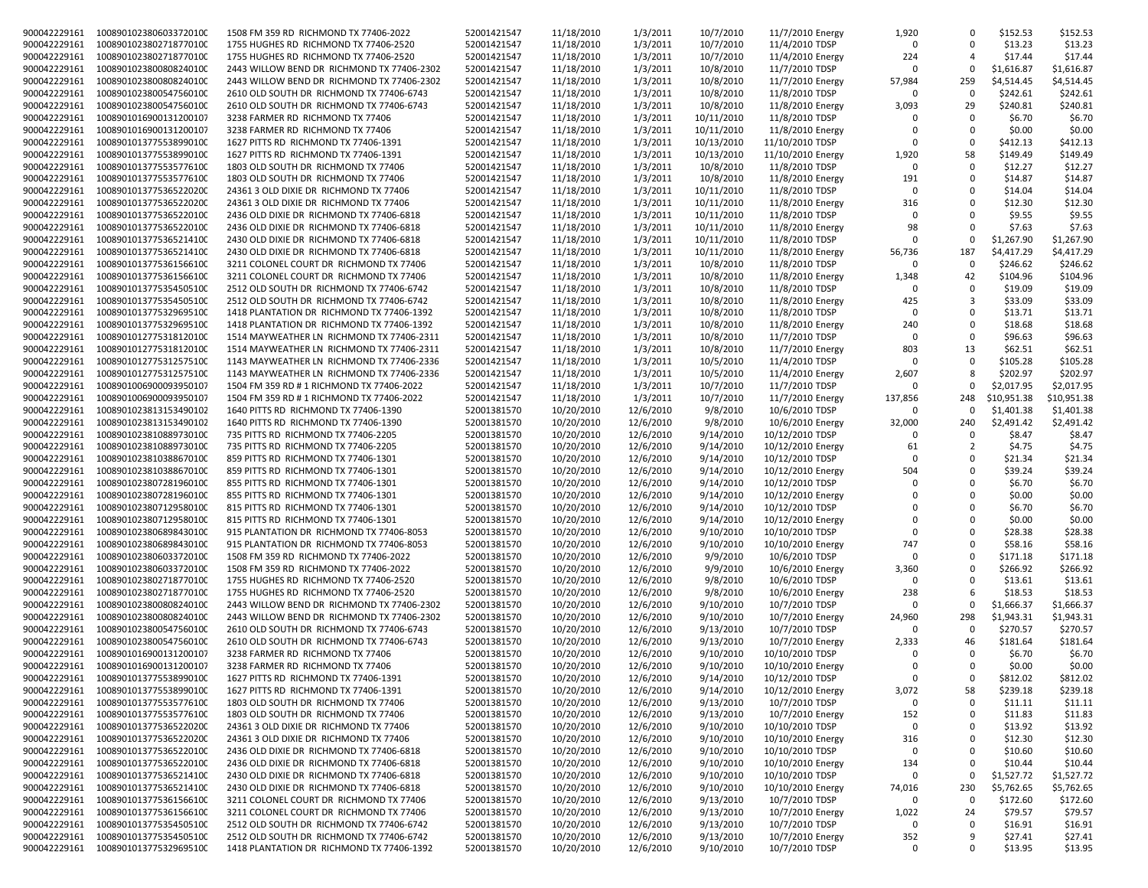| 900042229161 | 1008901023806033720100              | 1508 FM 359 RD RICHMOND TX 77406-2022      | 52001421547 | 11/18/2010 | 1/3/2011  | 10/7/2010  | 11/7/2010 Energy  | 1,920        |                | \$152.53    | \$152.53    |
|--------------|-------------------------------------|--------------------------------------------|-------------|------------|-----------|------------|-------------------|--------------|----------------|-------------|-------------|
| 900042229161 | 1008901023802718770100              | 1755 HUGHES RD RICHMOND TX 77406-2520      | 52001421547 | 11/18/2010 | 1/3/2011  | 10/7/2010  | 11/4/2010 TDSP    | $\Omega$     | $\Omega$       | \$13.23     | \$13.23     |
| 900042229161 | 1008901023802718770100              | 1755 HUGHES RD RICHMOND TX 77406-2520      | 52001421547 | 11/18/2010 | 1/3/2011  | 10/7/2010  | 11/4/2010 Energy  | 224          | $\overline{4}$ | \$17.44     | \$17.44     |
| 900042229161 | 1008901023800808240100              | 2443 WILLOW BEND DR RICHMOND TX 77406-2302 | 52001421547 | 11/18/2010 | 1/3/2011  | 10/8/2010  | 11/7/2010 TDSP    | <sup>0</sup> | $\Omega$       | \$1,616.87  | \$1,616.87  |
| 900042229161 | 1008901023800808240100              | 2443 WILLOW BEND DR RICHMOND TX 77406-2302 | 52001421547 | 11/18/2010 | 1/3/2011  | 10/8/2010  | 11/7/2010 Energy  | 57,984       | 259            | \$4,514.45  | \$4,514.45  |
| 900042229161 | 1008901023800547560100              | 2610 OLD SOUTH DR RICHMOND TX 77406-6743   | 52001421547 | 11/18/2010 | 1/3/2011  | 10/8/2010  | 11/8/2010 TDSP    | $\Omega$     | $\Omega$       | \$242.61    | \$242.61    |
|              |                                     |                                            |             |            |           |            |                   |              |                |             |             |
| 900042229161 | 1008901023800547560100              | 2610 OLD SOUTH DR RICHMOND TX 77406-6743   | 52001421547 | 11/18/2010 | 1/3/2011  | 10/8/2010  | 11/8/2010 Energy  | 3,093        | 29             | \$240.81    | \$240.81    |
| 900042229161 | 1008901016900131200107              | 3238 FARMER RD RICHMOND TX 77406           | 52001421547 | 11/18/2010 | 1/3/2011  | 10/11/2010 | 11/8/2010 TDSP    |              | $\Omega$       | \$6.70      | \$6.70      |
| 900042229161 | 1008901016900131200107              | 3238 FARMER RD RICHMOND TX 77406           | 52001421547 | 11/18/2010 | 1/3/2011  | 10/11/2010 | 11/8/2010 Energy  |              | $\Omega$       | \$0.00      | \$0.00      |
| 900042229161 | 1008901013775538990100              | 1627 PITTS RD RICHMOND TX 77406-1391       | 52001421547 | 11/18/2010 | 1/3/2011  | 10/13/2010 | 11/10/2010 TDSP   | $\Omega$     | $\Omega$       | \$412.13    | \$412.13    |
| 900042229161 | 1008901013775538990100              | 1627 PITTS RD RICHMOND TX 77406-1391       | 52001421547 | 11/18/2010 | 1/3/2011  | 10/13/2010 | 11/10/2010 Energy | 1,920        | 58             | \$149.49    | \$149.49    |
| 900042229161 | 1008901013775535776100              | 1803 OLD SOUTH DR RICHMOND TX 77406        | 52001421547 | 11/18/2010 | 1/3/2011  | 10/8/2010  | 11/8/2010 TDSP    | $\Omega$     | $\Omega$       | \$12.27     | \$12.27     |
|              |                                     |                                            |             |            |           |            |                   |              |                |             |             |
| 900042229161 | 1008901013775535776100              | 1803 OLD SOUTH DR RICHMOND TX 77406        | 52001421547 | 11/18/2010 | 1/3/2011  | 10/8/2010  | 11/8/2010 Energy  | 191          | $\Omega$       | \$14.87     | \$14.87     |
| 900042229161 | 1008901013775365220200              | 24361 3 OLD DIXIE DR RICHMOND TX 77406     | 52001421547 | 11/18/2010 | 1/3/2011  | 10/11/2010 | 11/8/2010 TDSP    | $\Omega$     | $\Omega$       | \$14.04     | \$14.04     |
| 900042229161 | 1008901013775365220200              | 24361 3 OLD DIXIE DR RICHMOND TX 77406     | 52001421547 | 11/18/2010 | 1/3/2011  | 10/11/2010 | 11/8/2010 Energy  | 316          | $\Omega$       | \$12.30     | \$12.30     |
| 900042229161 | 1008901013775365220100              | 2436 OLD DIXIE DR RICHMOND TX 77406-6818   | 52001421547 | 11/18/2010 | 1/3/2011  | 10/11/2010 | 11/8/2010 TDSP    | $\Omega$     | $\Omega$       | \$9.55      | \$9.55      |
| 900042229161 | 1008901013775365220100              | 2436 OLD DIXIE DR RICHMOND TX 77406-6818   | 52001421547 | 11/18/2010 | 1/3/2011  | 10/11/2010 | 11/8/2010 Energy  | 98           | $\Omega$       | \$7.63      | \$7.63      |
| 900042229161 | 1008901013775365214100              | 2430 OLD DIXIE DR RICHMOND TX 77406-6818   | 52001421547 | 11/18/2010 | 1/3/2011  | 10/11/2010 | 11/8/2010 TDSP    | $\Omega$     | $\Omega$       | \$1,267.90  | \$1,267.90  |
|              |                                     |                                            |             |            |           |            |                   |              |                |             |             |
| 900042229161 | 1008901013775365214100              | 2430 OLD DIXIE DR RICHMOND TX 77406-6818   | 52001421547 | 11/18/2010 | 1/3/2011  | 10/11/2010 | 11/8/2010 Energy  | 56,736       | 187            | \$4,417.29  | \$4,417.29  |
| 900042229161 | 1008901013775361566100              | 3211 COLONEL COURT DR RICHMOND TX 77406    | 52001421547 | 11/18/2010 | 1/3/2011  | 10/8/2010  | 11/8/2010 TDSP    | $\Omega$     | $\Omega$       | \$246.62    | \$246.62    |
| 900042229161 | 1008901013775361566100              | 3211 COLONEL COURT DR RICHMOND TX 77406    | 52001421547 | 11/18/2010 | 1/3/2011  | 10/8/2010  | 11/8/2010 Energy  | 1,348        | 42             | \$104.96    | \$104.96    |
| 900042229161 | 1008901013775354505100              | 2512 OLD SOUTH DR RICHMOND TX 77406-6742   | 52001421547 | 11/18/2010 | 1/3/2011  | 10/8/2010  | 11/8/2010 TDSP    | $\Omega$     | $\Omega$       | \$19.09     | \$19.09     |
| 900042229161 | 1008901013775354505100              | 2512 OLD SOUTH DR RICHMOND TX 77406-6742   | 52001421547 | 11/18/2010 | 1/3/2011  | 10/8/2010  | 11/8/2010 Energy  | 425          | 3              | \$33.09     | \$33.09     |
| 900042229161 | 1008901013775329695100              | 1418 PLANTATION DR RICHMOND TX 77406-1392  | 52001421547 | 11/18/2010 | 1/3/2011  | 10/8/2010  | 11/8/2010 TDSP    | $\Omega$     | $\Omega$       | \$13.71     | \$13.71     |
|              |                                     |                                            |             |            |           |            |                   |              |                |             |             |
| 900042229161 | 1008901013775329695100              | 1418 PLANTATION DR RICHMOND TX 77406-1392  | 52001421547 | 11/18/2010 | 1/3/2011  | 10/8/2010  | 11/8/2010 Energy  | 240          | $\Omega$       | \$18.68     | \$18.68     |
| 900042229161 | 1008901012775318120100              | 1514 MAYWEATHER LN RICHMOND TX 77406-2311  | 52001421547 | 11/18/2010 | 1/3/2011  | 10/8/2010  | 11/7/2010 TDSP    | $\Omega$     | $\Omega$       | \$96.63     | \$96.63     |
| 900042229161 | 1008901012775318120100              | 1514 MAYWEATHER LN RICHMOND TX 77406-2311  | 52001421547 | 11/18/2010 | 1/3/2011  | 10/8/2010  | 11/7/2010 Energy  | 803          | 13             | \$62.51     | \$62.51     |
| 900042229161 | 1008901012775312575100              | 1143 MAYWEATHER LN RICHMOND TX 77406-2336  | 52001421547 | 11/18/2010 | 1/3/2011  | 10/5/2010  | 11/4/2010 TDSP    | $\Omega$     | $\Omega$       | \$105.28    | \$105.28    |
| 900042229161 | 1008901012775312575100              | 1143 MAYWEATHER LN RICHMOND TX 77406-2336  | 52001421547 | 11/18/2010 | 1/3/2011  | 10/5/2010  | 11/4/2010 Energy  | 2,607        | 8              | \$202.97    | \$202.97    |
| 900042229161 | 1008901006900093950107              | 1504 FM 359 RD # 1 RICHMOND TX 77406-2022  | 52001421547 | 11/18/2010 | 1/3/2011  | 10/7/2010  | 11/7/2010 TDSP    | $\Omega$     | $\Omega$       | \$2,017.95  | \$2,017.95  |
|              |                                     |                                            |             |            |           |            |                   |              |                |             |             |
| 900042229161 | 1008901006900093950107              | 1504 FM 359 RD # 1 RICHMOND TX 77406-2022  | 52001421547 | 11/18/2010 | 1/3/2011  | 10/7/2010  | 11/7/2010 Energy  | 137,856      | 248            | \$10,951.38 | \$10,951.38 |
| 900042229161 | 1008901023813153490102              | 1640 PITTS RD RICHMOND TX 77406-1390       | 52001381570 | 10/20/2010 | 12/6/2010 | 9/8/2010   | 10/6/2010 TDSP    | $\Omega$     |                | \$1,401.38  | \$1,401.38  |
| 900042229161 | 1008901023813153490102              | 1640 PITTS RD RICHMOND TX 77406-1390       | 52001381570 | 10/20/2010 | 12/6/2010 | 9/8/2010   | 10/6/2010 Energy  | 32,000       | 240            | \$2,491.42  | \$2,491.42  |
| 900042229161 | 1008901023810889730100              | 735 PITTS RD RICHMOND TX 77406-2205        | 52001381570 | 10/20/2010 | 12/6/2010 | 9/14/2010  | 10/12/2010 TDSP   | $\Omega$     | $\Omega$       | \$8.47      | \$8.47      |
| 900042229161 | 1008901023810889730100              | 735 PITTS RD RICHMOND TX 77406-2205        | 52001381570 | 10/20/2010 | 12/6/2010 | 9/14/2010  | 10/12/2010 Energy | 61           | 2              | \$4.75      | \$4.75      |
| 900042229161 | 1008901023810388670100              | 859 PITTS RD RICHMOND TX 77406-1301        | 52001381570 | 10/20/2010 | 12/6/2010 | 9/14/2010  | 10/12/2010 TDSP   | $\Omega$     | $\Omega$       | \$21.34     | \$21.34     |
| 900042229161 | 1008901023810388670100              | 859 PITTS RD RICHMOND TX 77406-1301        | 52001381570 | 10/20/2010 | 12/6/2010 | 9/14/2010  | 10/12/2010 Energy | 504          | $\Omega$       | \$39.24     | \$39.24     |
| 900042229161 | 1008901023807281960100              | 855 PITTS RD RICHMOND TX 77406-1301        | 52001381570 | 10/20/2010 | 12/6/2010 | 9/14/2010  | 10/12/2010 TDSP   |              | $\Omega$       | \$6.70      | \$6.70      |
|              |                                     |                                            |             |            |           |            |                   |              | $\Omega$       |             |             |
| 900042229161 | 1008901023807281960100              | 855 PITTS RD RICHMOND TX 77406-1301        | 52001381570 | 10/20/2010 | 12/6/2010 | 9/14/2010  | 10/12/2010 Energy | $\Omega$     |                | \$0.00      | \$0.00      |
| 900042229161 | 1008901023807129580100              | 815 PITTS RD RICHMOND TX 77406-1301        | 52001381570 | 10/20/2010 | 12/6/2010 | 9/14/2010  | 10/12/2010 TDSP   | $\Omega$     | $\Omega$       | \$6.70      | \$6.70      |
| 900042229161 | 1008901023807129580100              | 815 PITTS RD RICHMOND TX 77406-1301        | 52001381570 | 10/20/2010 | 12/6/2010 | 9/14/2010  | 10/12/2010 Energy | $\Omega$     | $\Omega$       | \$0.00      | \$0.00      |
| 900042229161 | 1008901023806898430100              | 915 PLANTATION DR RICHMOND TX 77406-8053   | 52001381570 | 10/20/2010 | 12/6/2010 | 9/10/2010  | 10/10/2010 TDSP   | $\Omega$     | $\Omega$       | \$28.38     | \$28.38     |
| 900042229161 | 1008901023806898430100              | 915 PLANTATION DR RICHMOND TX 77406-8053   | 52001381570 | 10/20/2010 | 12/6/2010 | 9/10/2010  | 10/10/2010 Energy | 747          | $\Omega$       | \$58.16     | \$58.16     |
| 900042229161 | 1008901023806033720100              | 1508 FM 359 RD RICHMOND TX 77406-2022      | 52001381570 | 10/20/2010 | 12/6/2010 | 9/9/2010   | 10/6/2010 TDSP    | $\Omega$     | $\Omega$       | \$171.18    | \$171.18    |
| 900042229161 | 1008901023806033720100              | 1508 FM 359 RD RICHMOND TX 77406-2022      | 52001381570 | 10/20/2010 | 12/6/2010 | 9/9/2010   | 10/6/2010 Energy  | 3,360        | $\Omega$       | \$266.92    | \$266.92    |
|              |                                     |                                            |             |            |           |            |                   | $\Omega$     | $\Omega$       |             |             |
| 900042229161 | 1008901023802718770100              | 1755 HUGHES RD RICHMOND TX 77406-2520      | 52001381570 | 10/20/2010 | 12/6/2010 | 9/8/2010   | 10/6/2010 TDSP    |              |                | \$13.61     | \$13.61     |
| 900042229161 | 1008901023802718770100              | 1755 HUGHES RD RICHMOND TX 77406-2520      | 52001381570 | 10/20/2010 | 12/6/2010 | 9/8/2010   | 10/6/2010 Energy  | 238          | 6              | \$18.53     | \$18.53     |
| 900042229161 | 1008901023800808240100              | 2443 WILLOW BEND DR RICHMOND TX 77406-2302 | 52001381570 | 10/20/2010 | 12/6/2010 | 9/10/2010  | 10/7/2010 TDSP    | $\Omega$     | $\Omega$       | \$1,666.37  | \$1,666.37  |
| 900042229161 | 1008901023800808240100              | 2443 WILLOW BEND DR RICHMOND TX 77406-2302 | 52001381570 | 10/20/2010 | 12/6/2010 | 9/10/2010  | 10/7/2010 Energy  | 24,960       | 298            | \$1,943.31  | \$1,943.31  |
| 900042229161 | 1008901023800547560100              | 2610 OLD SOUTH DR RICHMOND TX 77406-6743   | 52001381570 | 10/20/2010 | 12/6/2010 | 9/13/2010  | 10/7/2010 TDSP    | $\Omega$     | $\Omega$       | \$270.57    | \$270.57    |
| 900042229161 | 1008901023800547560100              | 2610 OLD SOUTH DR RICHMOND TX 77406-6743   | 52001381570 | 10/20/2010 | 12/6/2010 | 9/13/2010  | 10/7/2010 Energy  | 2,333        | 46             | \$181.64    | \$181.64    |
| 900042229161 | 1008901016900131200107              | 3238 FARMER RD RICHMOND TX 77406           | 52001381570 | 10/20/2010 | 12/6/2010 | 9/10/2010  | 10/10/2010 TDSP   | <sup>0</sup> | $\Omega$       | \$6.70      | \$6.70      |
|              |                                     |                                            |             |            |           |            |                   |              | $\Omega$       |             |             |
| 900042229161 | 1008901016900131200107              | 3238 FARMER RD RICHMOND TX 77406           | 52001381570 | 10/20/2010 | 12/6/2010 | 9/10/2010  | 10/10/2010 Energy | $\Omega$     |                | \$0.00      | \$0.00      |
| 900042229161 | 1008901013775538990100              | 1627 PITTS RD RICHMOND TX 77406-1391       | 52001381570 | 10/20/2010 | 12/6/2010 | 9/14/2010  | 10/12/2010 TDSP   | 0            | 0              | \$812.02    | \$812.02    |
|              | 900042229161 1008901013775538990100 | 1627 PITTS RD RICHMOND TX 77406-1391       | 52001381570 | 10/20/2010 | 12/6/2010 | 9/14/2010  | 10/12/2010 Energy | 3,072        | 58             | \$239.18    | \$239.18    |
| 900042229161 | 1008901013775535776100              | 1803 OLD SOUTH DR RICHMOND TX 77406        | 52001381570 | 10/20/2010 | 12/6/2010 | 9/13/2010  | 10/7/2010 TDSP    | 0            | 0              | \$11.11     | \$11.11     |
| 900042229161 | 1008901013775535776100              | 1803 OLD SOUTH DR RICHMOND TX 77406        | 52001381570 | 10/20/2010 | 12/6/2010 | 9/13/2010  | 10/7/2010 Energy  | 152          | $\mathbf 0$    | \$11.83     | \$11.83     |
| 900042229161 | 1008901013775365220200              | 24361 3 OLD DIXIE DR RICHMOND TX 77406     | 52001381570 | 10/20/2010 | 12/6/2010 | 9/10/2010  | 10/10/2010 TDSP   | $\mathbf 0$  | $\mathbf 0$    | \$13.92     | \$13.92     |
|              |                                     |                                            | 52001381570 | 10/20/2010 |           |            |                   |              | $\mathbf 0$    |             |             |
| 900042229161 | 1008901013775365220200              | 24361 3 OLD DIXIE DR RICHMOND TX 77406     |             |            | 12/6/2010 | 9/10/2010  | 10/10/2010 Energy | 316          |                | \$12.30     | \$12.30     |
| 900042229161 | 1008901013775365220100              | 2436 OLD DIXIE DR RICHMOND TX 77406-6818   | 52001381570 | 10/20/2010 | 12/6/2010 | 9/10/2010  | 10/10/2010 TDSP   | $\mathbf 0$  | $\mathbf 0$    | \$10.60     | \$10.60     |
| 900042229161 | 1008901013775365220100              | 2436 OLD DIXIE DR RICHMOND TX 77406-6818   | 52001381570 | 10/20/2010 | 12/6/2010 | 9/10/2010  | 10/10/2010 Energy | 134          | $\mathbf 0$    | \$10.44     | \$10.44     |
| 900042229161 | 1008901013775365214100              | 2430 OLD DIXIE DR RICHMOND TX 77406-6818   | 52001381570 | 10/20/2010 | 12/6/2010 | 9/10/2010  | 10/10/2010 TDSP   | $\Omega$     | $\mathbf 0$    | \$1,527.72  | \$1,527.72  |
| 900042229161 | 1008901013775365214100              | 2430 OLD DIXIE DR RICHMOND TX 77406-6818   | 52001381570 | 10/20/2010 | 12/6/2010 | 9/10/2010  | 10/10/2010 Energy | 74,016       | 230            | \$5,762.65  | \$5,762.65  |
| 900042229161 | 1008901013775361566100              | 3211 COLONEL COURT DR RICHMOND TX 77406    | 52001381570 | 10/20/2010 | 12/6/2010 | 9/13/2010  | 10/7/2010 TDSP    | $\Omega$     | $\mathbf 0$    | \$172.60    | \$172.60    |
| 900042229161 | 1008901013775361566100              | 3211 COLONEL COURT DR RICHMOND TX 77406    | 52001381570 | 10/20/2010 | 12/6/2010 | 9/13/2010  | 10/7/2010 Energy  | 1,022        | 24             | \$79.57     | \$79.57     |
| 900042229161 | 1008901013775354505100              | 2512 OLD SOUTH DR RICHMOND TX 77406-6742   | 52001381570 | 10/20/2010 | 12/6/2010 | 9/13/2010  | 10/7/2010 TDSP    | 0            | 0              | \$16.91     | \$16.91     |
| 900042229161 | 1008901013775354505100              | 2512 OLD SOUTH DR RICHMOND TX 77406-6742   | 52001381570 | 10/20/2010 | 12/6/2010 | 9/13/2010  | 10/7/2010 Energy  | 352          | 9              | \$27.41     | \$27.41     |
| 900042229161 |                                     |                                            |             |            |           |            | 10/7/2010 TDSP    |              | 0              | \$13.95     | \$13.95     |
|              | 1008901013775329695100              | 1418 PLANTATION DR RICHMOND TX 77406-1392  | 52001381570 | 10/20/2010 | 12/6/2010 | 9/10/2010  |                   | 0            |                |             |             |